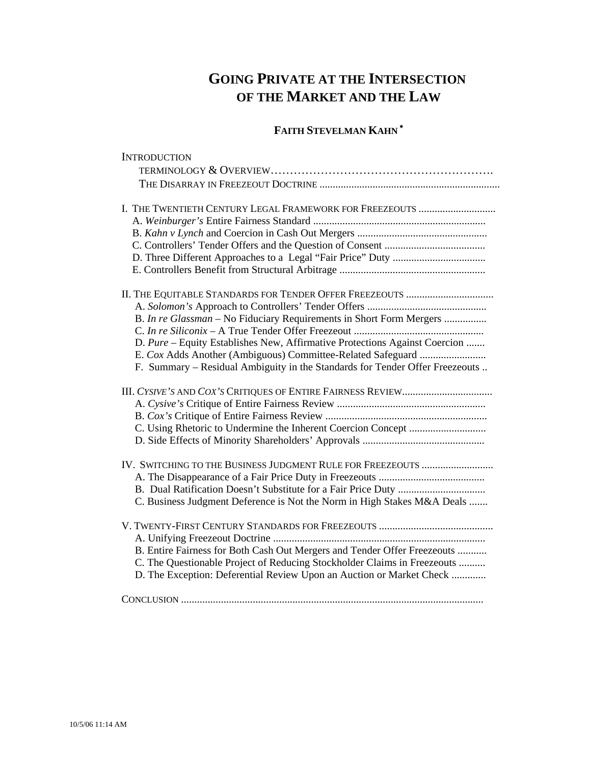# **GOING PRIVATE AT THE INTERSECTION OF THE MARKET AND THE LAW**

# **FAITH STEVELMAN KAHN** [∗](#page-90-0)

| <b>INTRODUCTION</b>                                                                                                                                                                                                                                                                          |
|----------------------------------------------------------------------------------------------------------------------------------------------------------------------------------------------------------------------------------------------------------------------------------------------|
|                                                                                                                                                                                                                                                                                              |
|                                                                                                                                                                                                                                                                                              |
| I. THE TWENTIETH CENTURY LEGAL FRAMEWORK FOR FREEZEOUTS                                                                                                                                                                                                                                      |
| II. THE EQUITABLE STANDARDS FOR TENDER OFFER FREEZEOUTS<br>B. In re Glassman - No Fiduciary Requirements in Short Form Mergers<br>D. Pure - Equity Establishes New, Affirmative Protections Against Coercion<br>F. Summary - Residual Ambiguity in the Standards for Tender Offer Freezeouts |
|                                                                                                                                                                                                                                                                                              |
| IV. SWITCHING TO THE BUSINESS JUDGMENT RULE FOR FREEZEOUTS<br>C. Business Judgment Deference is Not the Norm in High Stakes M&A Deals                                                                                                                                                        |
| B. Entire Fairness for Both Cash Out Mergers and Tender Offer Freezeouts<br>C. The Questionable Project of Reducing Stockholder Claims in Freezeouts<br>D. The Exception: Deferential Review Upon an Auction or Market Check                                                                 |
|                                                                                                                                                                                                                                                                                              |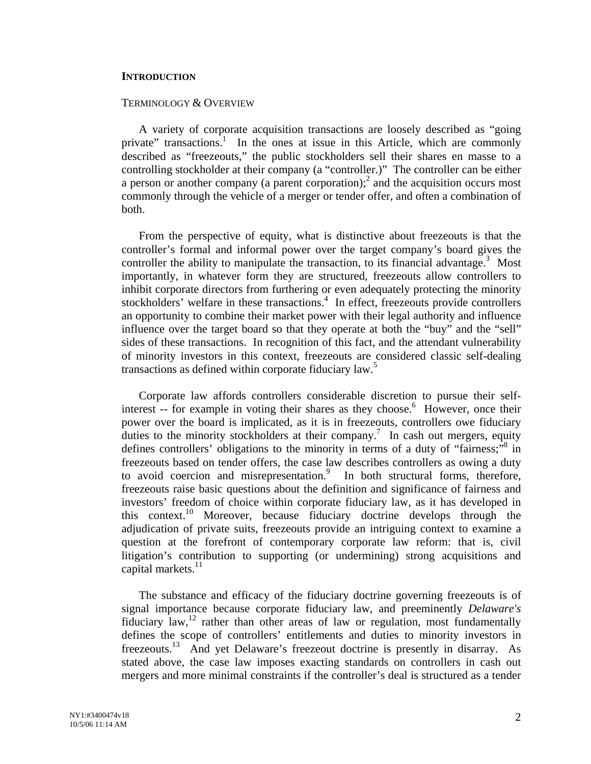### **INTRODUCTION**

#### TERMINOLOGY & OVERVIEW

A variety of corporate acquisition transactions are loosely described as "going private" transactions.<sup>[1](#page-90-1)</sup> In the ones at issue in this Article, which are commonly described as "freezeouts," the public stockholders sell their shares en masse to a controlling stockholder at their company (a "controller.)" The controller can be either a person or another company (a parent corporation);<sup>[2](#page-90-2)</sup> and the acquisition occurs most commonly through the vehicle of a merger or tender offer, and often a combination of both.

From the perspective of equity, what is distinctive about freezeouts is that the controller's formal and informal power over the target company's board gives the controller the ability to manipulate the transaction, to its financial advantage.<sup>[3](#page-90-3)</sup> Most importantly, in whatever form they are structured, freezeouts allow controllers to inhibit corporate directors from furthering or even adequately protecting the minority stockholders' welfare in these transactions.<sup>4</sup> In effect, freezeouts provide controllers an opportunity to combine their market power with their legal authority and influence influence over the target board so that they operate at both the "buy" and the "sell" sides of these transactions. In recognition of this fact, and the attendant vulnerability of minority investors in this context, freezeouts are considered classic self-dealing transactionsas defined within corporate fiduciary law.<sup>5</sup>

Corporate law affords controllers considerable discretion to pursue their self-interest -- for example in voting their shares as they choose.<sup>[6](#page-90-6)</sup> However, once their power over the board is implicated, as it is in freezeouts, controllers owe fiduciary duties to the minority stockholders at their company.<sup>[7](#page-90-7)</sup> In cash out mergers, equity defines controllers' obligations to the minority in terms of a duty of "fairness;"<sup>[8](#page-90-8)</sup> in freezeouts based on tender offers, the case law describes controllers as owing a duty to avoid coercion and misrepresentation.<sup>9</sup> In both structural forms, therefore, freezeouts raise basic questions about the definition and significance of fairness and investors' freedom of choice within corporate fiduciary law, as it has developed in this context[.10](#page-90-10) Moreover, because fiduciary doctrine develops through the adjudication of private suits, freezeouts provide an intriguing context to examine a question at the forefront of contemporary corporate law reform: that is, civil litigation's contribution to supporting (or undermining) strong acquisitions and capital markets. $11$ 

The substance and efficacy of the fiduciary doctrine governing freezeouts is of signal importance because corporate fiduciary law, and preeminently *Delaware's* fiduciary law,  $12$  rather than other areas of law or regulation, most fundamentally defines the scope of controllers' entitlements and duties to minority investors in freezeouts.[13](#page-90-13) And yet Delaware's freezeout doctrine is presently in disarray. As stated above, the case law imposes exacting standards on controllers in cash out mergers and more minimal constraints if the controller's deal is structured as a tender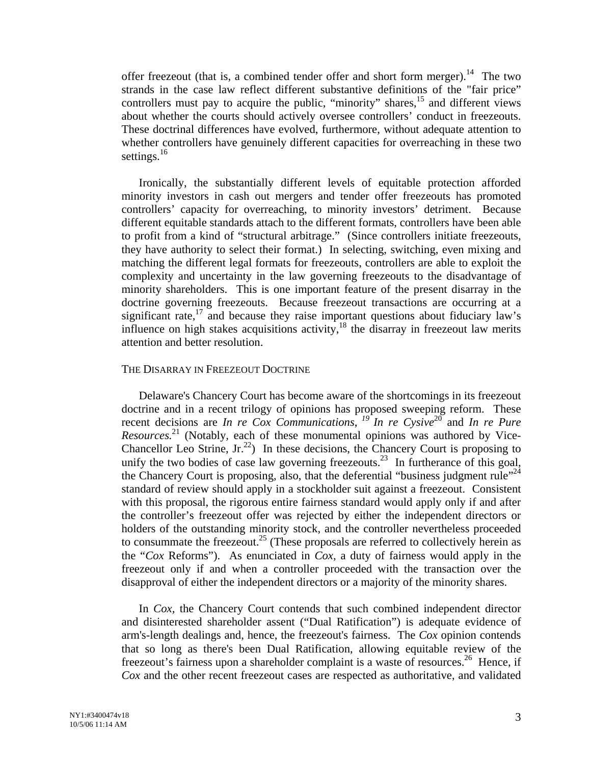offer freezeout (that is, a combined tender offer and short form merger).<sup>14</sup> The two strands in the case law reflect different substantive definitions of the "fair price" controllers must pay to acquire the public, "minority" shares,  $15$  and different views about whether the courts should actively oversee controllers' conduct in freezeouts. These doctrinal differences have evolved, furthermore, without adequate attention to whether controllers have genuinely different capacities for overreaching in these two settings. $16$ 

Ironically, the substantially different levels of equitable protection afforded minority investors in cash out mergers and tender offer freezeouts has promoted controllers' capacity for overreaching, to minority investors' detriment. Because different equitable standards attach to the different formats, controllers have been able to profit from a kind of "structural arbitrage." (Since controllers initiate freezeouts, they have authority to select their format.) In selecting, switching, even mixing and matching the different legal formats for freezeouts, controllers are able to exploit the complexity and uncertainty in the law governing freezeouts to the disadvantage of minority shareholders. This is one important feature of the present disarray in the doctrine governing freezeouts. Because freezeout transactions are occurring at a significant rate,<sup>17</sup> and because they raise important questions about fiduciary law's influence on high stakes acquisitions activity,  $18$  the disarray in freezeout law merits attention and better resolution.

### THE DISARRAY IN FREEZEOUT DOCTRINE

Delaware's Chancery Court has become aware of the shortcomings in its freezeout doctrine and in a recent trilogy of opinions has proposed sweeping reform. These recent decisions are *In re Cox Communications*,  $^{19}$  *In re Cysive*<sup>20</sup> and *In re Pure Resources.*<sup>[21](#page-90-21)</sup> (Notably, each of these monumental opinions was authored by Vice-Chancellor Leo Strine, Jr.<sup>22</sup>) In these decisions, the Chancery Court is proposing to unify the two bodies of case law governing freezeouts.<sup>23</sup> In furtherance of this goal, the Chancery Court is proposing, also, that the deferential "business judgment rule"<sup>24</sup> standard of review should apply in a stockholder suit against a freezeout. Consistent with this proposal, the rigorous entire fairness standard would apply only if and after the controller's freezeout offer was rejected by either the independent directors or holders of the outstanding minority stock, and the controller nevertheless proceeded to consummate the freezeout.<sup>25</sup> (These proposals are referred to collectively herein as the "*Cox* Reforms"). As enunciated in *Cox*, a duty of fairness would apply in the freezeout only if and when a controller proceeded with the transaction over the disapproval of either the independent directors or a majority of the minority shares.

 In *Cox,* the Chancery Court contends that such combined independent director and disinterested shareholder assent ("Dual Ratification") is adequate evidence of arm's-length dealings and, hence, the freezeout's fairness. The *Cox* opinion contends that so long as there's been Dual Ratification, allowing equitable review of the freezeout's fairness upon a shareholder complaint is a waste of resources.<sup>26</sup> Hence, if *Cox* and the other recent freezeout cases are respected as authoritative, and validated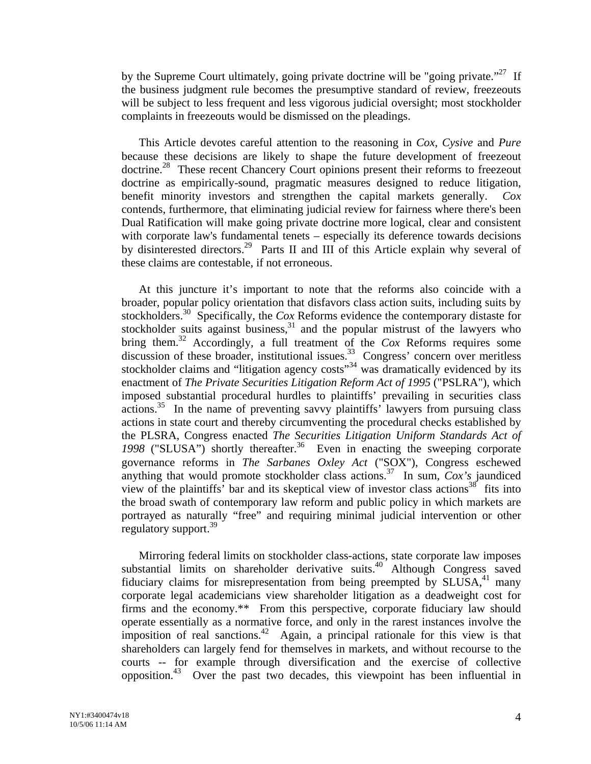by the Supreme Court ultimately, going private doctrine will be "going private."<sup>27</sup> If the business judgment rule becomes the presumptive standard of review, freezeouts will be subject to less frequent and less vigorous judicial oversight; most stockholder complaints in freezeouts would be dismissed on the pleadings.

This Article devotes careful attention to the reasoning in *Cox*, *Cysive* and *Pure* because these decisions are likely to shape the future development of freezeout doctrine.<sup>28</sup> These recent Chancery Court opinions present their reforms to freezeout doctrine as empirically-sound, pragmatic measures designed to reduce litigation, benefit minority investors and strengthen the capital markets generally. contends, furthermore, that eliminating judicial review for fairness where there's been Dual Ratification will make going private doctrine more logical, clear and consistent with corporate law's fundamental tenets – especially its deference towards decisions by disinterested directors.<sup>29</sup> Parts II and III of this Article explain why several of these claims are contestable, if not erroneous.

At this juncture it's important to note that the reforms also coincide with a broader, popular policy orientation that disfavors class action suits, including suits by stockholders.<sup>30</sup> Specifically, the *Cox* Reforms evidence the contemporary distaste for stockholder suits against business, $31$  and the popular mistrust of the lawyers who bring them. [32](#page-90-31) Accordingly, a full treatment of the *Cox* Reforms requires some discussion of these broader, institutional issues.<sup>33</sup> Congress' concern over meritless stockholder claims and "litigation agency costs"<sup>34</sup> was dramatically evidenced by its enactment of *The Private Securities Litigation Reform Act of 1995* ("PSLRA"), which imposed substantial procedural hurdles to plaintiffs' prevailing in securities class actions. [35](#page-90-34) In the name of preventing savvy plaintiffs' lawyers from pursuing class actions in state court and thereby circumventing the procedural checks established by the PLSRA, Congress enacted *The Securities Litigation Uniform Standards Act of* 1998 ("SLUSA") shortly thereafter.<sup>36</sup> Even in enacting the sweeping corporate governance reforms in *The Sarbanes Oxley Act* ("SOX"), Congress eschewed anything that would promote stockholder class actions.<sup>37</sup> In sum, *Cox's* jaundiced view of the plaintiffs' bar and its skeptical view of investor class actions<sup>38</sup> fits into the broad swath of contemporary law reform and public policy in which markets are portrayed as naturally "free" and requiring minimal judicial intervention or other regulatory support.<sup>39</sup>

Mirroring federal limits on stockholder class-actions, state corporate law imposes substantial limits on shareholder derivative suits.<sup>40</sup> Although Congress saved fiduciary claims for misrepresentation from being preempted by  $SLUSA^{41}$  many corporate legal academicians view shareholder litigation as a deadweight cost for firms and the economy.\*\* From this perspective, corporate fiduciary law should operate essentially as a normative force, and only in the rarest instances involve the imposition of real sanctions.<sup>42</sup> Again, a principal rationale for this view is that shareholders can largely fend for themselves in markets, and without recourse to the courts -- for example through diversification and the exercise of collective opposition.[43](#page-90-42) Over the past two decades, this viewpoint has been influential in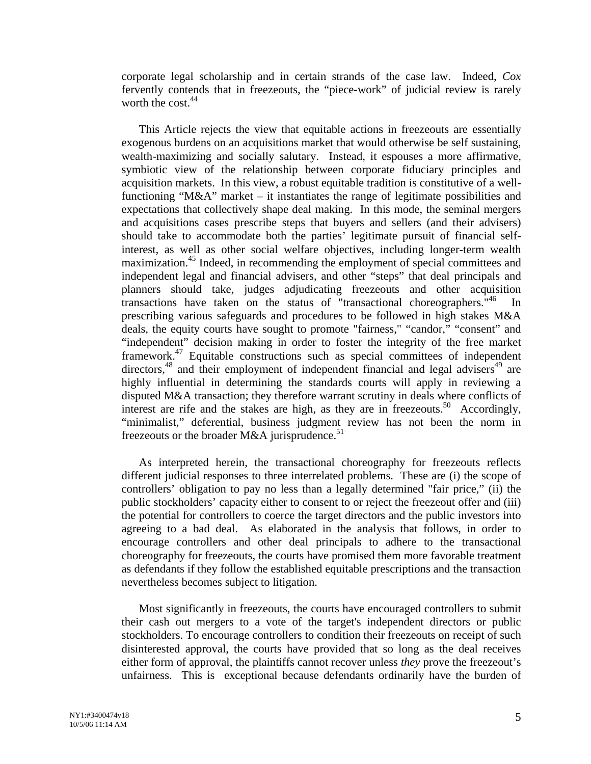corporate legal scholarship and in certain strands of the case law. Indeed, *Cox* fervently contends that in freezeouts, the "piece-work" of judicial review is rarely worth the cost.<sup>44</sup>

This Article rejects the view that equitable actions in freezeouts are essentially exogenous burdens on an acquisitions market that would otherwise be self sustaining, wealth-maximizing and socially salutary. Instead, it espouses a more affirmative, symbiotic view of the relationship between corporate fiduciary principles and acquisition markets. In this view, a robust equitable tradition is constitutive of a wellfunctioning "M&A" market – it instantiates the range of legitimate possibilities and expectations that collectively shape deal making. In this mode, the seminal mergers and acquisitions cases prescribe steps that buyers and sellers (and their advisers) should take to accommodate both the parties' legitimate pursuit of financial selfinterest, as well as other social welfare objectives, including longer-term wealth maximization.<sup>45</sup> Indeed, in recommending the employment of special committees and independent legal and financial advisers, and other "steps" that deal principals and planners should take, judges adjudicating freezeouts and other acquisition transactions have taken on the status of "transactional choreographers."<sup>46</sup> In prescribing various safeguards and procedures to be followed in high stakes M&A deals, the equity courts have sought to promote "fairness," "candor," "consent" and "independent" decision making in order to foster the integrity of the free market framework.[47](#page-90-18) Equitable constructions such as special committees of independent directors, $48$  and their employment of independent financial and legal advisers $49$  are highly influential in determining the standards courts will apply in reviewing a disputed M&A transaction; they therefore warrant scrutiny in deals where conflicts of interest are rife and the stakes are high, as they are in freezeouts.<sup>50</sup> Accordingly, "minimalist," deferential, business judgment review has not been the norm in freezeouts or the broader M&A jurisprudence.<sup>51</sup>

As interpreted herein, the transactional choreography for freezeouts reflects different judicial responses to three interrelated problems. These are (i) the scope of controllers' obligation to pay no less than a legally determined "fair price," (ii) the public stockholders' capacity either to consent to or reject the freezeout offer and (iii) the potential for controllers to coerce the target directors and the public investors into agreeing to a bad deal. As elaborated in the analysis that follows, in order to encourage controllers and other deal principals to adhere to the transactional choreography for freezeouts, the courts have promised them more favorable treatment as defendants if they follow the established equitable prescriptions and the transaction nevertheless becomes subject to litigation.

Most significantly in freezeouts, the courts have encouraged controllers to submit their cash out mergers to a vote of the target's independent directors or public stockholders. To encourage controllers to condition their freezeouts on receipt of such disinterested approval, the courts have provided that so long as the deal receives either form of approval, the plaintiffs cannot recover unless *they* prove the freezeout's unfairness. This is exceptional because defendants ordinarily have the burden of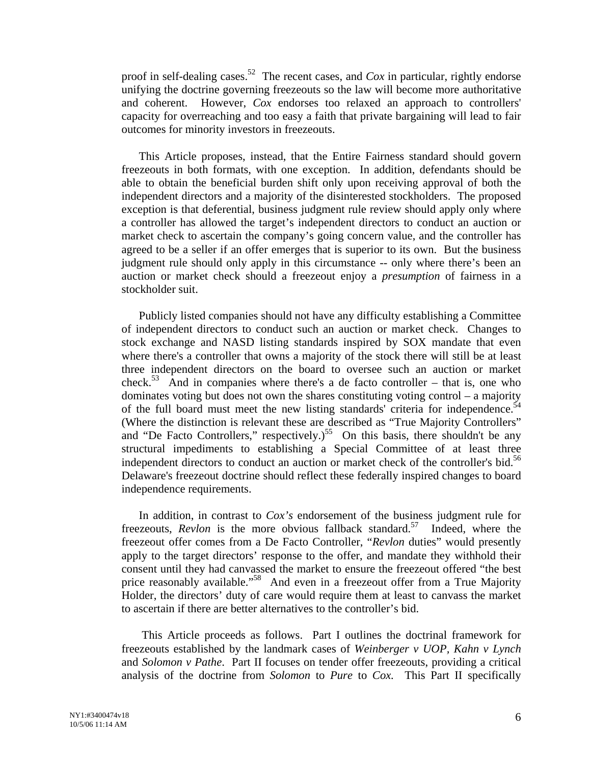proof in self-dealing cases.<sup>52</sup> The recent cases, and  $Cox$  in particular, rightly endorse unifying the doctrine governing freezeouts so the law will become more authoritative and coherent. However, *Cox* endorses too relaxed an approach to controllers' capacity for overreaching and too easy a faith that private bargaining will lead to fair outcomes for minority investors in freezeouts.

This Article proposes, instead, that the Entire Fairness standard should govern freezeouts in both formats, with one exception. In addition, defendants should be able to obtain the beneficial burden shift only upon receiving approval of both the independent directors and a majority of the disinterested stockholders. The proposed exception is that deferential, business judgment rule review should apply only where a controller has allowed the target's independent directors to conduct an auction or market check to ascertain the company's going concern value, and the controller has agreed to be a seller if an offer emerges that is superior to its own. But the business judgment rule should only apply in this circumstance -- only where there's been an auction or market check should a freezeout enjoy a *presumption* of fairness in a stockholder suit.

Publicly listed companies should not have any difficulty establishing a Committee of independent directors to conduct such an auction or market check. Changes to stock exchange and NASD listing standards inspired by SOX mandate that even where there's a controller that owns a majority of the stock there will still be at least three independent directors on the board to oversee such an auction or market check.<sup>53</sup> And in companies where there's a de facto controller – that is, one who dominates voting but does not own the shares constituting voting control – a majority of the full board must meet the new listing standards' criteria for independence.<sup>54</sup> (Where the distinction is relevant these are described as "True Majority Controllers" and "De Facto Controllers," respectively.)<sup>55</sup> On this basis, there shouldn't be any structural impediments to establishing a Special Committee of at least three independent directors to conduct an auction or market check of the controller's bid.<sup>56</sup> Delaware's freezeout doctrine should reflect these federally inspired changes to board independence requirements.

In addition, in contrast to *Cox's* endorsement of the business judgment rule for freezeouts, *Revlon* is the more obvious fallback standard.<sup>57</sup> Indeed, where the freezeout offer comes from a De Facto Controller, "*Revlon* duties" would presently apply to the target directors' response to the offer, and mandate they withhold their consent until they had canvassed the market to ensure the freezeout offered "the best price reasonably available."<sup>58</sup> And even in a freezeout offer from a True Majority Holder, the directors' duty of care would require them at least to canvass the market to ascertain if there are better alternatives to the controller's bid.

This Article proceeds as follows. Part I outlines the doctrinal framework for freezeouts established by the landmark cases of *Weinberger v UOP, Kahn v Lynch* and *Solomon v Pathe*.Part II focuses on tender offer freezeouts, providing a critical analysis of the doctrine from *Solomon* to *Pure* to *Cox.* This Part II specifically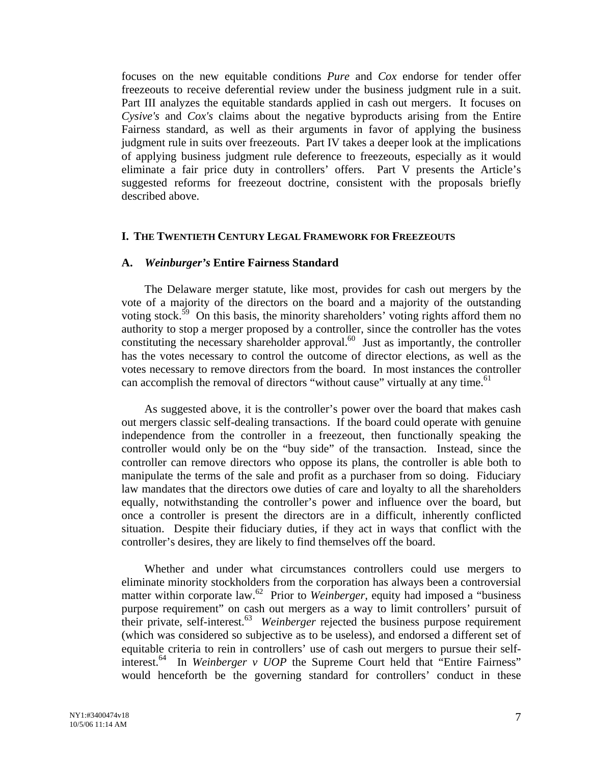focuses on the new equitable conditions *Pure* and *Cox* endorse for tender offer freezeouts to receive deferential review under the business judgment rule in a suit. Part III analyzes the equitable standards applied in cash out mergers. It focuses on *Cysive's* and *Cox's* claims about the negative byproducts arising from the Entire Fairness standard, as well as their arguments in favor of applying the business judgment rule in suits over freezeouts. Part IV takes a deeper look at the implications of applying business judgment rule deference to freezeouts, especially as it would eliminate a fair price duty in controllers' offers. Part V presents the Article's suggested reforms for freezeout doctrine, consistent with the proposals briefly described above.

### **I. THE TWENTIETH CENTURY LEGAL FRAMEWORK FOR FREEZEOUTS**

### **A.** *Weinburger's* **Entire Fairness Standard**

The Delaware merger statute, like most, provides for cash out mergers by the vote of a majority of the directors on the board and a majority of the outstanding voting stock.<sup>59</sup> On this basis, the minority shareholders' voting rights afford them no authority to stop a merger proposed by a controller, since the controller has the votes constituting the necessary shareholder approval.<sup>60</sup> Just as importantly, the controller has the votes necessary to control the outcome of director elections, as well as the votes necessary to remove directors from the board. In most instances the controller can accomplish the removal of directors "without cause" virtually at any time.<sup>61</sup>

As suggested above, it is the controller's power over the board that makes cash out mergers classic self-dealing transactions. If the board could operate with genuine independence from the controller in a freezeout, then functionally speaking the controller would only be on the "buy side" of the transaction. Instead, since the controller can remove directors who oppose its plans, the controller is able both to manipulate the terms of the sale and profit as a purchaser from so doing. Fiduciary law mandates that the directors owe duties of care and loyalty to all the shareholders equally, notwithstanding the controller's power and influence over the board, but once a controller is present the directors are in a difficult, inherently conflicted situation. Despite their fiduciary duties, if they act in ways that conflict with the controller's desires, they are likely to find themselves off the board.

Whether and under what circumstances controllers could use mergers to eliminate minority stockholders from the corporation has always been a controversial matter within corporate law.<sup>62</sup> Prior to *Weinberger*, equity had imposed a "business" purpose requirement" on cash out mergers as a way to limit controllers' pursuit of their private, self-interest.[63](#page-90-43) *Weinberger* rejected the business purpose requirement (which was considered so subjective as to be useless), and endorsed a different set of equitable criteria to rein in controllers' use of cash out mergers to pursue their selfinterest[.64](#page-90-54) In *Weinberger v UOP* the Supreme Court held that "Entire Fairness" would henceforth be the governing standard for controllers' conduct in these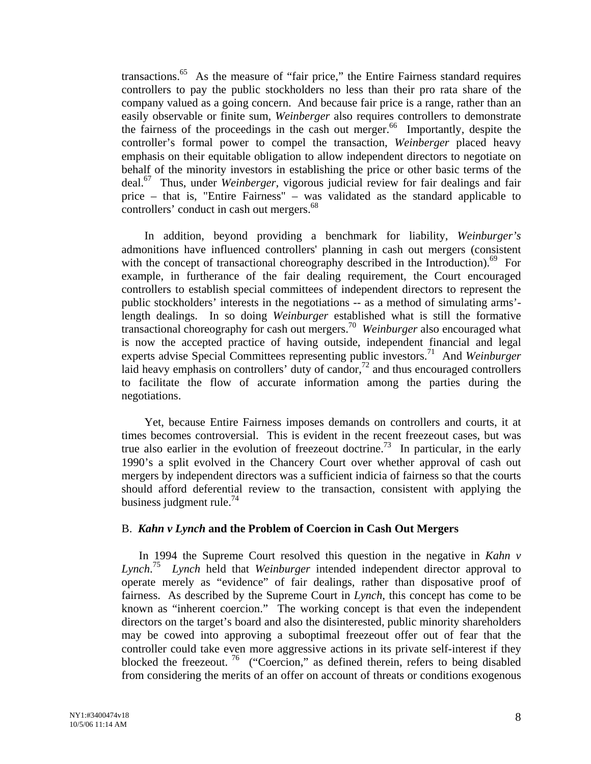transactions[.65](#page-90-55) As the measure of "fair price," the Entire Fairness standard requires controllers to pay the public stockholders no less than their pro rata share of the company valued as a going concern. And because fair price is a range, rather than an easily observable or finite sum, *Weinberger* also requires controllers to demonstrate the fairness of the proceedings in the cash out merger.<sup>66</sup> Importantly, despite the controller's formal power to compel the transaction, *Weinberger* placed heavy emphasis on their equitable obligation to allow independent directors to negotiate on behalf of the minority investors in establishing the price or other basic terms of the deal[.67](#page-90-56) Thus, under *Weinberger,* vigorous judicial review for fair dealings and fair price – that is, "Entire Fairness" – was validated as the standard applicable to controllers' conduct in cash out mergers.<sup>68</sup>

In addition, beyond providing a benchmark for liability, *Weinburger's* admonitions have influenced controllers' planning in cash out mergers (consistent with the concept of transactional choreography described in the Introduction).<sup>69</sup> For example, in furtherance of the fair dealing requirement, the Court encouraged controllers to establish special committees of independent directors to represent the public stockholders' interests in the negotiations -- as a method of simulating arms' length dealings. In so doing *Weinburger* established what is still the formative transactional choreography for cash out mergers.[70](#page-90-58) *Weinburger* also encouraged what is now the accepted practice of having outside, independent financial and legal experts advise Special Committees representing public investors.[71](#page-90-9) And *Weinburger* laid heavy emphasis on controllers' duty of candor, $72$  and thus encouraged controllers to facilitate the flow of accurate information among the parties during the negotiations.

Yet, because Entire Fairness imposes demands on controllers and courts, it at times becomes controversial. This is evident in the recent freezeout cases, but was true also earlier in the evolution of freezeout doctrine.<sup>73</sup> In particular, in the early 1990's a split evolved in the Chancery Court over whether approval of cash out mergers by independent directors was a sufficient indicia of fairness so that the courts should afford deferential review to the transaction, consistent with applying the business judgment rule.<sup>74</sup>

### B. *Kahn v Lynch* **and the Problem of Coercion in Cash Out Mergers**

In 1994 the Supreme Court resolved this question in the negative in *Kahn v Lynch*. [75](#page-90-62) *Lynch* held that *Weinburger* intended independent director approval to operate merely as "evidence" of fair dealings, rather than disposative proof of fairness. As described by the Supreme Court in *Lynch*, this concept has come to be known as "inherent coercion." The working concept is that even the independent directors on the target's board and also the disinterested, public minority shareholders may be cowed into approving a suboptimal freezeout offer out of fear that the controller could take even more aggressive actions in its private self-interest if they blocked the freezeout.<sup>76</sup> ("Coercion," as defined therein, refers to being disabled from considering the merits of an offer on account of threats or conditions exogenous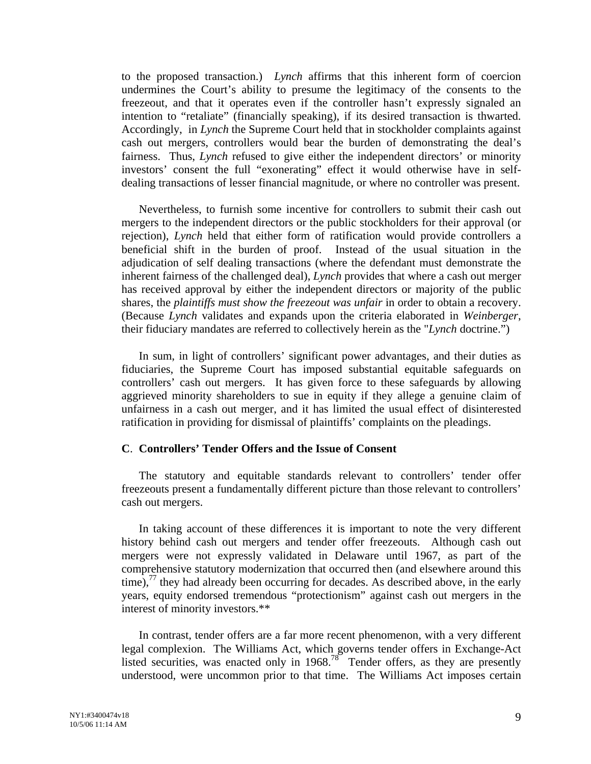to the proposed transaction.) *Lynch* affirms that this inherent form of coercion undermines the Court's ability to presume the legitimacy of the consents to the freezeout, and that it operates even if the controller hasn't expressly signaled an intention to "retaliate" (financially speaking), if its desired transaction is thwarted. Accordingly, in *Lynch* the Supreme Court held that in stockholder complaints against cash out mergers, controllers would bear the burden of demonstrating the deal's fairness. Thus, *Lynch* refused to give either the independent directors' or minority investors' consent the full "exonerating" effect it would otherwise have in selfdealing transactions of lesser financial magnitude, or where no controller was present.

Nevertheless, to furnish some incentive for controllers to submit their cash out mergers to the independent directors or the public stockholders for their approval (or rejection), *Lynch* held that either form of ratification would provide controllers a beneficial shift in the burden of proof. Instead of the usual situation in the adjudication of self dealing transactions (where the defendant must demonstrate the inherent fairness of the challenged deal), *Lynch* provides that where a cash out merger has received approval by either the independent directors or majority of the public shares, the *plaintiffs must show the freezeout was unfair* in order to obtain a recovery. (Because *Lynch* validates and expands upon the criteria elaborated in *Weinberger*, their fiduciary mandates are referred to collectively herein as the "*Lynch* doctrine.")

In sum, in light of controllers' significant power advantages, and their duties as fiduciaries, the Supreme Court has imposed substantial equitable safeguards on controllers' cash out mergers. It has given force to these safeguards by allowing aggrieved minority shareholders to sue in equity if they allege a genuine claim of unfairness in a cash out merger, and it has limited the usual effect of disinterested ratification in providing for dismissal of plaintiffs' complaints on the pleadings.

#### **C**. **Controllers' Tender Offers and the Issue of Consent**

The statutory and equitable standards relevant to controllers' tender offer freezeouts present a fundamentally different picture than those relevant to controllers' cash out mergers.

In taking account of these differences it is important to note the very different history behind cash out mergers and tender offer freezeouts. Although cash out mergers were not expressly validated in Delaware until 1967, as part of the comprehensive statutory modernization that occurred then (and elsewhere around this time),<sup>77</sup> they had already been occurring for decades. As described above, in the early years, equity endorsed tremendous "protectionism" against cash out mergers in the interest of minority investors.\*\*

In contrast, tender offers are a far more recent phenomenon, with a very different legal complexion. The Williams Act, which governs tender offers in Exchange-Act listed securities, was enacted only in 1968.[78](#page-90-65) Tender offers, as they are presently understood, were uncommon prior to that time. The Williams Act imposes certain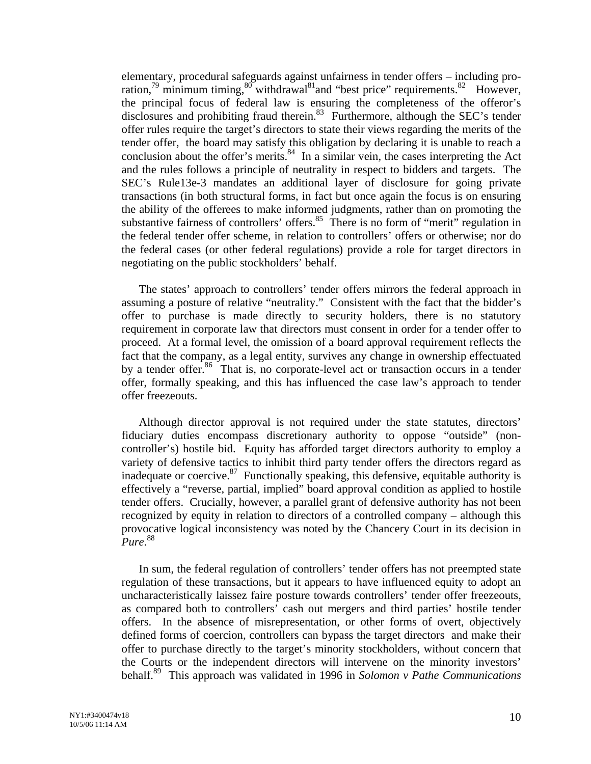elementary, procedural safeguards against unfairness in tender offers – including proration,<sup>79</sup> minimum timing, $80$  withdrawal $81$ and "best price" requirements. $82$  However, the principal focus of federal law is ensuring the completeness of the offeror's disclosures and prohibiting fraud therein. $83$  Furthermore, although the SEC's tender offer rules require the target's directors to state their views regarding the merits of the tender offer, the board may satisfy this obligation by declaring it is unable to reach a conclusion about the offer's merits. $84$  In a similar vein, the cases interpreting the Act and the rules follows a principle of neutrality in respect to bidders and targets. The SEC's Rule13e-3 mandates an additional layer of disclosure for going private transactions (in both structural forms, in fact but once again the focus is on ensuring the ability of the offerees to make informed judgments, rather than on promoting the substantive fairness of controllers' offers.<sup>85</sup> There is no form of "merit" regulation in the federal tender offer scheme, in relation to controllers' offers or otherwise; nor do the federal cases (or other federal regulations) provide a role for target directors in negotiating on the public stockholders' behalf.

The states' approach to controllers' tender offers mirrors the federal approach in assuming a posture of relative "neutrality." Consistent with the fact that the bidder's offer to purchase is made directly to security holders, there is no statutory requirement in corporate law that directors must consent in order for a tender offer to proceed. At a formal level, the omission of a board approval requirement reflects the fact that the company, as a legal entity, survives any change in ownership effectuated by a tender offer.<sup>86</sup> That is, no corporate-level act or transaction occurs in a tender offer, formally speaking, and this has influenced the case law's approach to tender offer freezeouts.

Although director approval is not required under the state statutes, directors' fiduciary duties encompass discretionary authority to oppose "outside" (noncontroller's) hostile bid. Equity has afforded target directors authority to employ a variety of defensive tactics to inhibit third party tender offers the directors regard as inadequate or coercive. $87$  Functionally speaking, this defensive, equitable authority is effectively a "reverse, partial, implied" board approval condition as applied to hostile tender offers. Crucially, however, a parallel grant of defensive authority has not been recognized by equity in relation to directors of a controlled company – although this provocative logical inconsistency was noted by the Chancery Court in its decision in *Pure*. [88](#page-90-71) 

In sum, the federal regulation of controllers' tender offers has not preempted state regulation of these transactions, but it appears to have influenced equity to adopt an uncharacteristically laissez faire posture towards controllers' tender offer freezeouts, as compared both to controllers' cash out mergers and third parties' hostile tender offers. In the absence of misrepresentation, or other forms of overt, objectively defined forms of coercion, controllers can bypass the target directors and make their offer to purchase directly to the target's minority stockholders, without concern that the Courts or the independent directors will intervene on the minority investors' behalf[.89](#page-90-58) This approach was validated in 1996 in *Solomon v Pathe Communications*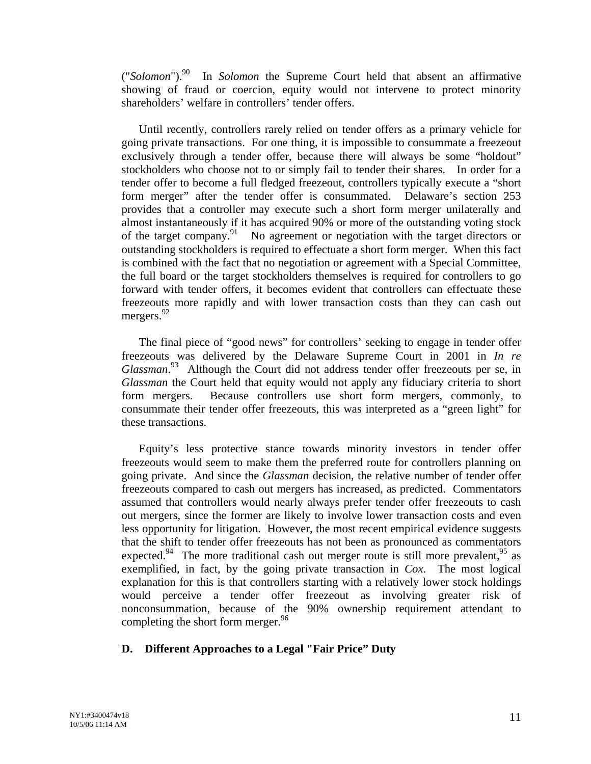("*Solomon*").[90](#page-90-72) In *Solomon* the Supreme Court held that absent an affirmative showing of fraud or coercion, equity would not intervene to protect minority shareholders' welfare in controllers' tender offers.

Until recently, controllers rarely relied on tender offers as a primary vehicle for going private transactions. For one thing, it is impossible to consummate a freezeout exclusively through a tender offer, because there will always be some "holdout" stockholders who choose not to or simply fail to tender their shares. In order for a tender offer to become a full fledged freezeout, controllers typically execute a "short form merger" after the tender offer is consummated. Delaware's section 253 provides that a controller may execute such a short form merger unilaterally and almost instantaneously if it has acquired 90% or more of the outstanding voting stock of the target company.<sup>91</sup> No agreement or negotiation with the target directors or outstanding stockholders is required to effectuate a short form merger. When this fact is combined with the fact that no negotiation or agreement with a Special Committee, the full board or the target stockholders themselves is required for controllers to go forward with tender offers, it becomes evident that controllers can effectuate these freezeouts more rapidly and with lower transaction costs than they can cash out mergers. [92](#page-90-73) 

The final piece of "good news" for controllers' seeking to engage in tender offer freezeouts was delivered by the Delaware Supreme Court in 2001 in *In re Glassman*. [93](#page-90-74) Although the Court did not address tender offer freezeouts per se, in *Glassman* the Court held that equity would not apply any fiduciary criteria to short form mergers. Because controllers use short form mergers, commonly, to consummate their tender offer freezeouts, this was interpreted as a "green light" for these transactions.

Equity's less protective stance towards minority investors in tender offer freezeouts would seem to make them the preferred route for controllers planning on going private. And since the *Glassman* decision, the relative number of tender offer freezeouts compared to cash out mergers has increased, as predicted. Commentators assumed that controllers would nearly always prefer tender offer freezeouts to cash out mergers, since the former are likely to involve lower transaction costs and even less opportunity for litigation. However, the most recent empirical evidence suggests that the shift to tender offer freezeouts has not been as pronounced as commentators expected.<sup>94</sup> The more traditional cash out merger route is still more prevalent,<sup>95</sup> as exemplified, in fact, by the going private transaction in *Cox*. The most logical explanation for this is that controllers starting with a relatively lower stock holdings would perceive a tender offer freezeout as involving greater risk of nonconsummation, because of the 90% ownership requirement attendant to completing the short form merger.<sup>96</sup>

# **D. Different Approaches to a Legal "Fair Price" Duty**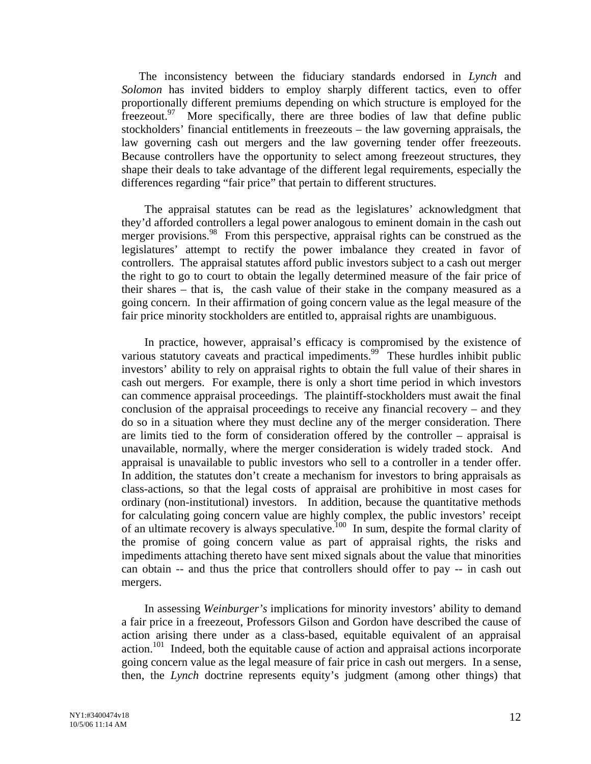The inconsistency between the fiduciary standards endorsed in *Lynch* and *Solomon* has invited bidders to employ sharply different tactics, even to offer proportionally different premiums depending on which structure is employed for the freezeout.<sup>97</sup> More specifically, there are three bodies of law that define public stockholders' financial entitlements in freezeouts – the law governing appraisals, the law governing cash out mergers and the law governing tender offer freezeouts. Because controllers have the opportunity to select among freezeout structures, they shape their deals to take advantage of the different legal requirements, especially the differences regarding "fair price" that pertain to different structures.

The appraisal statutes can be read as the legislatures' acknowledgment that they'd afforded controllers a legal power analogous to eminent domain in the cash out merger provisions.<sup>98</sup> From this perspective, appraisal rights can be construed as the legislatures' attempt to rectify the power imbalance they created in favor of controllers. The appraisal statutes afford public investors subject to a cash out merger the right to go to court to obtain the legally determined measure of the fair price of their shares – that is, the cash value of their stake in the company measured as a going concern. In their affirmation of going concern value as the legal measure of the fair price minority stockholders are entitled to, appraisal rights are unambiguous.

In practice, however, appraisal's efficacy is compromised by the existence of various statutory caveats and practical impediments.<sup>99</sup> These hurdles inhibit public investors' ability to rely on appraisal rights to obtain the full value of their shares in cash out mergers. For example, there is only a short time period in which investors can commence appraisal proceedings. The plaintiff-stockholders must await the final conclusion of the appraisal proceedings to receive any financial recovery – and they do so in a situation where they must decline any of the merger consideration. There are limits tied to the form of consideration offered by the controller – appraisal is unavailable, normally, where the merger consideration is widely traded stock. And appraisal is unavailable to public investors who sell to a controller in a tender offer. In addition, the statutes don't create a mechanism for investors to bring appraisals as class-actions, so that the legal costs of appraisal are prohibitive in most cases for ordinary (non-institutional) investors. In addition, because the quantitative methods for calculating going concern value are highly complex, the public investors' receipt of an ultimate recovery is always speculative.<sup>100</sup> In sum, despite the formal clarity of the promise of going concern value as part of appraisal rights, the risks and impediments attaching thereto have sent mixed signals about the value that minorities can obtain -- and thus the price that controllers should offer to pay -- in cash out mergers.

In assessing *Weinburger's* implications for minority investors' ability to demand a fair price in a freezeout, Professors Gilson and Gordon have described the cause of action arising there under as a class-based, equitable equivalent of an appraisal  $\alpha$  action.<sup>101</sup> Indeed, both the equitable cause of action and appraisal actions incorporate going concern value as the legal measure of fair price in cash out mergers. In a sense, then, the *Lynch* doctrine represents equity's judgment (among other things) that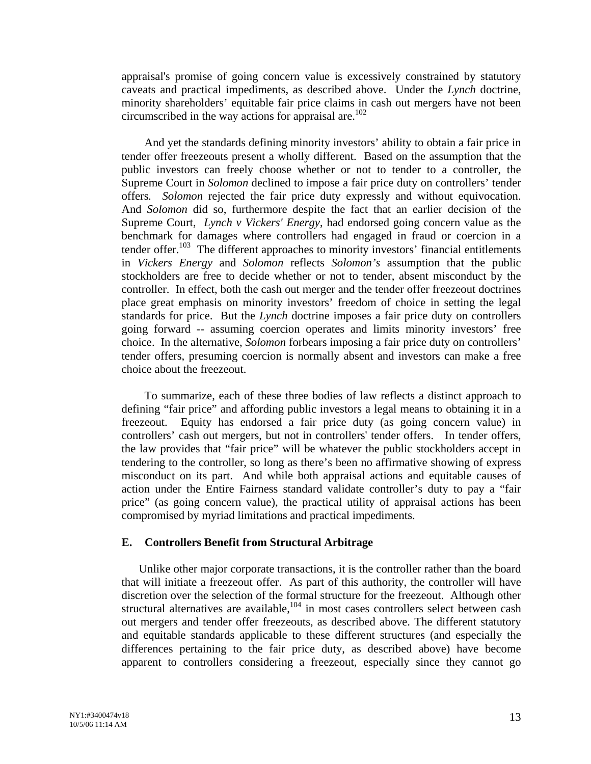appraisal's promise of going concern value is excessively constrained by statutory caveats and practical impediments, as described above. Under the *Lynch* doctrine, minority shareholders' equitable fair price claims in cash out mergers have not been circumscribed in the way actions for appraisal are.<sup>102</sup>

And yet the standards defining minority investors' ability to obtain a fair price in tender offer freezeouts present a wholly different. Based on the assumption that the public investors can freely choose whether or not to tender to a controller, the Supreme Court in *Solomon* declined to impose a fair price duty on controllers' tender offers*. Solomon* rejected the fair price duty expressly and without equivocation. And *Solomon* did so, furthermore despite the fact that an earlier decision of the Supreme Court, *Lynch v Vickers' Energy*, had endorsed going concern value as the benchmark for damages where controllers had engaged in fraud or coercion in a tender offer.<sup>103</sup> The different approaches to minority investors' financial entitlements in *Vickers Energy* and *Solomon* reflects *Solomon's* assumption that the public stockholders are free to decide whether or not to tender, absent misconduct by the controller. In effect, both the cash out merger and the tender offer freezeout doctrines place great emphasis on minority investors' freedom of choice in setting the legal standards for price. But the *Lynch* doctrine imposes a fair price duty on controllers going forward -- assuming coercion operates and limits minority investors' free choice. In the alternative, *Solomon* forbears imposing a fair price duty on controllers' tender offers, presuming coercion is normally absent and investors can make a free choice about the freezeout.

To summarize, each of these three bodies of law reflects a distinct approach to defining "fair price" and affording public investors a legal means to obtaining it in a freezeout. Equity has endorsed a fair price duty (as going concern value) in controllers' cash out mergers, but not in controllers' tender offers. In tender offers, the law provides that "fair price" will be whatever the public stockholders accept in tendering to the controller, so long as there's been no affirmative showing of express misconduct on its part. And while both appraisal actions and equitable causes of action under the Entire Fairness standard validate controller's duty to pay a "fair price" (as going concern value), the practical utility of appraisal actions has been compromised by myriad limitations and practical impediments.

### **E. Controllers Benefit from Structural Arbitrage**

Unlike other major corporate transactions, it is the controller rather than the board that will initiate a freezeout offer. As part of this authority, the controller will have discretion over the selection of the formal structure for the freezeout. Although other structural alternatives are available, $104$  in most cases controllers select between cash out mergers and tender offer freezeouts, as described above. The different statutory and equitable standards applicable to these different structures (and especially the differences pertaining to the fair price duty, as described above) have become apparent to controllers considering a freezeout, especially since they cannot go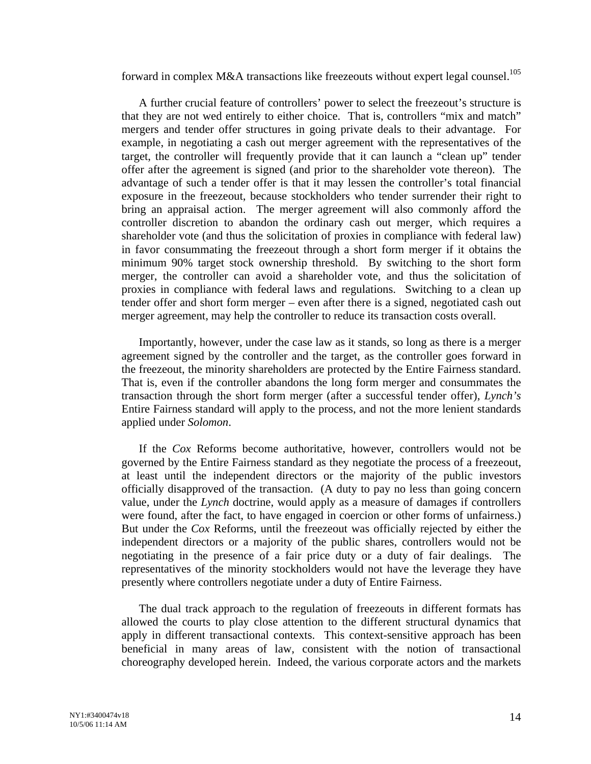forward in complex M&A transactions like freezeouts without expert legal counsel.<sup>105</sup>

A further crucial feature of controllers' power to select the freezeout's structure is that they are not wed entirely to either choice. That is, controllers "mix and match" mergers and tender offer structures in going private deals to their advantage. For example, in negotiating a cash out merger agreement with the representatives of the target, the controller will frequently provide that it can launch a "clean up" tender offer after the agreement is signed (and prior to the shareholder vote thereon). The advantage of such a tender offer is that it may lessen the controller's total financial exposure in the freezeout, because stockholders who tender surrender their right to bring an appraisal action. The merger agreement will also commonly afford the controller discretion to abandon the ordinary cash out merger, which requires a shareholder vote (and thus the solicitation of proxies in compliance with federal law) in favor consummating the freezeout through a short form merger if it obtains the minimum 90% target stock ownership threshold. By switching to the short form merger, the controller can avoid a shareholder vote, and thus the solicitation of proxies in compliance with federal laws and regulations. Switching to a clean up tender offer and short form merger – even after there is a signed, negotiated cash out merger agreement, may help the controller to reduce its transaction costs overall.

Importantly, however, under the case law as it stands, so long as there is a merger agreement signed by the controller and the target, as the controller goes forward in the freezeout, the minority shareholders are protected by the Entire Fairness standard. That is, even if the controller abandons the long form merger and consummates the transaction through the short form merger (after a successful tender offer), *Lynch's* Entire Fairness standard will apply to the process, and not the more lenient standards applied under *Solomon*.

 If the *Cox* Reforms become authoritative, however, controllers would not be governed by the Entire Fairness standard as they negotiate the process of a freezeout, at least until the independent directors or the majority of the public investors officially disapproved of the transaction. (A duty to pay no less than going concern value, under the *Lynch* doctrine, would apply as a measure of damages if controllers were found, after the fact, to have engaged in coercion or other forms of unfairness.) But under the *Cox* Reforms, until the freezeout was officially rejected by either the independent directors or a majority of the public shares, controllers would not be negotiating in the presence of a fair price duty or a duty of fair dealings. The representatives of the minority stockholders would not have the leverage they have presently where controllers negotiate under a duty of Entire Fairness.

The dual track approach to the regulation of freezeouts in different formats has allowed the courts to play close attention to the different structural dynamics that apply in different transactional contexts. This context-sensitive approach has been beneficial in many areas of law, consistent with the notion of transactional choreography developed herein. Indeed, the various corporate actors and the markets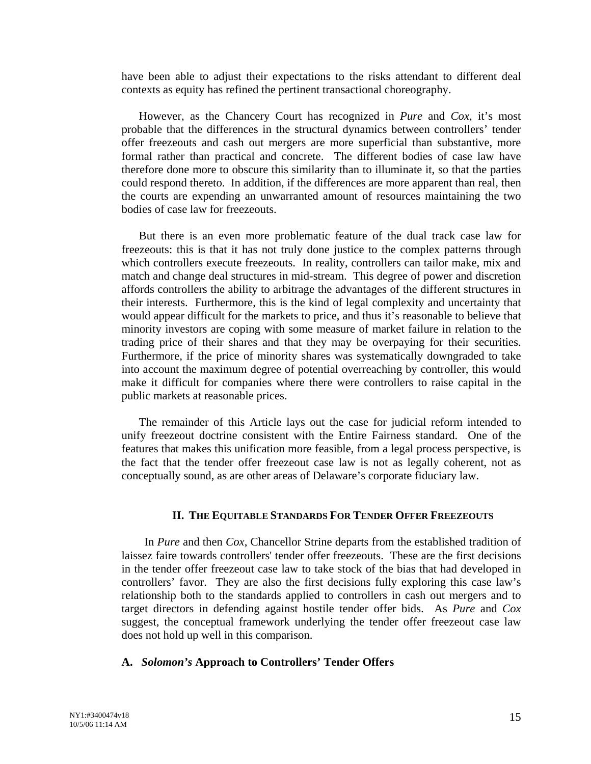have been able to adjust their expectations to the risks attendant to different deal contexts as equity has refined the pertinent transactional choreography.

However, as the Chancery Court has recognized in *Pure* and *Cox*, it's most probable that the differences in the structural dynamics between controllers' tender offer freezeouts and cash out mergers are more superficial than substantive, more formal rather than practical and concrete. The different bodies of case law have therefore done more to obscure this similarity than to illuminate it, so that the parties could respond thereto. In addition, if the differences are more apparent than real, then the courts are expending an unwarranted amount of resources maintaining the two bodies of case law for freezeouts.

But there is an even more problematic feature of the dual track case law for freezeouts: this is that it has not truly done justice to the complex patterns through which controllers execute freezeouts. In reality, controllers can tailor make, mix and match and change deal structures in mid-stream. This degree of power and discretion affords controllers the ability to arbitrage the advantages of the different structures in their interests. Furthermore, this is the kind of legal complexity and uncertainty that would appear difficult for the markets to price, and thus it's reasonable to believe that minority investors are coping with some measure of market failure in relation to the trading price of their shares and that they may be overpaying for their securities. Furthermore, if the price of minority shares was systematically downgraded to take into account the maximum degree of potential overreaching by controller, this would make it difficult for companies where there were controllers to raise capital in the public markets at reasonable prices.

The remainder of this Article lays out the case for judicial reform intended to unify freezeout doctrine consistent with the Entire Fairness standard. One of the features that makes this unification more feasible, from a legal process perspective, is the fact that the tender offer freezeout case law is not as legally coherent, not as conceptually sound, as are other areas of Delaware's corporate fiduciary law.

#### **II. THE EQUITABLE STANDARDS FOR TENDER OFFER FREEZEOUTS**

In *Pure* and then *Cox*, Chancellor Strine departs from the established tradition of laissez faire towards controllers' tender offer freezeouts. These are the first decisions in the tender offer freezeout case law to take stock of the bias that had developed in controllers' favor. They are also the first decisions fully exploring this case law's relationship both to the standards applied to controllers in cash out mergers and to target directors in defending against hostile tender offer bids. As *Pure* and *Cox* suggest, the conceptual framework underlying the tender offer freezeout case law does not hold up well in this comparison.

#### **A.** *Solomon's* **Approach to Controllers' Tender Offers**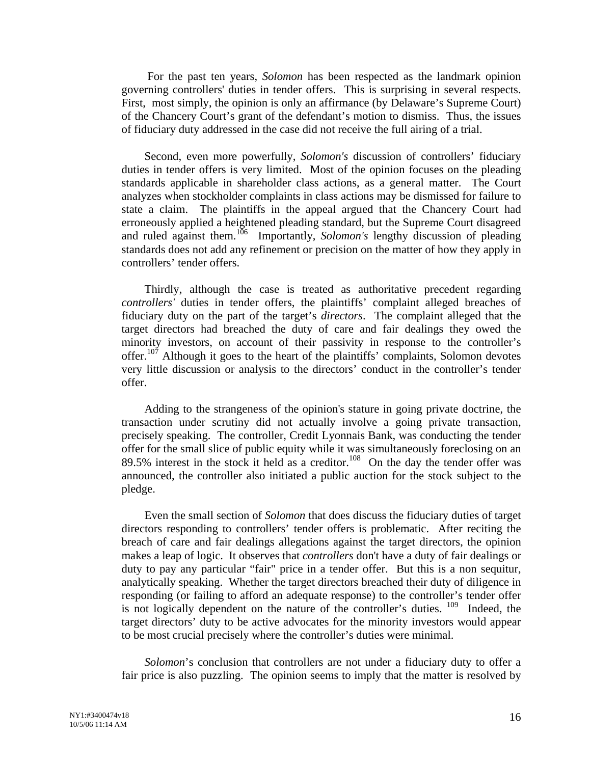For the past ten years, *Solomon* has been respected as the landmark opinion governing controllers' duties in tender offers. This is surprising in several respects. First, most simply, the opinion is only an affirmance (by Delaware's Supreme Court) of the Chancery Court's grant of the defendant's motion to dismiss. Thus, the issues of fiduciary duty addressed in the case did not receive the full airing of a trial.

Second, even more powerfully, *Solomon's* discussion of controllers' fiduciary duties in tender offers is very limited. Most of the opinion focuses on the pleading standards applicable in shareholder class actions, as a general matter. The Court analyzes when stockholder complaints in class actions may be dismissed for failure to state a claim. The plaintiffs in the appeal argued that the Chancery Court had erroneously applied a heightened pleading standard, but the Supreme Court disagreed and ruled against them.<sup>106</sup> Importantly, *Solomon's* lengthy discussion of pleading standards does not add any refinement or precision on the matter of how they apply in controllers' tender offers.

Thirdly, although the case is treated as authoritative precedent regarding *controllers'* duties in tender offers, the plaintiffs' complaint alleged breaches of fiduciary duty on the part of the target's *directors*. The complaint alleged that the target directors had breached the duty of care and fair dealings they owed the minority investors, on account of their passivity in response to the controller's offer.<sup>107</sup> Although it goes to the heart of the plaintiffs' complaints, Solomon devotes very little discussion or analysis to the directors' conduct in the controller's tender offer.

Adding to the strangeness of the opinion's stature in going private doctrine, the transaction under scrutiny did not actually involve a going private transaction, precisely speaking. The controller, Credit Lyonnais Bank, was conducting the tender offer for the small slice of public equity while it was simultaneously foreclosing on an 89.5% interest in the stock it held as a creditor.<sup>108</sup> On the day the tender offer was announced, the controller also initiated a public auction for the stock subject to the pledge.

Even the small section of *Solomon* that does discuss the fiduciary duties of target directors responding to controllers' tender offers is problematic. After reciting the breach of care and fair dealings allegations against the target directors, the opinion makes a leap of logic. It observes that *controllers* don't have a duty of fair dealings or duty to pay any particular "fair" price in a tender offer. But this is a non sequitur, analytically speaking. Whether the target directors breached their duty of diligence in responding (or failing to afford an adequate response) to the controller's tender offer is not logically dependent on the nature of the controller's duties. [109](#page-90-84) Indeed, the target directors' duty to be active advocates for the minority investors would appear to be most crucial precisely where the controller's duties were minimal.

*Solomon*'s conclusion that controllers are not under a fiduciary duty to offer a fair price is also puzzling. The opinion seems to imply that the matter is resolved by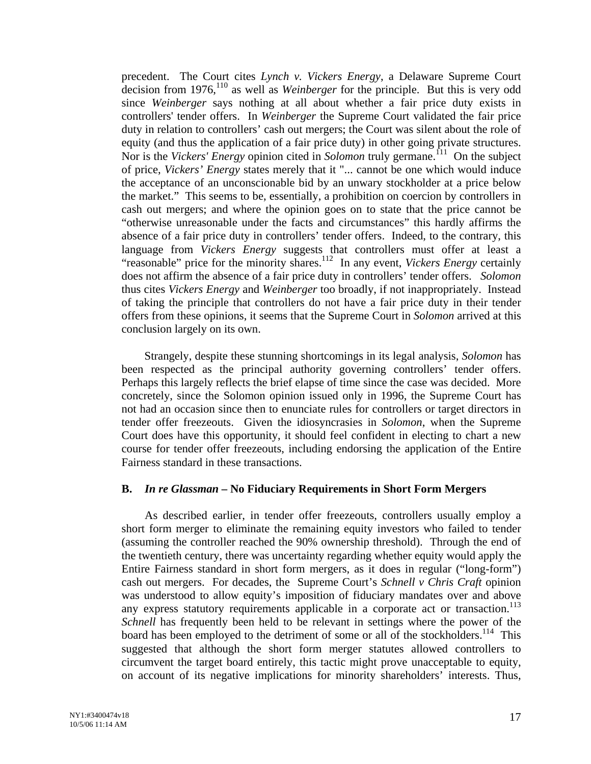precedent. The Court cites *Lynch v. Vickers Energy*, a Delaware Supreme Court decision from 1976,[110 a](#page-90-85)s well as *Weinberger* for the principle. But this is very odd since *Weinberger* says nothing at all about whether a fair price duty exists in controllers' tender offers. In *Weinberger* the Supreme Court validated the fair price duty in relation to controllers' cash out mergers; the Court was silent about the role of equity (and thus the application of a fair price duty) in other going private structures. Nor is the *Vickers' Energy* opinion cited in *Solomon* truly germane.<sup>111</sup> On the subject of price, *Vickers' Energy* states merely that it "... cannot be one which would induce the acceptance of an unconscionable bid by an unwary stockholder at a price below the market." This seems to be, essentially, a prohibition on coercion by controllers in cash out mergers; and where the opinion goes on to state that the price cannot be "otherwise unreasonable under the facts and circumstances" this hardly affirms the absence of a fair price duty in controllers' tender offers. Indeed, to the contrary, this language from *Vickers Energy* suggests that controllers must offer at least a "reasonable" price for the minority shares.<sup>112</sup> In any event, *Vickers Energy* certainly does not affirm the absence of a fair price duty in controllers' tender offers. *Solomon* thus cites *Vickers Energy* and *Weinberger* too broadly, if not inappropriately. Instead of taking the principle that controllers do not have a fair price duty in their tender offers from these opinions, it seems that the Supreme Court in *Solomon* arrived at this conclusion largely on its own.

Strangely, despite these stunning shortcomings in its legal analysis, *Solomon* has been respected as the principal authority governing controllers' tender offers. Perhaps this largely reflects the brief elapse of time since the case was decided. More concretely, since the Solomon opinion issued only in 1996, the Supreme Court has not had an occasion since then to enunciate rules for controllers or target directors in tender offer freezeouts. Given the idiosyncrasies in *Solomon*, when the Supreme Court does have this opportunity, it should feel confident in electing to chart a new course for tender offer freezeouts, including endorsing the application of the Entire Fairness standard in these transactions.

### **B.** *In re Glassman* **– No Fiduciary Requirements in Short Form Mergers**

As described earlier, in tender offer freezeouts, controllers usually employ a short form merger to eliminate the remaining equity investors who failed to tender (assuming the controller reached the 90% ownership threshold). Through the end of the twentieth century, there was uncertainty regarding whether equity would apply the Entire Fairness standard in short form mergers, as it does in regular ("long-form") cash out mergers. For decades, the Supreme Court's *Schnell v Chris Craft* opinion was understood to allow equity's imposition of fiduciary mandates over and above any express statutory requirements applicable in a corporate act or transaction.<sup>113</sup> *Schnell* has frequently been held to be relevant in settings where the power of the board has been employed to the detriment of some or all of the stockholders.<sup>114</sup> This suggested that although the short form merger statutes allowed controllers to circumvent the target board entirely, this tactic might prove unacceptable to equity, on account of its negative implications for minority shareholders' interests. Thus,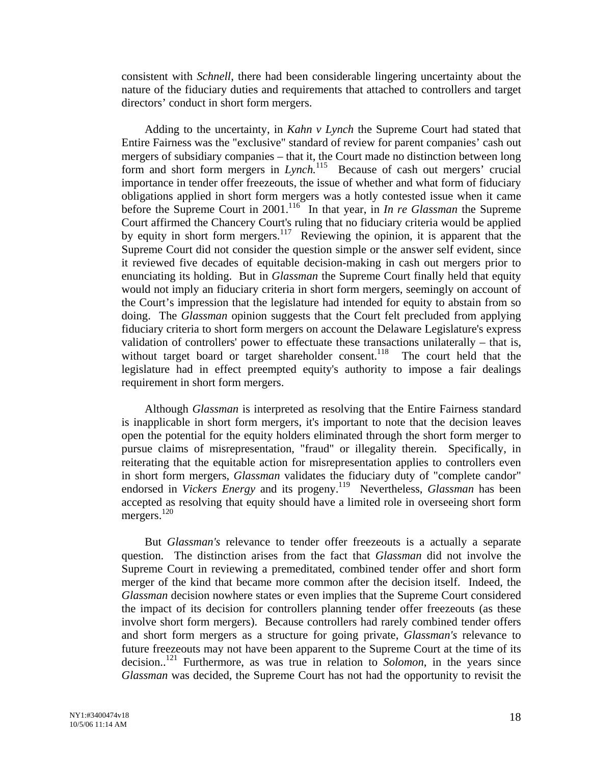consistent with *Schnell*, there had been considerable lingering uncertainty about the nature of the fiduciary duties and requirements that attached to controllers and target directors' conduct in short form mergers.

Adding to the uncertainty, in *Kahn v Lynch* the Supreme Court had stated that Entire Fairness was the "exclusive" standard of review for parent companies' cash out mergers of subsidiary companies – that it, the Court made no distinction between long form and short form mergers in *Lynch.*[115](#page-90-88) Because of cash out mergers' crucial importance in tender offer freezeouts, the issue of whether and what form of fiduciary obligations applied in short form mergers was a hotly contested issue when it came before the Supreme Court in 2001.<sup>116</sup> In that year, in *In re Glassman* the Supreme Court affirmed the Chancery Court's ruling that no fiduciary criteria would be applied by equity in short form mergers.<sup>117</sup> Reviewing the opinion, it is apparent that the Supreme Court did not consider the question simple or the answer self evident, since it reviewed five decades of equitable decision-making in cash out mergers prior to enunciating its holding. But in *Glassman* the Supreme Court finally held that equity would not imply an fiduciary criteria in short form mergers, seemingly on account of the Court's impression that the legislature had intended for equity to abstain from so doing. The *Glassman* opinion suggests that the Court felt precluded from applying fiduciary criteria to short form mergers on account the Delaware Legislature's express validation of controllers' power to effectuate these transactions unilaterally – that is, without target board or target shareholder consent.<sup>118</sup> The court held that the legislature had in effect preempted equity's authority to impose a fair dealings requirement in short form mergers.

Although *Glassman* is interpreted as resolving that the Entire Fairness standard is inapplicable in short form mergers, it's important to note that the decision leaves open the potential for the equity holders eliminated through the short form merger to pursue claims of misrepresentation, "fraud" or illegality therein. Specifically, in reiterating that the equitable action for misrepresentation applies to controllers even in short form mergers, *Glassman* validates the fiduciary duty of "complete candor" endorsed in *Vickers Energy* and its progeny.<sup>[119](#page-90-91)</sup> Nevertheless, *Glassman* has been accepted as resolving that equity should have a limited role in overseeing short form mergers.<sup>120</sup>

But *Glassman's* relevance to tender offer freezeouts is a actually a separate question. The distinction arises from the fact that *Glassman* did not involve the Supreme Court in reviewing a premeditated, combined tender offer and short form merger of the kind that became more common after the decision itself. Indeed, the *Glassman* decision nowhere states or even implies that the Supreme Court considered the impact of its decision for controllers planning tender offer freezeouts (as these involve short form mergers). Because controllers had rarely combined tender offers and short form mergers as a structure for going private, *Glassman's* relevance to future freezeouts may not have been apparent to the Supreme Court at the time of its decision.[.121](#page-90-92) Furthermore, as was true in relation to *Solomon*, in the years since *Glassman* was decided, the Supreme Court has not had the opportunity to revisit the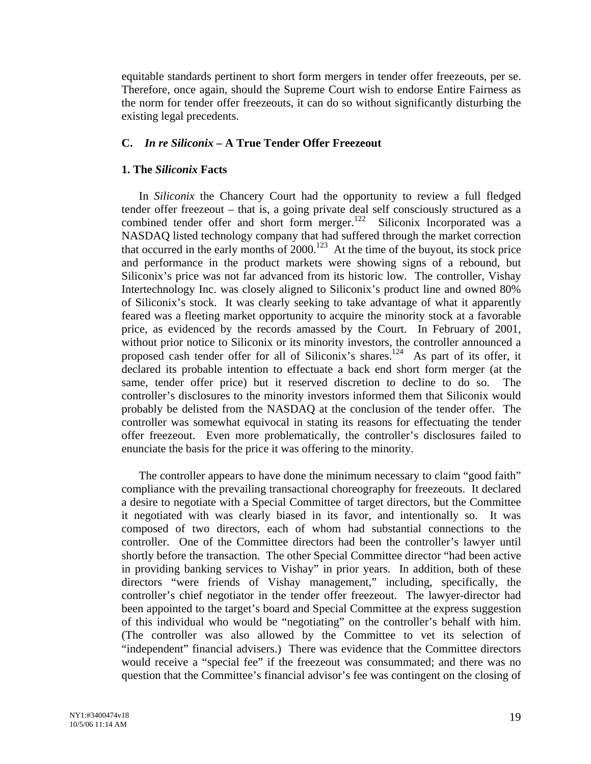equitable standards pertinent to short form mergers in tender offer freezeouts, per se. Therefore, once again, should the Supreme Court wish to endorse Entire Fairness as the norm for tender offer freezeouts, it can do so without significantly disturbing the existing legal precedents.

### **C.** *In re Siliconix* **– A True Tender Offer Freezeout**

#### **1. The** *Siliconix* **Facts**

In *Siliconix* the Chancery Court had the opportunity to review a full fledged tender offer freezeout – that is, a going private deal self consciously structured as a combined tender offer and short form merger.<sup>122</sup> Siliconix Incorporated was a NASDAQ listed technology company that had suffered through the market correction that occurred in the early months of  $2000$ .<sup>123</sup> At the time of the buyout, its stock price and performance in the product markets were showing signs of a rebound, but Siliconix's price was not far advanced from its historic low. The controller, Vishay Intertechnology Inc. was closely aligned to Siliconix's product line and owned 80% of Siliconix's stock. It was clearly seeking to take advantage of what it apparently feared was a fleeting market opportunity to acquire the minority stock at a favorable price, as evidenced by the records amassed by the Court. In February of 2001, without prior notice to Siliconix or its minority investors, the controller announced a proposed cash tender offer for all of Siliconix's shares.[124](#page-90-94) As part of its offer, it declared its probable intention to effectuate a back end short form merger (at the same, tender offer price) but it reserved discretion to decline to do so. The controller's disclosures to the minority investors informed them that Siliconix would probably be delisted from the NASDAQ at the conclusion of the tender offer. The controller was somewhat equivocal in stating its reasons for effectuating the tender offer freezeout. Even more problematically, the controller's disclosures failed to enunciate the basis for the price it was offering to the minority.

The controller appears to have done the minimum necessary to claim "good faith" compliance with the prevailing transactional choreography for freezeouts. It declared a desire to negotiate with a Special Committee of target directors, but the Committee it negotiated with was clearly biased in its favor, and intentionally so. It was composed of two directors, each of whom had substantial connections to the controller. One of the Committee directors had been the controller's lawyer until shortly before the transaction. The other Special Committee director "had been active in providing banking services to Vishay" in prior years. In addition, both of these directors "were friends of Vishay management," including, specifically, the controller's chief negotiator in the tender offer freezeout. The lawyer-director had been appointed to the target's board and Special Committee at the express suggestion of this individual who would be "negotiating" on the controller's behalf with him. (The controller was also allowed by the Committee to vet its selection of "independent" financial advisers.) There was evidence that the Committee directors would receive a "special fee" if the freezeout was consummated; and there was no question that the Committee's financial advisor's fee was contingent on the closing of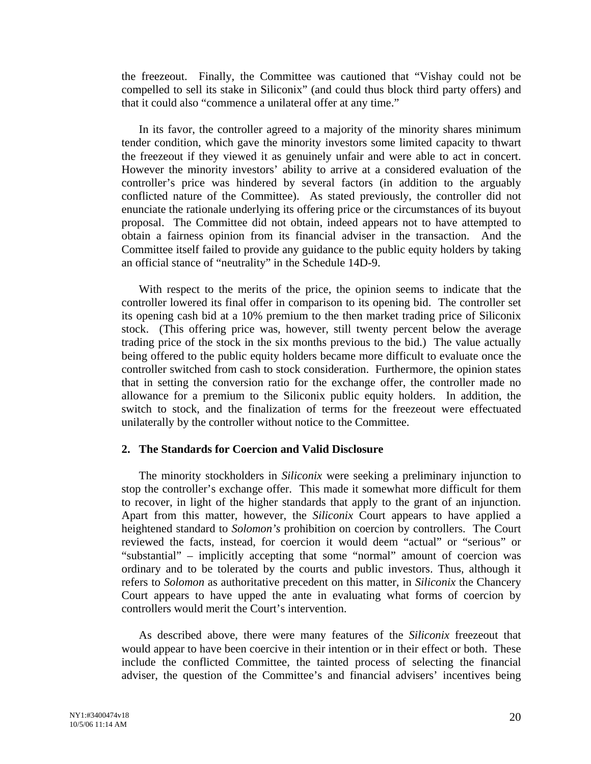the freezeout. Finally, the Committee was cautioned that "Vishay could not be compelled to sell its stake in Siliconix" (and could thus block third party offers) and that it could also "commence a unilateral offer at any time."

In its favor, the controller agreed to a majority of the minority shares minimum tender condition, which gave the minority investors some limited capacity to thwart the freezeout if they viewed it as genuinely unfair and were able to act in concert. However the minority investors' ability to arrive at a considered evaluation of the controller's price was hindered by several factors (in addition to the arguably conflicted nature of the Committee). As stated previously, the controller did not enunciate the rationale underlying its offering price or the circumstances of its buyout proposal. The Committee did not obtain, indeed appears not to have attempted to obtain a fairness opinion from its financial adviser in the transaction. And the Committee itself failed to provide any guidance to the public equity holders by taking an official stance of "neutrality" in the Schedule 14D-9.

With respect to the merits of the price, the opinion seems to indicate that the controller lowered its final offer in comparison to its opening bid. The controller set its opening cash bid at a 10% premium to the then market trading price of Siliconix stock. (This offering price was, however, still twenty percent below the average trading price of the stock in the six months previous to the bid.) The value actually being offered to the public equity holders became more difficult to evaluate once the controller switched from cash to stock consideration. Furthermore, the opinion states that in setting the conversion ratio for the exchange offer, the controller made no allowance for a premium to the Siliconix public equity holders. In addition, the switch to stock, and the finalization of terms for the freezeout were effectuated unilaterally by the controller without notice to the Committee.

### **2. The Standards for Coercion and Valid Disclosure**

The minority stockholders in *Siliconix* were seeking a preliminary injunction to stop the controller's exchange offer. This made it somewhat more difficult for them to recover, in light of the higher standards that apply to the grant of an injunction. Apart from this matter, however, the *Siliconix* Court appears to have applied a heightened standard to *Solomon's* prohibition on coercion by controllers. The Court reviewed the facts, instead, for coercion it would deem "actual" or "serious" or "substantial" – implicitly accepting that some "normal" amount of coercion was ordinary and to be tolerated by the courts and public investors. Thus, although it refers to *Solomon* as authoritative precedent on this matter, in *Siliconix* the Chancery Court appears to have upped the ante in evaluating what forms of coercion by controllers would merit the Court's intervention.

As described above, there were many features of the *Siliconix* freezeout that would appear to have been coercive in their intention or in their effect or both. These include the conflicted Committee, the tainted process of selecting the financial adviser, the question of the Committee's and financial advisers' incentives being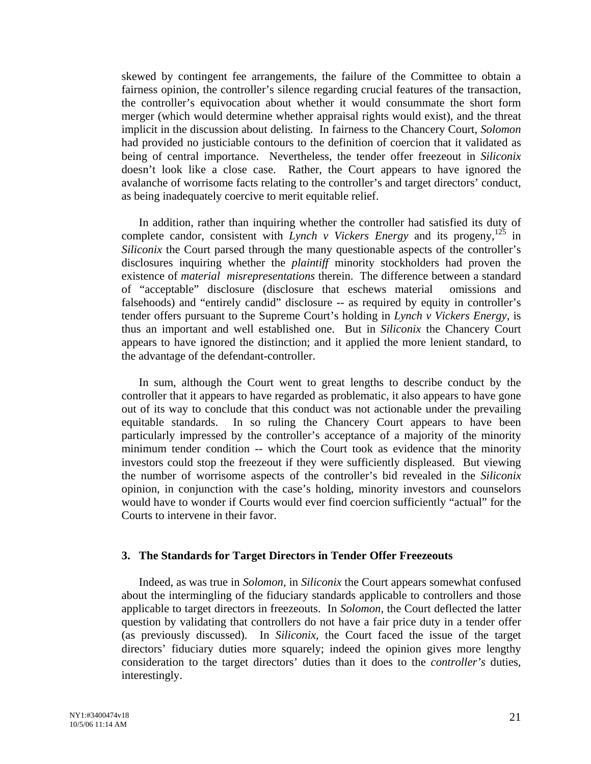skewed by contingent fee arrangements, the failure of the Committee to obtain a fairness opinion, the controller's silence regarding crucial features of the transaction, the controller's equivocation about whether it would consummate the short form merger (which would determine whether appraisal rights would exist), and the threat implicit in the discussion about delisting. In fairness to the Chancery Court, *Solomon* had provided no justiciable contours to the definition of coercion that it validated as being of central importance. Nevertheless, the tender offer freezeout in *Siliconix*  doesn't look like a close case. Rather, the Court appears to have ignored the avalanche of worrisome facts relating to the controller's and target directors' conduct, as being inadequately coercive to merit equitable relief.

In addition, rather than inquiring whether the controller had satisfied its duty of complete candor, consistent with *Lynch v Vickers Energy* and its progeny,<sup>125</sup> in *Siliconix* the Court parsed through the many questionable aspects of the controller's disclosures inquiring whether the *plaintiff* minority stockholders had proven the existence of *material misrepresentations* therein. The difference between a standard of "acceptable" disclosure (disclosure that eschews material omissions and falsehoods) and "entirely candid" disclosure -- as required by equity in controller's tender offers pursuant to the Supreme Court's holding in *Lynch v Vickers Energy*, is thus an important and well established one. But in *Siliconix* the Chancery Court appears to have ignored the distinction; and it applied the more lenient standard, to the advantage of the defendant-controller.

In sum, although the Court went to great lengths to describe conduct by the controller that it appears to have regarded as problematic, it also appears to have gone out of its way to conclude that this conduct was not actionable under the prevailing equitable standards. In so ruling the Chancery Court appears to have been particularly impressed by the controller's acceptance of a majority of the minority minimum tender condition -- which the Court took as evidence that the minority investors could stop the freezeout if they were sufficiently displeased. But viewing the number of worrisome aspects of the controller's bid revealed in the *Siliconix* opinion, in conjunction with the case's holding, minority investors and counselors would have to wonder if Courts would ever find coercion sufficiently "actual" for the Courts to intervene in their favor.

#### **3. The Standards for Target Directors in Tender Offer Freezeouts**

Indeed, as was true in *Solomon*, in *Siliconix* the Court appears somewhat confused about the intermingling of the fiduciary standards applicable to controllers and those applicable to target directors in freezeouts. In *Solomon*, the Court deflected the latter question by validating that controllers do not have a fair price duty in a tender offer (as previously discussed). In *Siliconix*, the Court faced the issue of the target directors' fiduciary duties more squarely; indeed the opinion gives more lengthy consideration to the target directors' duties than it does to the *controller's* duties, interestingly.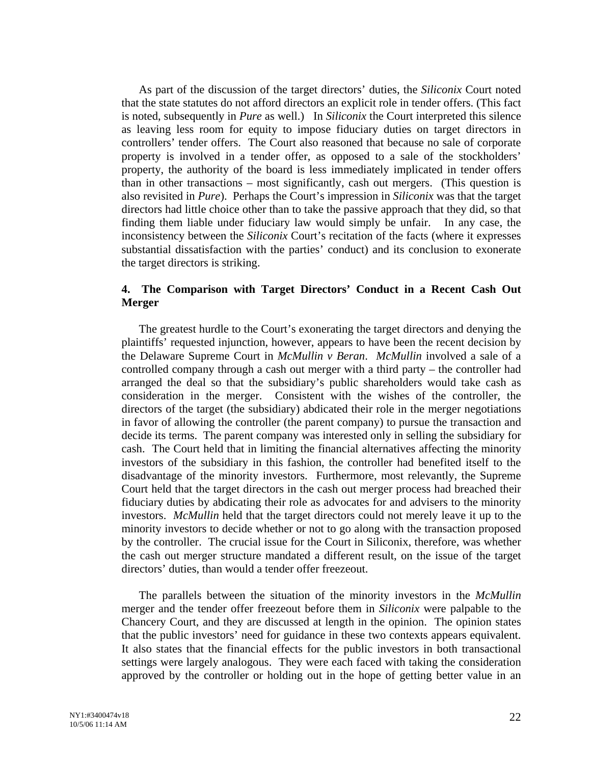As part of the discussion of the target directors' duties, the *Siliconix* Court noted that the state statutes do not afford directors an explicit role in tender offers. (This fact is noted, subsequently in *Pure* as well.) In *Siliconix* the Court interpreted this silence as leaving less room for equity to impose fiduciary duties on target directors in controllers' tender offers. The Court also reasoned that because no sale of corporate property is involved in a tender offer, as opposed to a sale of the stockholders' property, the authority of the board is less immediately implicated in tender offers than in other transactions – most significantly, cash out mergers. (This question is also revisited in *Pure*). Perhaps the Court's impression in *Siliconix* was that the target directors had little choice other than to take the passive approach that they did, so that finding them liable under fiduciary law would simply be unfair. In any case, the inconsistency between the *Siliconix* Court's recitation of the facts (where it expresses substantial dissatisfaction with the parties' conduct) and its conclusion to exonerate the target directors is striking.

## **4. The Comparison with Target Directors' Conduct in a Recent Cash Out Merger**

The greatest hurdle to the Court's exonerating the target directors and denying the plaintiffs' requested injunction, however, appears to have been the recent decision by the Delaware Supreme Court in *McMullin v Beran*. *McMullin* involved a sale of a controlled company through a cash out merger with a third party – the controller had arranged the deal so that the subsidiary's public shareholders would take cash as consideration in the merger. Consistent with the wishes of the controller, the directors of the target (the subsidiary) abdicated their role in the merger negotiations in favor of allowing the controller (the parent company) to pursue the transaction and decide its terms. The parent company was interested only in selling the subsidiary for cash. The Court held that in limiting the financial alternatives affecting the minority investors of the subsidiary in this fashion, the controller had benefited itself to the disadvantage of the minority investors. Furthermore, most relevantly, the Supreme Court held that the target directors in the cash out merger process had breached their fiduciary duties by abdicating their role as advocates for and advisers to the minority investors. *McMullin* held that the target directors could not merely leave it up to the minority investors to decide whether or not to go along with the transaction proposed by the controller. The crucial issue for the Court in Siliconix, therefore, was whether the cash out merger structure mandated a different result, on the issue of the target directors' duties, than would a tender offer freezeout.

The parallels between the situation of the minority investors in the *McMullin* merger and the tender offer freezeout before them in *Siliconix* were palpable to the Chancery Court, and they are discussed at length in the opinion. The opinion states that the public investors' need for guidance in these two contexts appears equivalent. It also states that the financial effects for the public investors in both transactional settings were largely analogous. They were each faced with taking the consideration approved by the controller or holding out in the hope of getting better value in an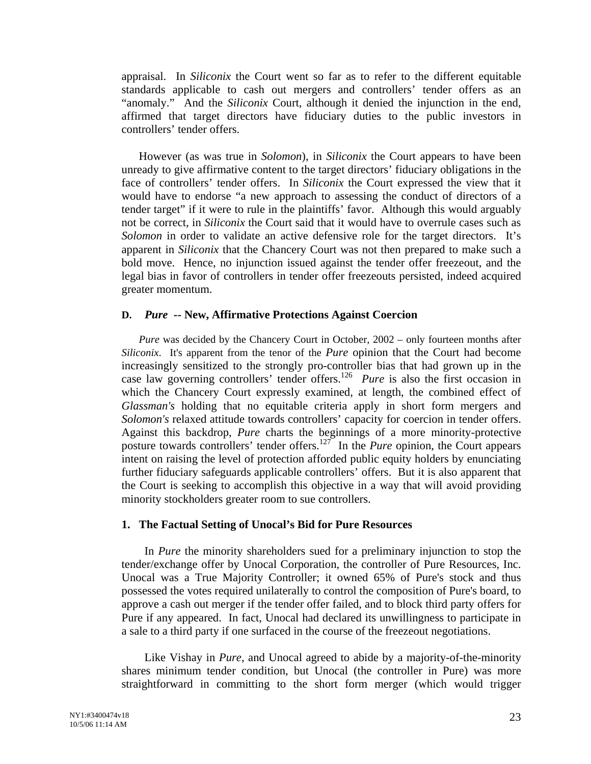appraisal. In *Siliconix* the Court went so far as to refer to the different equitable standards applicable to cash out mergers and controllers' tender offers as an "anomaly." And the *Siliconix* Court, although it denied the injunction in the end, affirmed that target directors have fiduciary duties to the public investors in controllers' tender offers.

However (as was true in *Solomon*), in *Siliconix* the Court appears to have been unready to give affirmative content to the target directors' fiduciary obligations in the face of controllers' tender offers. In *Siliconix* the Court expressed the view that it would have to endorse "a new approach to assessing the conduct of directors of a tender target" if it were to rule in the plaintiffs' favor. Although this would arguably not be correct, in *Siliconix* the Court said that it would have to overrule cases such as *Solomon* in order to validate an active defensive role for the target directors. It's apparent in *Siliconix* that the Chancery Court was not then prepared to make such a bold move. Hence, no injunction issued against the tender offer freezeout, and the legal bias in favor of controllers in tender offer freezeouts persisted, indeed acquired greater momentum.

### **D.** *Pure* **-- New, Affirmative Protections Against Coercion**

*Pure* was decided by the Chancery Court in October, 2002 – only fourteen months after *Siliconix*. It's apparent from the tenor of the *Pure* opinion that the Court had become increasingly sensitized to the strongly pro-controller bias that had grown up in the case law governing controllers' tender offers[.126](#page-90-73) *Pure* is also the first occasion in which the Chancery Court expressly examined, at length, the combined effect of *Glassman's* holding that no equitable criteria apply in short form mergers and *Solomon's* relaxed attitude towards controllers' capacity for coercion in tender offers. Against this backdrop, *Pure* charts the beginnings of a more minority-protective posture towards controllers' tender offers.<sup>127</sup> In the *Pure* opinion, the Court appears intent on raising the level of protection afforded public equity holders by enunciating further fiduciary safeguards applicable controllers' offers. But it is also apparent that the Court is seeking to accomplish this objective in a way that will avoid providing minority stockholders greater room to sue controllers.

### **1. The Factual Setting of Unocal's Bid for Pure Resources**

In *Pure* the minority shareholders sued for a preliminary injunction to stop the tender/exchange offer by Unocal Corporation, the controller of Pure Resources, Inc. Unocal was a True Majority Controller; it owned 65% of Pure's stock and thus possessed the votes required unilaterally to control the composition of Pure's board, to approve a cash out merger if the tender offer failed, and to block third party offers for Pure if any appeared. In fact, Unocal had declared its unwillingness to participate in a sale to a third party if one surfaced in the course of the freezeout negotiations.

Like Vishay in *Pure*, and Unocal agreed to abide by a majority-of-the-minority shares minimum tender condition, but Unocal (the controller in Pure) was more straightforward in committing to the short form merger (which would trigger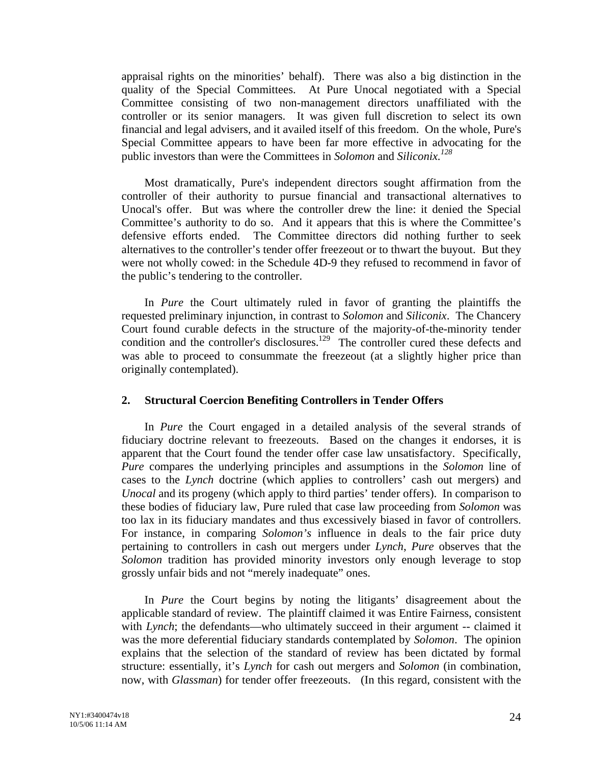appraisal rights on the minorities' behalf). There was also a big distinction in the quality of the Special Committees. At Pure Unocal negotiated with a Special Committee consisting of two non-management directors unaffiliated with the controller or its senior managers. It was given full discretion to select its own financial and legal advisers, and it availed itself of this freedom. On the whole, Pure's Special Committee appears to have been far more effective in advocating for the public investors than were the Committees in *Solomon* and *Siliconix.[128](#page-90-95)* 

Most dramatically, Pure's independent directors sought affirmation from the controller of their authority to pursue financial and transactional alternatives to Unocal's offer. But was where the controller drew the line: it denied the Special Committee's authority to do so. And it appears that this is where the Committee's defensive efforts ended. The Committee directors did nothing further to seek alternatives to the controller's tender offer freezeout or to thwart the buyout. But they were not wholly cowed: in the Schedule 4D-9 they refused to recommend in favor of the public's tendering to the controller.

In *Pure* the Court ultimately ruled in favor of granting the plaintiffs the requested preliminary injunction, in contrast to *Solomon* and *Siliconix*. The Chancery Court found curable defects in the structure of the majority-of-the-minority tender condition and the controller's disclosures.<sup>129</sup> The controller cured these defects and was able to proceed to consummate the freezeout (at a slightly higher price than originally contemplated).

### **2. Structural Coercion Benefiting Controllers in Tender Offers**

In *Pure* the Court engaged in a detailed analysis of the several strands of fiduciary doctrine relevant to freezeouts. Based on the changes it endorses, it is apparent that the Court found the tender offer case law unsatisfactory. Specifically, *Pure* compares the underlying principles and assumptions in the *Solomon* line of cases to the *Lynch* doctrine (which applies to controllers' cash out mergers) and *Unocal* and its progeny (which apply to third parties' tender offers). In comparison to these bodies of fiduciary law, Pure ruled that case law proceeding from *Solomon* was too lax in its fiduciary mandates and thus excessively biased in favor of controllers. For instance, in comparing *Solomon's* influence in deals to the fair price duty pertaining to controllers in cash out mergers under *Lynch*, *Pure* observes that the *Solomon* tradition has provided minority investors only enough leverage to stop grossly unfair bids and not "merely inadequate" ones.

In *Pure* the Court begins by noting the litigants' disagreement about the applicable standard of review. The plaintiff claimed it was Entire Fairness, consistent with *Lynch*; the defendants—who ultimately succeed in their argument -- claimed it was the more deferential fiduciary standards contemplated by *Solomon*. The opinion explains that the selection of the standard of review has been dictated by formal structure: essentially, it's *Lynch* for cash out mergers and *Solomon* (in combination, now, with *Glassman*) for tender offer freezeouts. (In this regard, consistent with the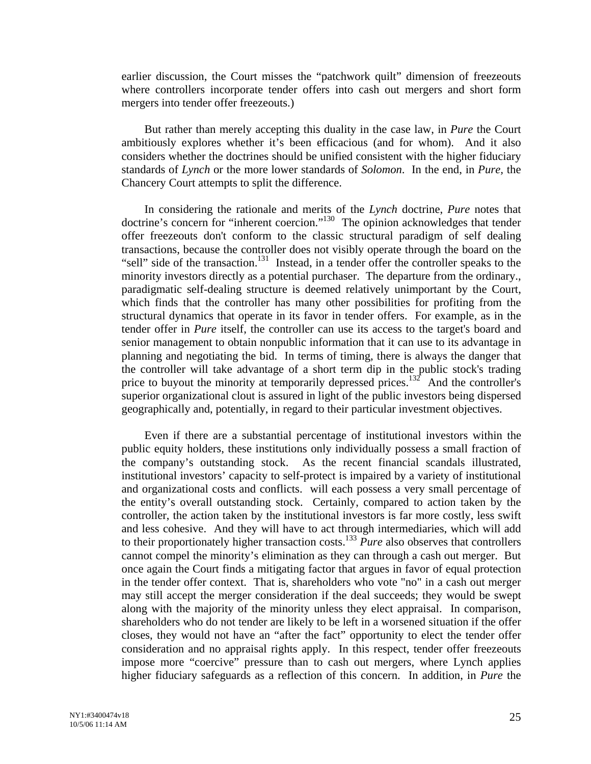earlier discussion, the Court misses the "patchwork quilt" dimension of freezeouts where controllers incorporate tender offers into cash out mergers and short form mergers into tender offer freezeouts.)

But rather than merely accepting this duality in the case law, in *Pure* the Court ambitiously explores whether it's been efficacious (and for whom). And it also considers whether the doctrines should be unified consistent with the higher fiduciary standards of *Lynch* or the more lower standards of *Solomon*. In the end, in *Pure,* the Chancery Court attempts to split the difference.

In considering the rationale and merits of the *Lynch* doctrine, *Pure* notes that doctrine's concern for "inherent coercion."[130](#page-90-96) The opinion acknowledges that tender offer freezeouts don't conform to the classic structural paradigm of self dealing transactions, because the controller does not visibly operate through the board on the "sell" side of the transaction.<sup>131</sup> Instead, in a tender offer the controller speaks to the minority investors directly as a potential purchaser. The departure from the ordinary., paradigmatic self-dealing structure is deemed relatively unimportant by the Court, which finds that the controller has many other possibilities for profiting from the structural dynamics that operate in its favor in tender offers. For example, as in the tender offer in *Pure* itself, the controller can use its access to the target's board and senior management to obtain nonpublic information that it can use to its advantage in planning and negotiating the bid. In terms of timing, there is always the danger that the controller will take advantage of a short term dip in the public stock's trading price to buyout the minority at temporarily depressed prices.<sup>132</sup> And the controller's superior organizational clout is assured in light of the public investors being dispersed geographically and, potentially, in regard to their particular investment objectives.

Even if there are a substantial percentage of institutional investors within the public equity holders, these institutions only individually possess a small fraction of the company's outstanding stock. As the recent financial scandals illustrated, institutional investors' capacity to self-protect is impaired by a variety of institutional and organizational costs and conflicts. will each possess a very small percentage of the entity's overall outstanding stock. Certainly, compared to action taken by the controller, the action taken by the institutional investors is far more costly, less swift and less cohesive. And they will have to act through intermediaries, which will add to their proportionately higher transaction costs.<sup>[133](#page-90-99)</sup> *Pure* also observes that controllers cannot compel the minority's elimination as they can through a cash out merger. But once again the Court finds a mitigating factor that argues in favor of equal protection in the tender offer context. That is, shareholders who vote "no" in a cash out merger may still accept the merger consideration if the deal succeeds; they would be swept along with the majority of the minority unless they elect appraisal. In comparison, shareholders who do not tender are likely to be left in a worsened situation if the offer closes, they would not have an "after the fact" opportunity to elect the tender offer consideration and no appraisal rights apply. In this respect, tender offer freezeouts impose more "coercive" pressure than to cash out mergers, where Lynch applies higher fiduciary safeguards as a reflection of this concern. In addition, in *Pure* the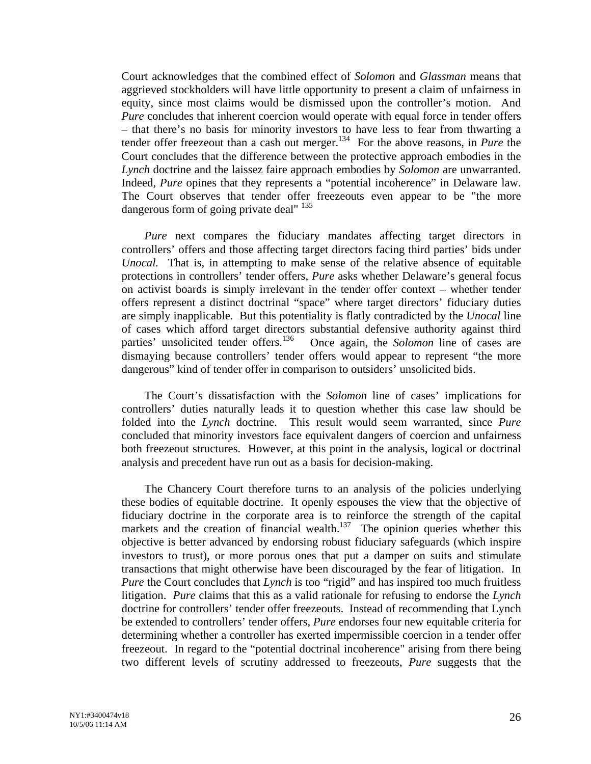Court acknowledges that the combined effect of *Solomon* and *Glassman* means that aggrieved stockholders will have little opportunity to present a claim of unfairness in equity, since most claims would be dismissed upon the controller's motion. And *Pure* concludes that inherent coercion would operate with equal force in tender offers – that there's no basis for minority investors to have less to fear from thwarting a tender offer freezeout than a cash out merger.[134](#page-90-100) For the above reasons, in *Pure* the Court concludes that the difference between the protective approach embodies in the *Lynch* doctrine and the laissez faire approach embodies by *Solomon* are unwarranted. Indeed, *Pure* opines that they represents a "potential incoherence" in Delaware law. The Court observes that tender offer freezeouts even appear to be "the more dangerous form of going private deal"  $^{135}$ 

*Pure* next compares the fiduciary mandates affecting target directors in controllers' offers and those affecting target directors facing third parties' bids under *Unocal.* That is, in attempting to make sense of the relative absence of equitable protections in controllers' tender offers, *Pure* asks whether Delaware's general focus on activist boards is simply irrelevant in the tender offer context – whether tender offers represent a distinct doctrinal "space" where target directors' fiduciary duties are simply inapplicable. But this potentiality is flatly contradicted by the *Unocal* line of cases which afford target directors substantial defensive authority against third parties' unsolicited tender offers.<sup>136</sup> Once again, the *Solomon* line of cases are Once again, the *Solomon* line of cases are dismaying because controllers' tender offers would appear to represent "the more dangerous" kind of tender offer in comparison to outsiders' unsolicited bids.

The Court's dissatisfaction with the *Solomon* line of cases' implications for controllers' duties naturally leads it to question whether this case law should be folded into the *Lynch* doctrine. This result would seem warranted, since *Pure* concluded that minority investors face equivalent dangers of coercion and unfairness both freezeout structures. However, at this point in the analysis, logical or doctrinal analysis and precedent have run out as a basis for decision-making.

The Chancery Court therefore turns to an analysis of the policies underlying these bodies of equitable doctrine. It openly espouses the view that the objective of fiduciary doctrine in the corporate area is to reinforce the strength of the capital markets and the creation of financial wealth. $137$  The opinion queries whether this objective is better advanced by endorsing robust fiduciary safeguards (which inspire investors to trust), or more porous ones that put a damper on suits and stimulate transactions that might otherwise have been discouraged by the fear of litigation. In *Pure* the Court concludes that *Lynch* is too "rigid" and has inspired too much fruitless litigation. *Pure* claims that this as a valid rationale for refusing to endorse the *Lynch* doctrine for controllers' tender offer freezeouts. Instead of recommending that Lynch be extended to controllers' tender offers, *Pure* endorses four new equitable criteria for determining whether a controller has exerted impermissible coercion in a tender offer freezeout. In regard to the "potential doctrinal incoherence" arising from there being two different levels of scrutiny addressed to freezeouts, *Pure* suggests that the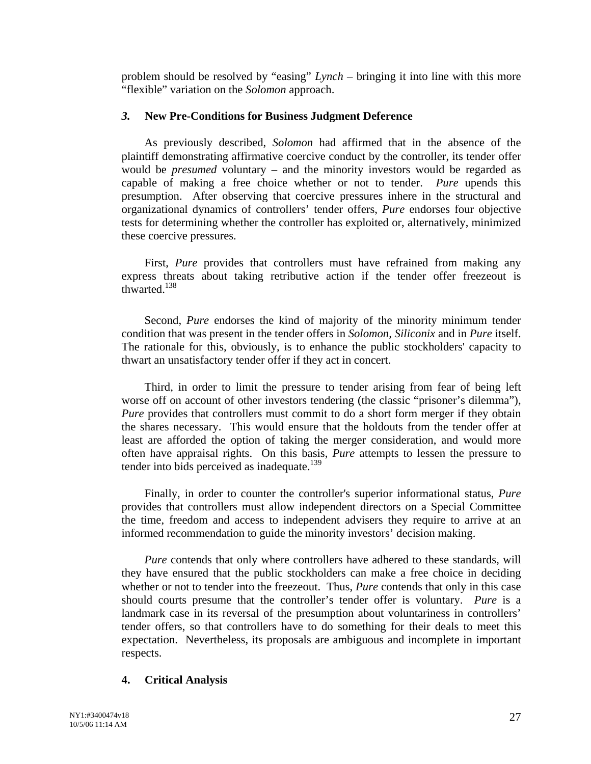problem should be resolved by "easing" *Lynch* – bringing it into line with this more "flexible" variation on the *Solomon* approach.

### *3.* **New Pre-Conditions for Business Judgment Deference**

As previously described, *Solomon* had affirmed that in the absence of the plaintiff demonstrating affirmative coercive conduct by the controller, its tender offer would be *presumed* voluntary – and the minority investors would be regarded as capable of making a free choice whether or not to tender. *Pure* upends this presumption. After observing that coercive pressures inhere in the structural and organizational dynamics of controllers' tender offers, *Pure* endorses four objective tests for determining whether the controller has exploited or, alternatively, minimized these coercive pressures.

First, *Pure* provides that controllers must have refrained from making any express threats about taking retributive action if the tender offer freezeout is thwarted.<sup>138</sup>

Second, *Pure* endorses the kind of majority of the minority minimum tender condition that was present in the tender offers in *Solomon, Siliconix* and in *Pure* itself. The rationale for this, obviously, is to enhance the public stockholders' capacity to thwart an unsatisfactory tender offer if they act in concert.

Third, in order to limit the pressure to tender arising from fear of being left worse off on account of other investors tendering (the classic "prisoner's dilemma"), *Pure* provides that controllers must commit to do a short form merger if they obtain the shares necessary. This would ensure that the holdouts from the tender offer at least are afforded the option of taking the merger consideration, and would more often have appraisal rights. On this basis, *Pure* attempts to lessen the pressure to tender into bids perceived as inadequate.<sup>139</sup>

Finally, in order to counter the controller's superior informational status, *Pure* provides that controllers must allow independent directors on a Special Committee the time, freedom and access to independent advisers they require to arrive at an informed recommendation to guide the minority investors' decision making.

*Pure* contends that only where controllers have adhered to these standards, will they have ensured that the public stockholders can make a free choice in deciding whether or not to tender into the freezeout. Thus, *Pure* contends that only in this case should courts presume that the controller's tender offer is voluntary. *Pure* is a landmark case in its reversal of the presumption about voluntariness in controllers' tender offers, so that controllers have to do something for their deals to meet this expectation. Nevertheless, its proposals are ambiguous and incomplete in important respects.

# **4. Critical Analysis**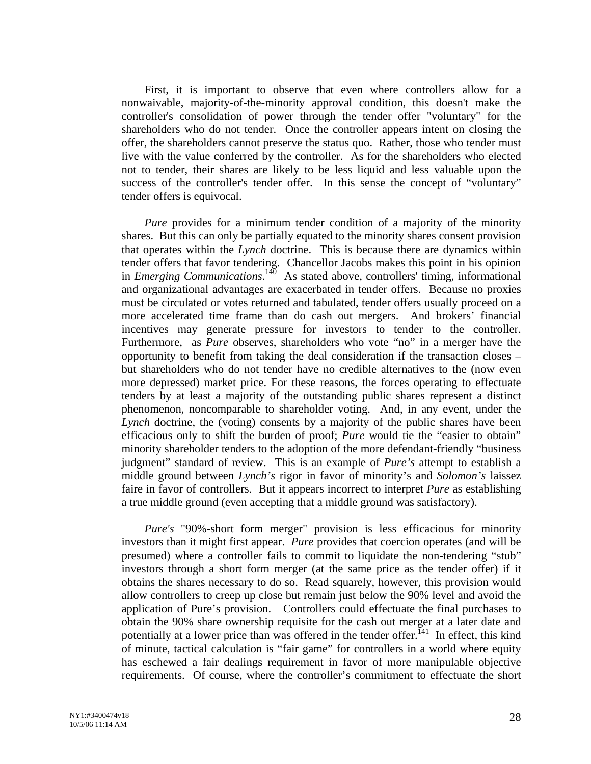First, it is important to observe that even where controllers allow for a nonwaivable, majority-of-the-minority approval condition, this doesn't make the controller's consolidation of power through the tender offer "voluntary" for the shareholders who do not tender. Once the controller appears intent on closing the offer, the shareholders cannot preserve the status quo. Rather, those who tender must live with the value conferred by the controller. As for the shareholders who elected not to tender, their shares are likely to be less liquid and less valuable upon the success of the controller's tender offer. In this sense the concept of "voluntary" tender offers is equivocal.

*Pure* provides for a minimum tender condition of a majority of the minority shares. But this can only be partially equated to the minority shares consent provision that operates within the *Lynch* doctrine. This is because there are dynamics within tender offers that favor tendering. Chancellor Jacobs makes this point in his opinion in *Emerging Communications*.<sup>140</sup> As stated above, controllers' timing, informational and organizational advantages are exacerbated in tender offers. Because no proxies must be circulated or votes returned and tabulated, tender offers usually proceed on a more accelerated time frame than do cash out mergers. And brokers' financial incentives may generate pressure for investors to tender to the controller. Furthermore, as *Pure* observes, shareholders who vote "no" in a merger have the opportunity to benefit from taking the deal consideration if the transaction closes – but shareholders who do not tender have no credible alternatives to the (now even more depressed) market price. For these reasons, the forces operating to effectuate tenders by at least a majority of the outstanding public shares represent a distinct phenomenon, noncomparable to shareholder voting. And, in any event, under the *Lynch* doctrine, the (voting) consents by a majority of the public shares have been efficacious only to shift the burden of proof; *Pure* would tie the "easier to obtain" minority shareholder tenders to the adoption of the more defendant-friendly "business judgment" standard of review. This is an example of *Pure's* attempt to establish a middle ground between *Lynch's* rigor in favor of minority's and *Solomon's* laissez faire in favor of controllers. But it appears incorrect to interpret *Pure* as establishing a true middle ground (even accepting that a middle ground was satisfactory).

*Pure's* "90%-short form merger" provision is less efficacious for minority investors than it might first appear. *Pure* provides that coercion operates (and will be presumed) where a controller fails to commit to liquidate the non-tendering "stub" investors through a short form merger (at the same price as the tender offer) if it obtains the shares necessary to do so. Read squarely, however, this provision would allow controllers to creep up close but remain just below the 90% level and avoid the application of Pure's provision. Controllers could effectuate the final purchases to obtain the 90% share ownership requisite for the cash out merger at a later date and potentially at a lower price than was offered in the tender offer.<sup>141</sup> In effect, this kind of minute, tactical calculation is "fair game" for controllers in a world where equity has eschewed a fair dealings requirement in favor of more manipulable objective requirements. Of course, where the controller's commitment to effectuate the short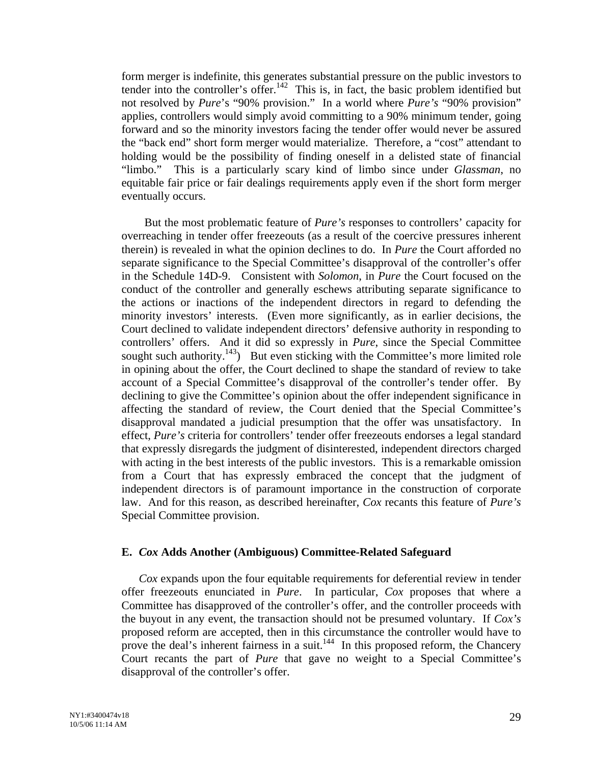form merger is indefinite, this generates substantial pressure on the public investors to tender into the controller's offer.<sup>142</sup> This is, in fact, the basic problem identified but not resolved by *Pure*'s "90% provision." In a world where *Pure's* "90% provision" applies, controllers would simply avoid committing to a 90% minimum tender, going forward and so the minority investors facing the tender offer would never be assured the "back end" short form merger would materialize. Therefore, a "cost" attendant to holding would be the possibility of finding oneself in a delisted state of financial "limbo." This is a particularly scary kind of limbo since under *Glassman*, no equitable fair price or fair dealings requirements apply even if the short form merger eventually occurs.

But the most problematic feature of *Pure's* responses to controllers' capacity for overreaching in tender offer freezeouts (as a result of the coercive pressures inherent therein) is revealed in what the opinion declines to do. In *Pure* the Court afforded no separate significance to the Special Committee's disapproval of the controller's offer in the Schedule 14D-9. Consistent with *Solomon*, in *Pure* the Court focused on the conduct of the controller and generally eschews attributing separate significance to the actions or inactions of the independent directors in regard to defending the minority investors' interests. (Even more significantly, as in earlier decisions, the Court declined to validate independent directors' defensive authority in responding to controllers' offers. And it did so expressly in *Pure*, since the Special Committee sought such authority.<sup>143</sup>) But even sticking with the Committee's more limited role in opining about the offer, the Court declined to shape the standard of review to take account of a Special Committee's disapproval of the controller's tender offer. By declining to give the Committee's opinion about the offer independent significance in affecting the standard of review, the Court denied that the Special Committee's disapproval mandated a judicial presumption that the offer was unsatisfactory. In effect, *Pure's* criteria for controllers' tender offer freezeouts endorses a legal standard that expressly disregards the judgment of disinterested, independent directors charged with acting in the best interests of the public investors. This is a remarkable omission from a Court that has expressly embraced the concept that the judgment of independent directors is of paramount importance in the construction of corporate law. And for this reason, as described hereinafter, *Cox* recants this feature of *Pure's* Special Committee provision.

### **E.** *Cox* **Adds Another (Ambiguous) Committee-Related Safeguard**

 *Cox* expands upon the four equitable requirements for deferential review in tender offer freezeouts enunciated in *Pure*. In particular, *Cox* proposes that where a Committee has disapproved of the controller's offer, and the controller proceeds with the buyout in any event, the transaction should not be presumed voluntary. If *Cox's* proposed reform are accepted, then in this circumstance the controller would have to prove the deal's inherent fairness in a suit. $144$  In this proposed reform, the Chancery Court recants the part of *Pure* that gave no weight to a Special Committee's disapproval of the controller's offer.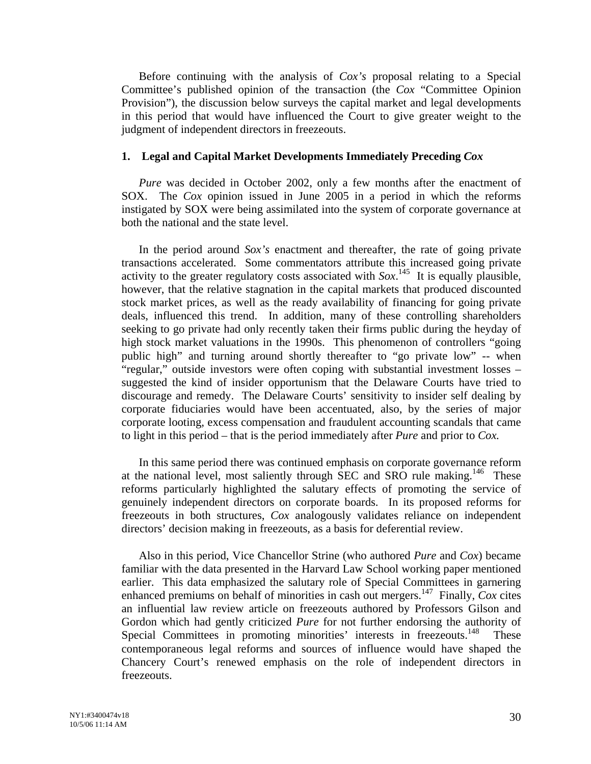Before continuing with the analysis of *Cox's* proposal relating to a Special Committee's published opinion of the transaction (the *Cox* "Committee Opinion Provision"), the discussion below surveys the capital market and legal developments in this period that would have influenced the Court to give greater weight to the judgment of independent directors in freezeouts.

### **1. Legal and Capital Market Developments Immediately Preceding** *Cox*

*Pure* was decided in October 2002, only a few months after the enactment of SOX. The *Cox* opinion issued in June 2005 in a period in which the reforms instigated by SOX were being assimilated into the system of corporate governance at both the national and the state level.

In the period around *Sox's* enactment and thereafter, the rate of going private transactions accelerated. Some commentators attribute this increased going private activity to the greater regulatory costs associated with  $Sox$ <sup>145</sup> It is equally plausible, however, that the relative stagnation in the capital markets that produced discounted stock market prices, as well as the ready availability of financing for going private deals, influenced this trend. In addition, many of these controlling shareholders seeking to go private had only recently taken their firms public during the heyday of high stock market valuations in the 1990s. This phenomenon of controllers "going public high" and turning around shortly thereafter to "go private low" -- when "regular," outside investors were often coping with substantial investment losses – suggested the kind of insider opportunism that the Delaware Courts have tried to discourage and remedy. The Delaware Courts' sensitivity to insider self dealing by corporate fiduciaries would have been accentuated, also, by the series of major corporate looting, excess compensation and fraudulent accounting scandals that came to light in this period – that is the period immediately after *Pure* and prior to *Cox.*

In this same period there was continued emphasis on corporate governance reform at the national level, most saliently through SEC and SRO rule making.<sup>146</sup> These reforms particularly highlighted the salutary effects of promoting the service of genuinely independent directors on corporate boards. In its proposed reforms for freezeouts in both structures, *Cox* analogously validates reliance on independent directors' decision making in freezeouts, as a basis for deferential review.

Also in this period, Vice Chancellor Strine (who authored *Pure* and *Cox*) became familiar with the data presented in the Harvard Law School working paper mentioned earlier. This data emphasized the salutary role of Special Committees in garnering enhanced premiums on behalf of minorities in cash out mergers.[147](#page-90-107) Finally, *Cox* cites an influential law review article on freezeouts authored by Professors Gilson and Gordon which had gently criticized *Pure* for not further endorsing the authority of Special Committees in promoting minorities' interests in freezeouts.<sup>148</sup> These contemporaneous legal reforms and sources of influence would have shaped the Chancery Court's renewed emphasis on the role of independent directors in freezeouts.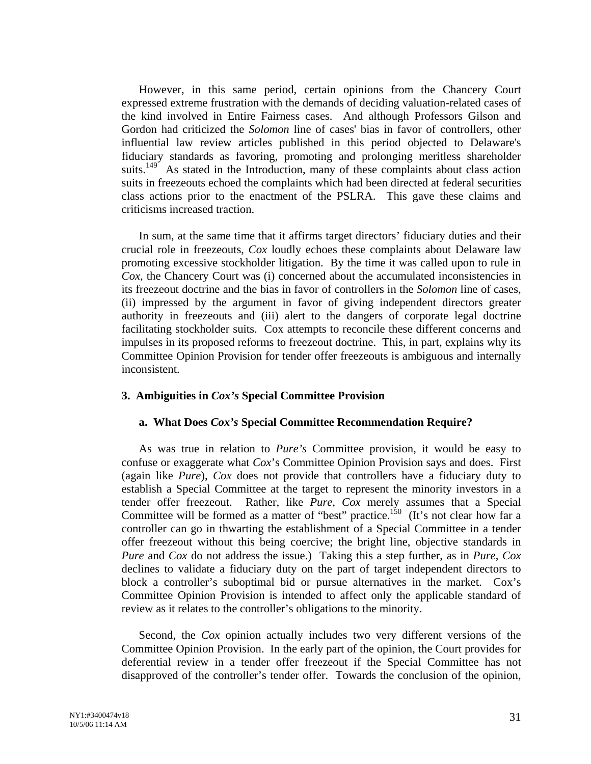However, in this same period, certain opinions from the Chancery Court expressed extreme frustration with the demands of deciding valuation-related cases of the kind involved in Entire Fairness cases. And although Professors Gilson and Gordon had criticized the *Solomon* line of cases' bias in favor of controllers, other influential law review articles published in this period objected to Delaware's fiduciary standards as favoring, promoting and prolonging meritless shareholder suits.<sup>149</sup> As stated in the Introduction, many of these complaints about class action suits in freezeouts echoed the complaints which had been directed at federal securities class actions prior to the enactment of the PSLRA. This gave these claims and criticisms increased traction.

In sum, at the same time that it affirms target directors' fiduciary duties and their crucial role in freezeouts, *Cox* loudly echoes these complaints about Delaware law promoting excessive stockholder litigation. By the time it was called upon to rule in *Cox*, the Chancery Court was (i) concerned about the accumulated inconsistencies in its freezeout doctrine and the bias in favor of controllers in the *Solomon* line of cases, (ii) impressed by the argument in favor of giving independent directors greater authority in freezeouts and (iii) alert to the dangers of corporate legal doctrine facilitating stockholder suits. Cox attempts to reconcile these different concerns and impulses in its proposed reforms to freezeout doctrine. This, in part, explains why its Committee Opinion Provision for tender offer freezeouts is ambiguous and internally inconsistent.

### **3. Ambiguities in** *Cox's* **Special Committee Provision**

### **a. What Does** *Cox's* **Special Committee Recommendation Require?**

As was true in relation to *Pure's* Committee provision, it would be easy to confuse or exaggerate what *Cox*'s Committee Opinion Provision says and does. First (again like *Pure*), *Cox* does not provide that controllers have a fiduciary duty to establish a Special Committee at the target to represent the minority investors in a tender offer freezeout. Rather, like *Pure*, *Cox* merely assumes that a Special Committee will be formed as a matter of "best" practice.<sup>150</sup> (It's not clear how far a controller can go in thwarting the establishment of a Special Committee in a tender offer freezeout without this being coercive; the bright line, objective standards in *Pure* and *Cox* do not address the issue.) Taking this a step further, as in *Pure*, *Cox* declines to validate a fiduciary duty on the part of target independent directors to block a controller's suboptimal bid or pursue alternatives in the market. Cox's Committee Opinion Provision is intended to affect only the applicable standard of review as it relates to the controller's obligations to the minority.

Second, the *Cox* opinion actually includes two very different versions of the Committee Opinion Provision. In the early part of the opinion, the Court provides for deferential review in a tender offer freezeout if the Special Committee has not disapproved of the controller's tender offer. Towards the conclusion of the opinion,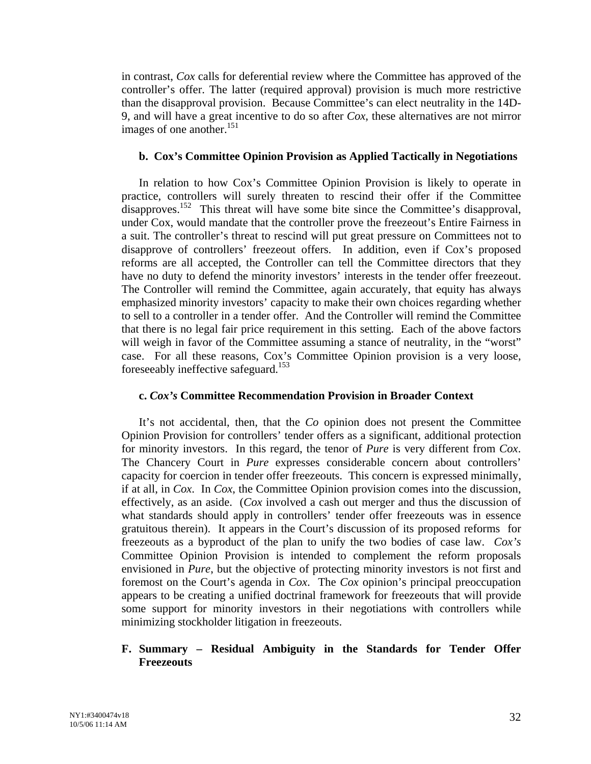in contrast, *Cox* calls for deferential review where the Committee has approved of the controller's offer. The latter (required approval) provision is much more restrictive than the disapproval provision. Because Committee's can elect neutrality in the 14D-9, and will have a great incentive to do so after *Cox*, these alternatives are not mirror images of one another. $^{151}$ 

### **b. Cox's Committee Opinion Provision as Applied Tactically in Negotiations**

In relation to how Cox's Committee Opinion Provision is likely to operate in practice, controllers will surely threaten to rescind their offer if the Committee disapproves.<sup>152</sup> This threat will have some bite since the Committee's disapproval, under Cox, would mandate that the controller prove the freezeout's Entire Fairness in a suit. The controller's threat to rescind will put great pressure on Committees not to disapprove of controllers' freezeout offers. In addition, even if Cox's proposed reforms are all accepted, the Controller can tell the Committee directors that they have no duty to defend the minority investors' interests in the tender offer freezeout. The Controller will remind the Committee, again accurately, that equity has always emphasized minority investors' capacity to make their own choices regarding whether to sell to a controller in a tender offer. And the Controller will remind the Committee that there is no legal fair price requirement in this setting. Each of the above factors will weigh in favor of the Committee assuming a stance of neutrality, in the "worst" case. For all these reasons, Cox's Committee Opinion provision is a very loose, foreseeably ineffective safeguard.<sup>153</sup>

### **c.** *Cox's* **Committee Recommendation Provision in Broader Context**

It's not accidental, then, that the *Co* opinion does not present the Committee Opinion Provision for controllers' tender offers as a significant, additional protection for minority investors. In this regard, the tenor of *Pure* is very different from *Cox*. The Chancery Court in *Pure* expresses considerable concern about controllers' capacity for coercion in tender offer freezeouts. This concern is expressed minimally, if at all, in *Cox*. In *Cox*, the Committee Opinion provision comes into the discussion, effectively, as an aside. (*Cox* involved a cash out merger and thus the discussion of what standards should apply in controllers' tender offer freezeouts was in essence gratuitous therein). It appears in the Court's discussion of its proposed reforms for freezeouts as a byproduct of the plan to unify the two bodies of case law. *Cox's* Committee Opinion Provision is intended to complement the reform proposals envisioned in *Pure*, but the objective of protecting minority investors is not first and foremost on the Court's agenda in *Cox*. The *Cox* opinion's principal preoccupation appears to be creating a unified doctrinal framework for freezeouts that will provide some support for minority investors in their negotiations with controllers while minimizing stockholder litigation in freezeouts.

### **F. Summary – Residual Ambiguity in the Standards for Tender Offer Freezeouts**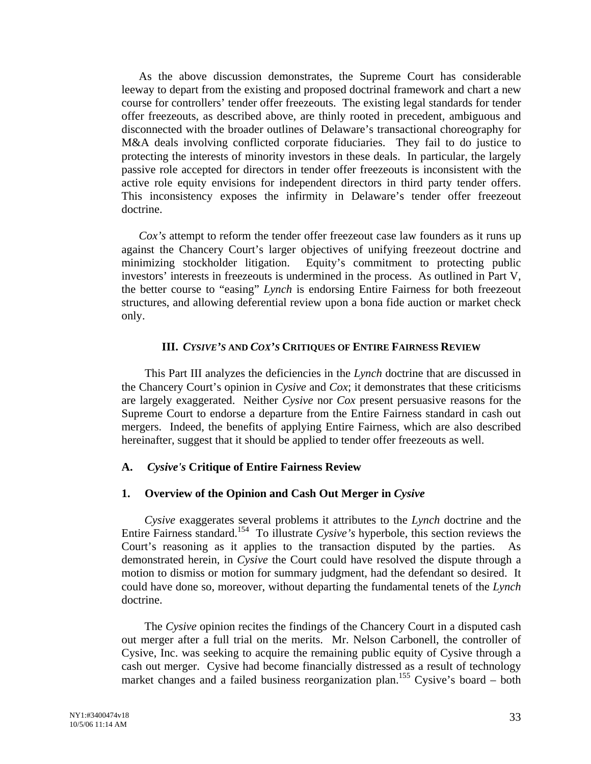As the above discussion demonstrates, the Supreme Court has considerable leeway to depart from the existing and proposed doctrinal framework and chart a new course for controllers' tender offer freezeouts. The existing legal standards for tender offer freezeouts, as described above, are thinly rooted in precedent, ambiguous and disconnected with the broader outlines of Delaware's transactional choreography for M&A deals involving conflicted corporate fiduciaries. They fail to do justice to protecting the interests of minority investors in these deals. In particular, the largely passive role accepted for directors in tender offer freezeouts is inconsistent with the active role equity envisions for independent directors in third party tender offers. This inconsistency exposes the infirmity in Delaware's tender offer freezeout doctrine.

*Cox's* attempt to reform the tender offer freezeout case law founders as it runs up against the Chancery Court's larger objectives of unifying freezeout doctrine and minimizing stockholder litigation. Equity's commitment to protecting public investors' interests in freezeouts is undermined in the process. As outlined in Part V, the better course to "easing" *Lynch* is endorsing Entire Fairness for both freezeout structures, and allowing deferential review upon a bona fide auction or market check only.

### **III.** *CYSIVE'S* **AND** *COX'S* **CRITIQUES OF ENTIRE FAIRNESS REVIEW**

This Part III analyzes the deficiencies in the *Lynch* doctrine that are discussed in the Chancery Court's opinion in *Cysive* and *Cox*; it demonstrates that these criticisms are largely exaggerated. Neither *Cysive* nor *Cox* present persuasive reasons for the Supreme Court to endorse a departure from the Entire Fairness standard in cash out mergers. Indeed, the benefits of applying Entire Fairness, which are also described hereinafter, suggest that it should be applied to tender offer freezeouts as well.

### **A.** *Cysive's* **Critique of Entire Fairness Review**

### **1.** Overview of the Opinion and Cash Out Merger in *Cysive*

*Cysive* exaggerates several problems it attributes to the *Lynch* doctrine and the Entire Fairness standard. [154](#page-90-111) To illustrate *Cysive's* hyperbole, this section reviews the Court's reasoning as it applies to the transaction disputed by the parties. As demonstrated herein, in *Cysive* the Court could have resolved the dispute through a motion to dismiss or motion for summary judgment, had the defendant so desired. It could have done so, moreover, without departing the fundamental tenets of the *Lynch* doctrine.

The *Cysive* opinion recites the findings of the Chancery Court in a disputed cash out merger after a full trial on the merits. Mr. Nelson Carbonell, the controller of Cysive, Inc. was seeking to acquire the remaining public equity of Cysive through a cash out merger. Cysive had become financially distressed as a result of technology market changes and a failed business reorganization plan.<sup>155</sup> Cysive's board – both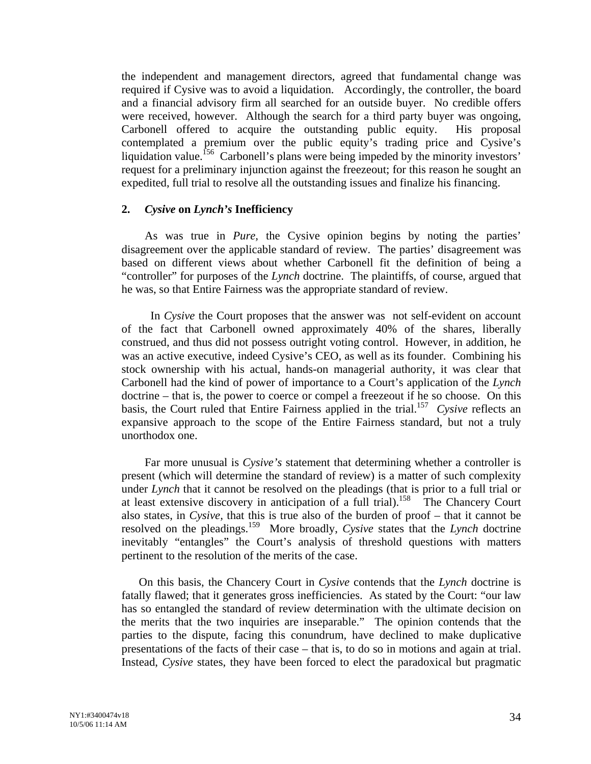the independent and management directors, agreed that fundamental change was required if Cysive was to avoid a liquidation. Accordingly, the controller, the board and a financial advisory firm all searched for an outside buyer. No credible offers were received, however. Although the search for a third party buyer was ongoing, Carbonell offered to acquire the outstanding public equity. His proposal contemplated a premium over the public equity's trading price and Cysive's liquidation value.<sup>156</sup> Carbonell's plans were being impeded by the minority investors' request for a preliminary injunction against the freezeout; for this reason he sought an expedited, full trial to resolve all the outstanding issues and finalize his financing.

### **2.** *Cysive* **on** *Lynch's* **Inefficiency**

As was true in *Pure,* the Cysive opinion begins by noting the parties' disagreement over the applicable standard of review. The parties' disagreement was based on different views about whether Carbonell fit the definition of being a "controller" for purposes of the *Lynch* doctrine. The plaintiffs, of course, argued that he was, so that Entire Fairness was the appropriate standard of review.

In *Cysive* the Court proposes that the answer was not self-evident on account of the fact that Carbonell owned approximately 40% of the shares, liberally construed, and thus did not possess outright voting control. However, in addition, he was an active executive, indeed Cysive's CEO, as well as its founder. Combining his stock ownership with his actual, hands-on managerial authority, it was clear that Carbonell had the kind of power of importance to a Court's application of the *Lynch* doctrine – that is, the power to coerce or compel a freezeout if he so choose. On this basis, the Court ruled that Entire Fairness applied in the trial.<sup>157</sup> *Cysive* reflects an expansive approach to the scope of the Entire Fairness standard, but not a truly unorthodox one.

Far more unusual is *Cysive's* statement that determining whether a controller is present (which will determine the standard of review) is a matter of such complexity under *Lynch* that it cannot be resolved on the pleadings (that is prior to a full trial or at least extensive discovery in anticipation of a full trial).<sup>158</sup> The Chancery Court also states, in *Cysive,* that this is true also of the burden of proof – that it cannot be resolved on the pleadings[.159](#page-90-73) More broadly, *Cysive* states that the *Lynch* doctrine inevitably "entangles" the Court's analysis of threshold questions with matters pertinent to the resolution of the merits of the case.

On this basis, the Chancery Court in *Cysive* contends that the *Lynch* doctrine is fatally flawed; that it generates gross inefficiencies. As stated by the Court: "our law has so entangled the standard of review determination with the ultimate decision on the merits that the two inquiries are inseparable." The opinion contends that the parties to the dispute, facing this conundrum, have declined to make duplicative presentations of the facts of their case – that is, to do so in motions and again at trial. Instead, *Cysive* states, they have been forced to elect the paradoxical but pragmatic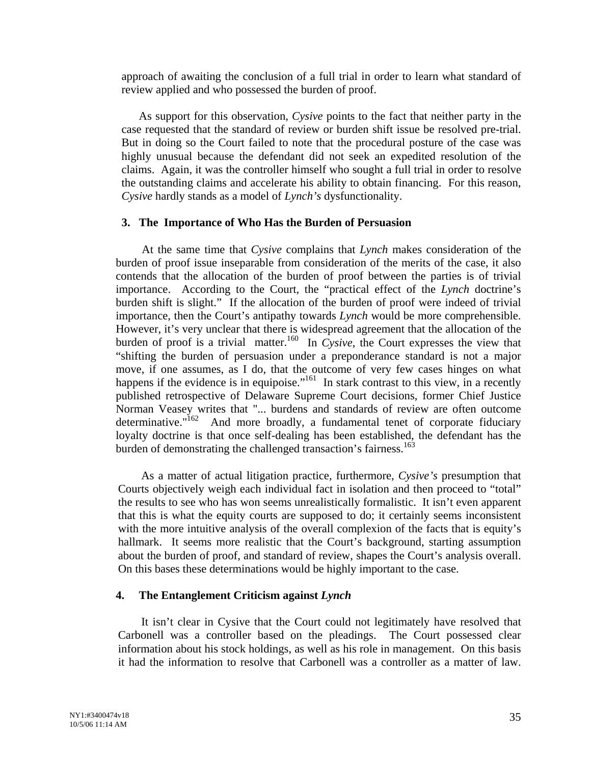approach of awaiting the conclusion of a full trial in order to learn what standard of review applied and who possessed the burden of proof.

As support for this observation, *Cysive* points to the fact that neither party in the case requested that the standard of review or burden shift issue be resolved pre-trial. But in doing so the Court failed to note that the procedural posture of the case was highly unusual because the defendant did not seek an expedited resolution of the claims. Again, it was the controller himself who sought a full trial in order to resolve the outstanding claims and accelerate his ability to obtain financing. For this reason, *Cysive* hardly stands as a model of *Lynch's* dysfunctionality.

### **3. The Importance of Who Has the Burden of Persuasion**

At the same time that *Cysive* complains that *Lynch* makes consideration of the burden of proof issue inseparable from consideration of the merits of the case, it also contends that the allocation of the burden of proof between the parties is of trivial importance. According to the Court, the "practical effect of the *Lynch* doctrine's burden shift is slight." If the allocation of the burden of proof were indeed of trivial importance, then the Court's antipathy towards *Lynch* would be more comprehensible. However, it's very unclear that there is widespread agreement that the allocation of the burden of proof is a trivial matter.<sup>160</sup> In *Cysive*, the Court expresses the view that "shifting the burden of persuasion under a preponderance standard is not a major move, if one assumes, as I do, that the outcome of very few cases hinges on what happens if the evidence is in equipoise."<sup>161</sup> In stark contrast to this view, in a recently published retrospective of Delaware Supreme Court decisions, former Chief Justice Norman Veasey writes that "... burdens and standards of review are often outcome determinative. $162$  And more broadly, a fundamental tenet of corporate fiduciary loyalty doctrine is that once self-dealing has been established, the defendant has the burden of demonstrating the challenged transaction's fairness. [163](#page-90-39)

As a matter of actual litigation practice, furthermore, *Cysive's* presumption that Courts objectively weigh each individual fact in isolation and then proceed to "total" the results to see who has won seems unrealistically formalistic. It isn't even apparent that this is what the equity courts are supposed to do; it certainly seems inconsistent with the more intuitive analysis of the overall complexion of the facts that is equity's hallmark. It seems more realistic that the Court's background, starting assumption about the burden of proof, and standard of review, shapes the Court's analysis overall. On this bases these determinations would be highly important to the case.

#### **4. The Entanglement Criticism against** *Lynch*

It isn't clear in Cysive that the Court could not legitimately have resolved that Carbonell was a controller based on the pleadings. The Court possessed clear information about his stock holdings, as well as his role in management. On this basis it had the information to resolve that Carbonell was a controller as a matter of law.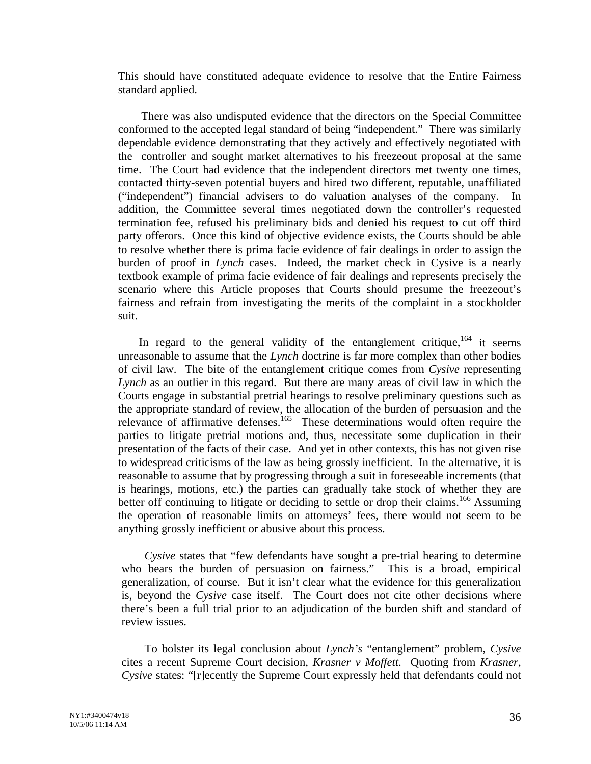This should have constituted adequate evidence to resolve that the Entire Fairness standard applied.

There was also undisputed evidence that the directors on the Special Committee conformed to the accepted legal standard of being "independent." There was similarly dependable evidence demonstrating that they actively and effectively negotiated with the controller and sought market alternatives to his freezeout proposal at the same time. The Court had evidence that the independent directors met twenty one times, contacted thirty-seven potential buyers and hired two different, reputable, unaffiliated ("independent") financial advisers to do valuation analyses of the company. addition, the Committee several times negotiated down the controller's requested termination fee, refused his preliminary bids and denied his request to cut off third party offerors. Once this kind of objective evidence exists, the Courts should be able to resolve whether there is prima facie evidence of fair dealings in order to assign the burden of proof in *Lynch* cases. Indeed, the market check in Cysive is a nearly textbook example of prima facie evidence of fair dealings and represents precisely the scenario where this Article proposes that Courts should presume the freezeout's fairness and refrain from investigating the merits of the complaint in a stockholder suit.

In regard to the general validity of the entanglement critique,  $164$  it seems unreasonable to assume that the *Lynch* doctrine is far more complex than other bodies of civil law. The bite of the entanglement critique comes from *Cysive* representing *Lynch* as an outlier in this regard. But there are many areas of civil law in which the Courts engage in substantial pretrial hearings to resolve preliminary questions such as the appropriate standard of review, the allocation of the burden of persuasion and the relevance of affirmative defenses.<sup>165</sup> These determinations would often require the parties to litigate pretrial motions and, thus, necessitate some duplication in their presentation of the facts of their case. And yet in other contexts, this has not given rise to widespread criticisms of the law as being grossly inefficient. In the alternative, it is reasonable to assume that by progressing through a suit in foreseeable increments (that is hearings, motions, etc.) the parties can gradually take stock of whether they are better off continuing to litigate or deciding to settle or drop their claims.<sup>166</sup> Assuming the operation of reasonable limits on attorneys' fees, there would not seem to be anything grossly inefficient or abusive about this process.

*Cysive* states that "few defendants have sought a pre-trial hearing to determine who bears the burden of persuasion on fairness." This is a broad, empirical generalization, of course. But it isn't clear what the evidence for this generalization is, beyond the *Cysive* case itself. The Court does not cite other decisions where there's been a full trial prior to an adjudication of the burden shift and standard of review issues.

To bolster its legal conclusion about *Lynch's* "entanglement" problem, *Cysive* cites a recent Supreme Court decision, *Krasner v Moffett*. Quoting from *Krasner*, *Cysive* states: "[r]ecently the Supreme Court expressly held that defendants could not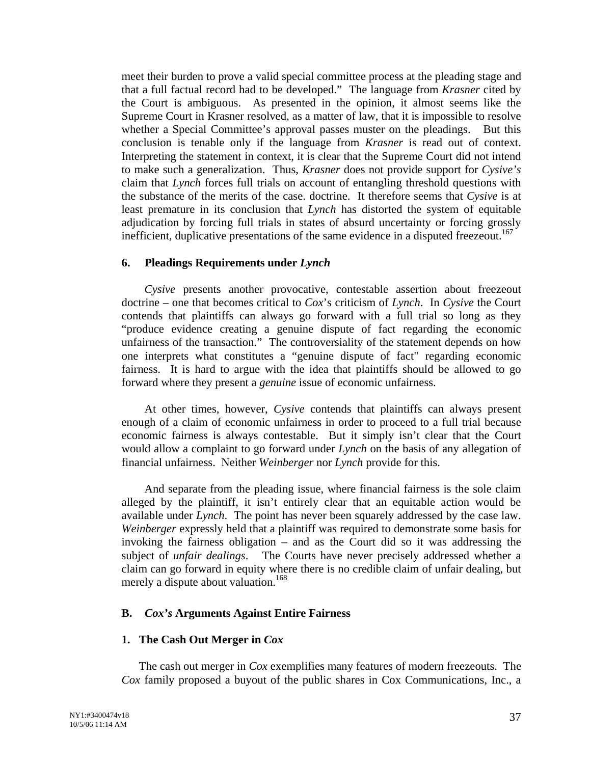meet their burden to prove a valid special committee process at the pleading stage and that a full factual record had to be developed." The language from *Krasner* cited by the Court is ambiguous. As presented in the opinion, it almost seems like the Supreme Court in Krasner resolved, as a matter of law, that it is impossible to resolve whether a Special Committee's approval passes muster on the pleadings. But this conclusion is tenable only if the language from *Krasner* is read out of context. Interpreting the statement in context, it is clear that the Supreme Court did not intend to make such a generalization. Thus, *Krasner* does not provide support for *Cysive's* claim that *Lynch* forces full trials on account of entangling threshold questions with the substance of the merits of the case. doctrine. It therefore seems that *Cysive* is at least premature in its conclusion that *Lynch* has distorted the system of equitable adjudication by forcing full trials in states of absurd uncertainty or forcing grossly inefficient, duplicative presentations of the same evidence in a disputed freezeout.<sup>167</sup>

# **6. Pleadings Requirements under** *Lynch*

*Cysive* presents another provocative, contestable assertion about freezeout doctrine – one that becomes critical to *Cox*'s criticism of *Lynch*. In *Cysive* the Court contends that plaintiffs can always go forward with a full trial so long as they "produce evidence creating a genuine dispute of fact regarding the economic unfairness of the transaction." The controversiality of the statement depends on how one interprets what constitutes a "genuine dispute of fact" regarding economic fairness. It is hard to argue with the idea that plaintiffs should be allowed to go forward where they present a *genuine* issue of economic unfairness.

At other times, however, *Cysive* contends that plaintiffs can always present enough of a claim of economic unfairness in order to proceed to a full trial because economic fairness is always contestable. But it simply isn't clear that the Court would allow a complaint to go forward under *Lynch* on the basis of any allegation of financial unfairness. Neither *Weinberger* nor *Lynch* provide for this.

And separate from the pleading issue, where financial fairness is the sole claim alleged by the plaintiff, it isn't entirely clear that an equitable action would be available under *Lynch*. The point has never been squarely addressed by the case law. *Weinberger* expressly held that a plaintiff was required to demonstrate some basis for invoking the fairness obligation – and as the Court did so it was addressing the subject of *unfair dealings*. The Courts have never precisely addressed whether a claim can go forward in equity where there is no credible claim of unfair dealing, but merely a dispute about valuation.<sup>[168](#page-90-1)</sup>

# **B.** *Cox's* **Arguments Against Entire Fairness**

# **1. The Cash Out Merger in** *Cox*

The cash out merger in *Cox* exemplifies many features of modern freezeouts. The *Cox* family proposed a buyout of the public shares in Cox Communications, Inc., a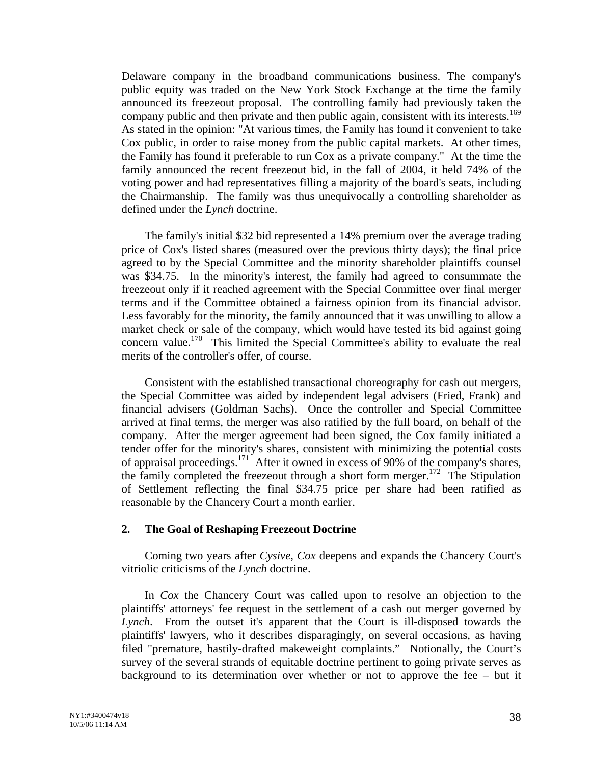Delaware company in the broadband communications business. The company's public equity was traded on the New York Stock Exchange at the time the family announced its freezeout proposal. The controlling family had previously taken the company public and then private and then public again, consistent with its interests.<sup>169</sup> As stated in the opinion: "At various times, the Family has found it convenient to take Cox public, in order to raise money from the public capital markets. At other times, the Family has found it preferable to run Cox as a private company." At the time the family announced the recent freezeout bid, in the fall of 2004, it held 74% of the voting power and had representatives filling a majority of the board's seats, including the Chairmanship. The family was thus unequivocally a controlling shareholder as defined under the *Lynch* doctrine.

The family's initial \$32 bid represented a 14% premium over the average trading price of Cox's listed shares (measured over the previous thirty days); the final price agreed to by the Special Committee and the minority shareholder plaintiffs counsel was \$34.75. In the minority's interest, the family had agreed to consummate the freezeout only if it reached agreement with the Special Committee over final merger terms and if the Committee obtained a fairness opinion from its financial advisor. Less favorably for the minority, the family announced that it was unwilling to allow a market check or sale of the company, which would have tested its bid against going concern value.[170](#page-90-3) This limited the Special Committee's ability to evaluate the real merits of the controller's offer, of course.

Consistent with the established transactional choreography for cash out mergers, the Special Committee was aided by independent legal advisers (Fried, Frank) and financial advisers (Goldman Sachs). Once the controller and Special Committee arrived at final terms, the merger was also ratified by the full board, on behalf of the company. After the merger agreement had been signed, the Cox family initiated a tender offer for the minority's shares, consistent with minimizing the potential costs of appraisal proceedings.[171](#page-90-4) After it owned in excess of 90% of the company's shares, the family completed the freezeout through a short form merger.<sup>172</sup> The Stipulation of Settlement reflecting the final \$34.75 price per share had been ratified as reasonable by the Chancery Court a month earlier.

### **2. The Goal of Reshaping Freezeout Doctrine**

Coming two years after *Cysive, Cox* deepens and expands the Chancery Court's vitriolic criticisms of the *Lynch* doctrine.

In *Cox* the Chancery Court was called upon to resolve an objection to the plaintiffs' attorneys' fee request in the settlement of a cash out merger governed by *Lynch*. From the outset it's apparent that the Court is ill-disposed towards the plaintiffs' lawyers, who it describes disparagingly, on several occasions, as having filed "premature, hastily-drafted makeweight complaints." Notionally, the Court's survey of the several strands of equitable doctrine pertinent to going private serves as background to its determination over whether or not to approve the fee – but it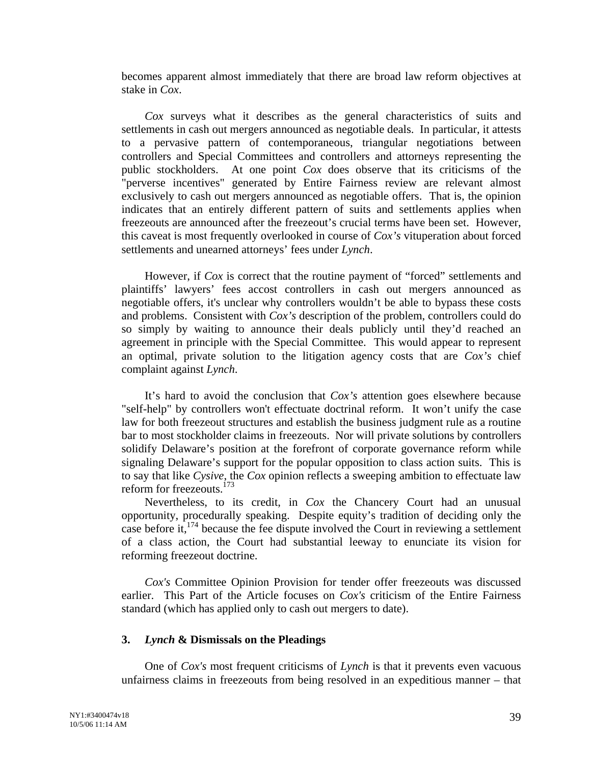becomes apparent almost immediately that there are broad law reform objectives at stake in *Cox*.

*Cox* surveys what it describes as the general characteristics of suits and settlements in cash out mergers announced as negotiable deals. In particular, it attests to a pervasive pattern of contemporaneous, triangular negotiations between controllers and Special Committees and controllers and attorneys representing the public stockholders. At one point *Cox* does observe that its criticisms of the "perverse incentives" generated by Entire Fairness review are relevant almost exclusively to cash out mergers announced as negotiable offers. That is, the opinion indicates that an entirely different pattern of suits and settlements applies when freezeouts are announced after the freezeout's crucial terms have been set. However, this caveat is most frequently overlooked in course of *Cox's* vituperation about forced settlements and unearned attorneys' fees under *Lynch*.

However, if *Cox* is correct that the routine payment of "forced" settlements and plaintiffs' lawyers' fees accost controllers in cash out mergers announced as negotiable offers, it's unclear why controllers wouldn't be able to bypass these costs and problems. Consistent with *Cox's* description of the problem, controllers could do so simply by waiting to announce their deals publicly until they'd reached an agreement in principle with the Special Committee. This would appear to represent an optimal, private solution to the litigation agency costs that are *Cox's* chief complaint against *Lynch*.

It's hard to avoid the conclusion that *Cox's* attention goes elsewhere because "self-help" by controllers won't effectuate doctrinal reform. It won't unify the case law for both freezeout structures and establish the business judgment rule as a routine bar to most stockholder claims in freezeouts. Nor will private solutions by controllers solidify Delaware's position at the forefront of corporate governance reform while signaling Delaware's support for the popular opposition to class action suits. This is to say that like *Cysive*, the *Cox* opinion reflects a sweeping ambition to effectuate law reform for freezeouts[.173](#page-90-6) 

Nevertheless, to its credit, in *Cox* the Chancery Court had an unusual opportunity, procedurally speaking. Despite equity's tradition of deciding only the case before it,  $174$  because the fee dispute involved the Court in reviewing a settlement of a class action, the Court had substantial leeway to enunciate its vision for reforming freezeout doctrine.

*Cox's* Committee Opinion Provision for tender offer freezeouts was discussed earlier. This Part of the Article focuses on *Cox's* criticism of the Entire Fairness standard (which has applied only to cash out mergers to date).

### **3.** *Lynch* **& Dismissals on the Pleadings**

One of *Cox's* most frequent criticisms of *Lynch* is that it prevents even vacuous unfairness claims in freezeouts from being resolved in an expeditious manner – that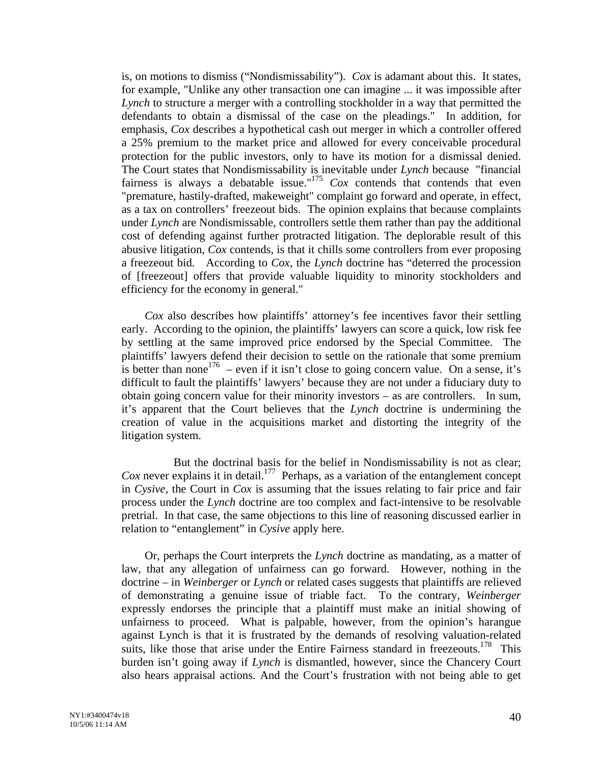is, on motions to dismiss ("Nondismissability"). *Cox* is adamant about this. It states, for example, "Unlike any other transaction one can imagine ... it was impossible after *Lynch* to structure a merger with a controlling stockholder in a way that permitted the defendants to obtain a dismissal of the case on the pleadings." In addition, for emphasis, *Cox* describes a hypothetical cash out merger in which a controller offered a 25% premium to the market price and allowed for every conceivable procedural protection for the public investors, only to have its motion for a dismissal denied. The Court states that Nondismissability is inevitable under *Lynch* because "financial fairness is always a debatable issue."<sup>[175](#page-90-8)</sup> *Cox* contends that contends that even "premature, hastily-drafted, makeweight" complaint go forward and operate, in effect, as a tax on controllers' freezeout bids. The opinion explains that because complaints under *Lynch* are Nondismissable, controllers settle them rather than pay the additional cost of defending against further protracted litigation. The deplorable result of this abusive litigation, *Cox* contends, is that it chills some controllers from ever proposing a freezeout bid. According to *Cox*, the *Lynch* doctrine has "deterred the procession of [freezeout] offers that provide valuable liquidity to minority stockholders and efficiency for the economy in general."

*Cox* also describes how plaintiffs' attorney's fee incentives favor their settling early. According to the opinion, the plaintiffs' lawyers can score a quick, low risk fee by settling at the same improved price endorsed by the Special Committee. The plaintiffs' lawyers defend their decision to settle on the rationale that some premium is better than none<sup>176</sup> – even if it isn't close to going concern value. On a sense, it's difficult to fault the plaintiffs' lawyers' because they are not under a fiduciary duty to obtain going concern value for their minority investors – as are controllers. In sum, it's apparent that the Court believes that the *Lynch* doctrine is undermining the creation of value in the acquisitions market and distorting the integrity of the litigation system.

But the doctrinal basis for the belief in Nondismissability is not as clear;  $Cox$  never explains it in detail.<sup>177</sup> Perhaps, as a variation of the entanglement concept in *Cysive*, the Court in *Cox* is assuming that the issues relating to fair price and fair process under the *Lynch* doctrine are too complex and fact-intensive to be resolvable pretrial. In that case, the same objections to this line of reasoning discussed earlier in relation to "entanglement" in *Cysive* apply here.

Or, perhaps the Court interprets the *Lynch* doctrine as mandating, as a matter of law, that any allegation of unfairness can go forward. However, nothing in the doctrine – in *Weinberger* or *Lynch* or related cases suggests that plaintiffs are relieved of demonstrating a genuine issue of triable fact. To the contrary, *Weinberger* expressly endorses the principle that a plaintiff must make an initial showing of unfairness to proceed. What is palpable, however, from the opinion's harangue against Lynch is that it is frustrated by the demands of resolving valuation-related suits, like those that arise under the Entire Fairness standard in freezeouts.<sup>178</sup> This burden isn't going away if *Lynch* is dismantled, however, since the Chancery Court also hears appraisal actions. And the Court's frustration with not being able to get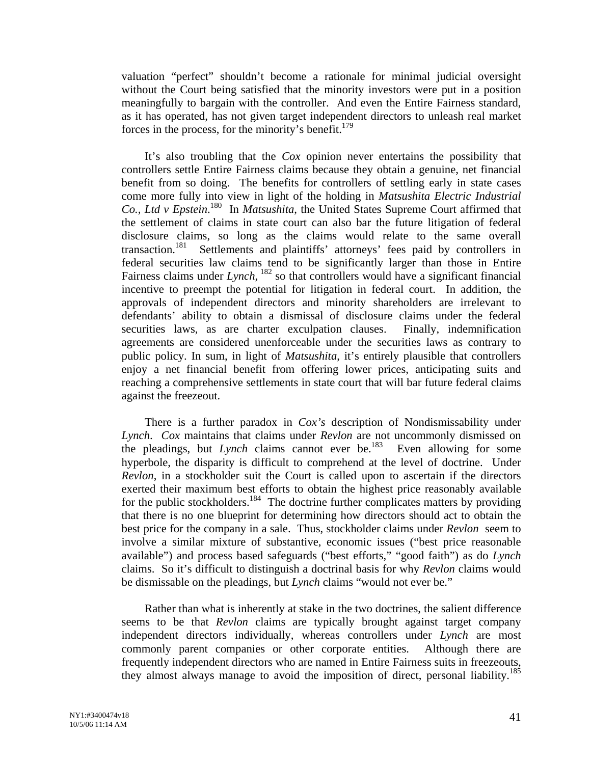valuation "perfect" shouldn't become a rationale for minimal judicial oversight without the Court being satisfied that the minority investors were put in a position meaningfully to bargain with the controller. And even the Entire Fairness standard, as it has operated, has not given target independent directors to unleash real market forces in the process, for the minority's benefit.<sup>179</sup>

It's also troubling that the *Cox* opinion never entertains the possibility that controllers settle Entire Fairness claims because they obtain a genuine, net financial benefit from so doing. The benefits for controllers of settling early in state cases come more fully into view in light of the holding in *Matsushita Electric Industrial Co., Ltd v Epstein*. [180](#page-90-13) In *Matsushita*, the United States Supreme Court affirmed that the settlement of claims in state court can also bar the future litigation of federal disclosure claims, so long as the claims would relate to the same overall transaction.<sup>181</sup> Settlements and plaintiffs' attorneys' fees paid by controllers in federal securities law claims tend to be significantly larger than those in Entire Fairness claims under *Lynch*, <sup>182</sup> so that controllers would have a significant financial incentive to preempt the potential for litigation in federal court. In addition, the approvals of independent directors and minority shareholders are irrelevant to defendants' ability to obtain a dismissal of disclosure claims under the federal securities laws, as are charter exculpation clauses. Finally, indemnification agreements are considered unenforceable under the securities laws as contrary to public policy. In sum, in light of *Matsushita*, it's entirely plausible that controllers enjoy a net financial benefit from offering lower prices, anticipating suits and reaching a comprehensive settlements in state court that will bar future federal claims against the freezeout.

There is a further paradox in *Cox's* description of Nondismissability under *Lynch*. *Cox* maintains that claims under *Revlon* are not uncommonly dismissed on the pleadings, but *Lynch* claims cannot ever be.<sup>183</sup> Even allowing for some hyperbole, the disparity is difficult to comprehend at the level of doctrine. Under *Revlon*, in a stockholder suit the Court is called upon to ascertain if the directors exerted their maximum best efforts to obtain the highest price reasonably available for the public stockholders.<sup>184</sup> The doctrine further complicates matters by providing that there is no one blueprint for determining how directors should act to obtain the best price for the company in a sale. Thus, stockholder claims under *Revlon* seem to involve a similar mixture of substantive, economic issues ("best price reasonable available") and process based safeguards ("best efforts," "good faith") as do *Lynch* claims. So it's difficult to distinguish a doctrinal basis for why *Revlon* claims would be dismissable on the pleadings, but *Lynch* claims "would not ever be."

Rather than what is inherently at stake in the two doctrines, the salient difference seems to be that *Revlon* claims are typically brought against target company independent directors individually, whereas controllers under *Lynch* are most commonly parent companies or other corporate entities. Although there are frequently independent directors who are named in Entire Fairness suits in freezeouts, they almost always manage to avoid the imposition of direct, personal liability.<sup>[185](#page-90-18)</sup>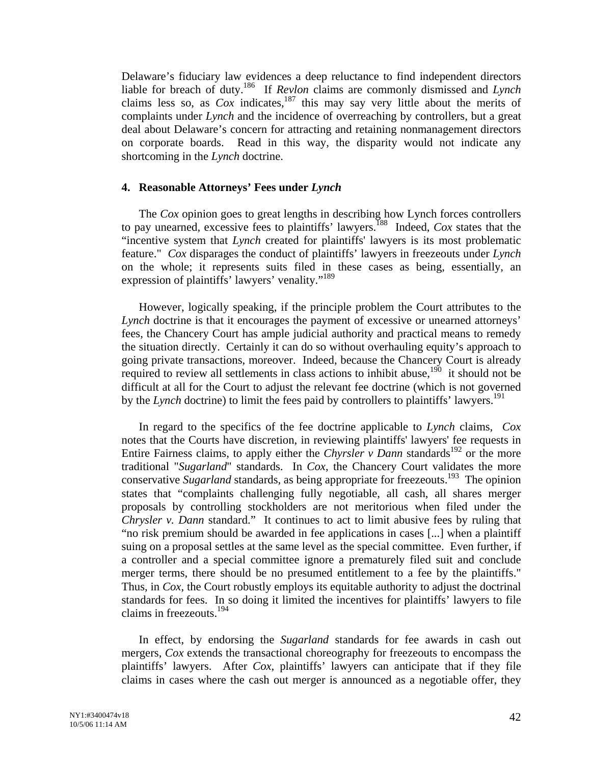Delaware's fiduciary law evidences a deep reluctance to find independent directors liable for breach of duty[.186](#page-90-19) If *Revlon* claims are commonly dismissed and *Lynch* claims less so, as  $Cox$  indicates,<sup>187</sup> this may say very little about the merits of complaints under *Lynch* and the incidence of overreaching by controllers, but a great deal about Delaware's concern for attracting and retaining nonmanagement directors on corporate boards. Read in this way, the disparity would not indicate any shortcoming in the *Lynch* doctrine.

## **4. Reasonable Attorneys' Fees under** *Lynch*

 The *Cox* opinion goes to great lengths in describing how Lynch forces controllers to pay unearned, excessive fees to plaintiffs' lawyers.[188](#page-90-21) Indeed, *Cox* states that the "incentive system that *Lynch* created for plaintiffs' lawyers is its most problematic feature." *Cox* disparages the conduct of plaintiffs' lawyers in freezeouts under *Lynch* on the whole; it represents suits filed in these cases as being, essentially, an expression of plaintiffs' lawyers' venality."<sup>[189](#page-90-22)</sup>

However, logically speaking, if the principle problem the Court attributes to the *Lynch* doctrine is that it encourages the payment of excessive or unearned attorneys' fees, the Chancery Court has ample judicial authority and practical means to remedy the situation directly. Certainly it can do so without overhauling equity's approach to going private transactions, moreover. Indeed, because the Chancery Court is already required to review all settlements in class actions to inhibit abuse,<sup>190</sup> it should not be difficult at all for the Court to adjust the relevant fee doctrine (which is not governed by the *Lynch* doctrine) to limit the fees paid by controllers to plaintiffs' lawyers.<sup>191</sup>

In regard to the specifics of the fee doctrine applicable to *Lynch* claims, *Cox* notes that the Courts have discretion, in reviewing plaintiffs' lawyers' fee requests in Entire Fairness claims, to apply either the *Chyrsler v Dann* standards<sup>192</sup> or the more traditional "*Sugarland*" standards. In *Cox*, the Chancery Court validates the more conservative *Sugarland* standards, as being appropriate for freezeouts.<sup>193</sup> The opinion states that "complaints challenging fully negotiable, all cash, all shares merger proposals by controlling stockholders are not meritorious when filed under the *Chrysler v. Dann* standard." It continues to act to limit abusive fees by ruling that "no risk premium should be awarded in fee applications in cases [...] when a plaintiff suing on a proposal settles at the same level as the special committee. Even further, if a controller and a special committee ignore a prematurely filed suit and conclude merger terms, there should be no presumed entitlement to a fee by the plaintiffs." Thus, in *Cox*, the Court robustly employs its equitable authority to adjust the doctrinal standards for fees. In so doing it limited the incentives for plaintiffs' lawyers to file claims in freezeouts.<sup>194</sup>

In effect, by endorsing the *Sugarland* standards for fee awards in cash out mergers, *Cox* extends the transactional choreography for freezeouts to encompass the plaintiffs' lawyers. After *Cox*, plaintiffs' lawyers can anticipate that if they file claims in cases where the cash out merger is announced as a negotiable offer, they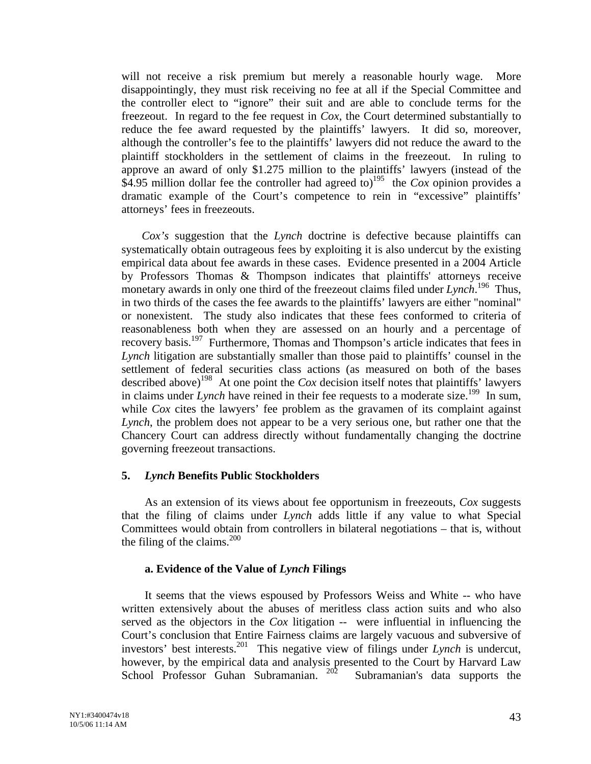will not receive a risk premium but merely a reasonable hourly wage. More disappointingly, they must risk receiving no fee at all if the Special Committee and the controller elect to "ignore" their suit and are able to conclude terms for the freezeout. In regard to the fee request in *Cox,* the Court determined substantially to reduce the fee award requested by the plaintiffs' lawyers. It did so, moreover, although the controller's fee to the plaintiffs' lawyers did not reduce the award to the plaintiff stockholders in the settlement of claims in the freezeout. In ruling to approve an award of only \$1.275 million to the plaintiffs' lawyers (instead of the \$4.95 million dollar fee the controller had agreed to)<sup>195</sup> the *Cox* opinion provides a dramatic example of the Court's competence to rein in "excessive" plaintiffs' attorneys' fees in freezeouts.

 *Cox's* suggestion that the *Lynch* doctrine is defective because plaintiffs can systematically obtain outrageous fees by exploiting it is also undercut by the existing empirical data about fee awards in these cases. Evidence presented in a 2004 Article by Professors Thomas & Thompson indicates that plaintiffs' attorneys receive monetary awards in only one third of the freezeout claims filed under *Lynch*. [196](#page-90-28) Thus, in two thirds of the cases the fee awards to the plaintiffs' lawyers are either "nominal" or nonexistent. The study also indicates that these fees conformed to criteria of reasonableness both when they are assessed on an hourly and a percentage of recovery basis[.197](#page-90-29) Furthermore, Thomas and Thompson's article indicates that fees in *Lynch* litigation are substantially smaller than those paid to plaintiffs' counsel in the settlement of federal securities class actions (as measured on both of the bases described above)<sup>198</sup> At one point the *Cox* decision itself notes that plaintiffs' lawyers in claims under *Lynch* have reined in their fee requests to a moderate size.<sup>199</sup> In sum, while *Cox* cites the lawyers' fee problem as the gravamen of its complaint against *Lynch*, the problem does not appear to be a very serious one, but rather one that the Chancery Court can address directly without fundamentally changing the doctrine governing freezeout transactions.

# **5.** *Lynch* **Benefits Public Stockholders**

As an extension of its views about fee opportunism in freezeouts, *Cox* suggests that the filing of claims under *Lynch* adds little if any value to what Special Committees would obtain from controllers in bilateral negotiations – that is, without the filing of the claims. [200](#page-90-32) 

# **a. Evidence of the Value of** *Lynch* **Filings**

It seems that the views espoused by Professors Weiss and White -- who have written extensively about the abuses of meritless class action suits and who also served as the objectors in the *Cox* litigation -- were influential in influencing the Court's conclusion that Entire Fairness claims are largely vacuous and subversive of investors' best interests[.201](#page-90-33) This negative view of filings under *Lynch* is undercut, however, by the empirical data and analysis presented to the Court by Harvard Law School Professor Guhan Subramanian. <sup>202</sup> Subramanian's data supports the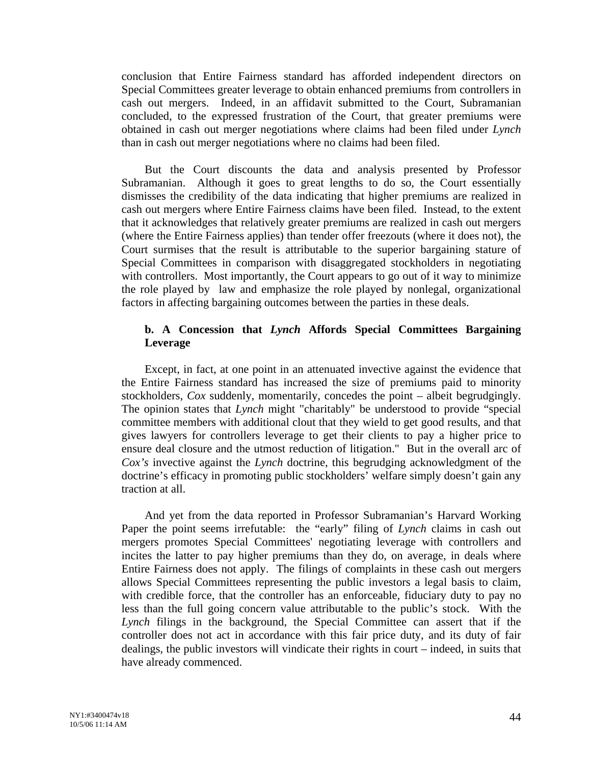conclusion that Entire Fairness standard has afforded independent directors on Special Committees greater leverage to obtain enhanced premiums from controllers in cash out mergers. Indeed, in an affidavit submitted to the Court, Subramanian concluded, to the expressed frustration of the Court, that greater premiums were obtained in cash out merger negotiations where claims had been filed under *Lynch* than in cash out merger negotiations where no claims had been filed.

But the Court discounts the data and analysis presented by Professor Subramanian. Although it goes to great lengths to do so, the Court essentially dismisses the credibility of the data indicating that higher premiums are realized in cash out mergers where Entire Fairness claims have been filed. Instead, to the extent that it acknowledges that relatively greater premiums are realized in cash out mergers (where the Entire Fairness applies) than tender offer freezouts (where it does not), the Court surmises that the result is attributable to the superior bargaining stature of Special Committees in comparison with disaggregated stockholders in negotiating with controllers. Most importantly, the Court appears to go out of it way to minimize the role played by law and emphasize the role played by nonlegal, organizational factors in affecting bargaining outcomes between the parties in these deals.

# **b. A Concession that** *Lynch* **Affords Special Committees Bargaining Leverage**

Except, in fact, at one point in an attenuated invective against the evidence that the Entire Fairness standard has increased the size of premiums paid to minority stockholders, *Cox* suddenly, momentarily, concedes the point – albeit begrudgingly. The opinion states that *Lynch* might "charitably" be understood to provide "special committee members with additional clout that they wield to get good results, and that gives lawyers for controllers leverage to get their clients to pay a higher price to ensure deal closure and the utmost reduction of litigation." But in the overall arc of *Cox's* invective against the *Lynch* doctrine, this begrudging acknowledgment of the doctrine's efficacy in promoting public stockholders' welfare simply doesn't gain any traction at all.

And yet from the data reported in Professor Subramanian's Harvard Working Paper the point seems irrefutable: the "early" filing of *Lynch* claims in cash out mergers promotes Special Committees' negotiating leverage with controllers and incites the latter to pay higher premiums than they do, on average, in deals where Entire Fairness does not apply. The filings of complaints in these cash out mergers allows Special Committees representing the public investors a legal basis to claim, with credible force, that the controller has an enforceable, fiduciary duty to pay no less than the full going concern value attributable to the public's stock. With the *Lynch* filings in the background, the Special Committee can assert that if the controller does not act in accordance with this fair price duty, and its duty of fair dealings, the public investors will vindicate their rights in court – indeed, in suits that have already commenced.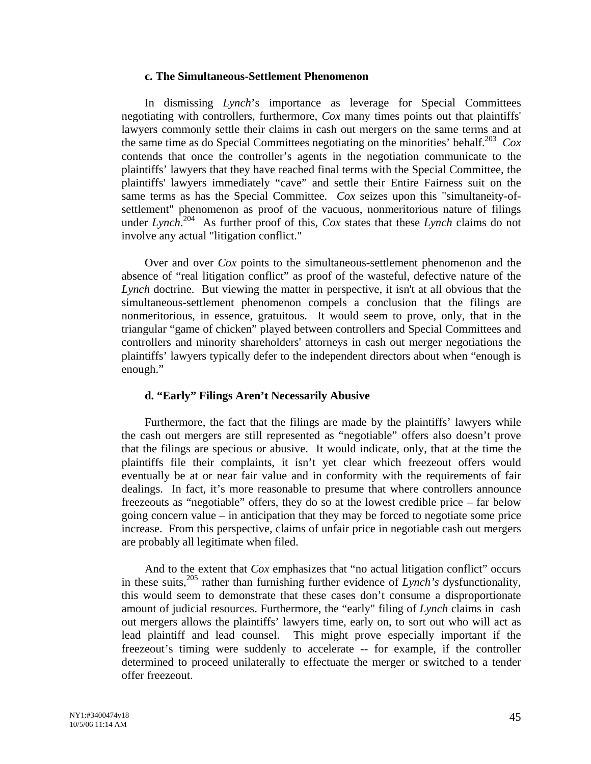### **c. The Simultaneous-Settlement Phenomenon**

In dismissing *Lynch*'s importance as leverage for Special Committees negotiating with controllers, furthermore, *Cox* many times points out that plaintiffs' lawyers commonly settle their claims in cash out mergers on the same terms and at the same time as do Special Committees negotiating on the minorities' behalf. [203](#page-90-35) *Cox* contends that once the controller's agents in the negotiation communicate to the plaintiffs' lawyers that they have reached final terms with the Special Committee, the plaintiffs' lawyers immediately "cave" and settle their Entire Fairness suit on the same terms as has the Special Committee. *Cox* seizes upon this "simultaneity-ofsettlement" phenomenon as proof of the vacuous, nonmeritorious nature of filings under *Lynch*. [204](#page-90-36) As further proof of this, *Cox* states that these *Lynch* claims do not involve any actual "litigation conflict."

Over and over *Cox* points to the simultaneous-settlement phenomenon and the absence of "real litigation conflict" as proof of the wasteful, defective nature of the *Lynch* doctrine. But viewing the matter in perspective, it isn't at all obvious that the simultaneous-settlement phenomenon compels a conclusion that the filings are nonmeritorious, in essence, gratuitous. It would seem to prove, only, that in the triangular "game of chicken" played between controllers and Special Committees and controllers and minority shareholders' attorneys in cash out merger negotiations the plaintiffs' lawyers typically defer to the independent directors about when "enough is enough."

### **d. "Early" Filings Aren't Necessarily Abusive**

Furthermore, the fact that the filings are made by the plaintiffs' lawyers while the cash out mergers are still represented as "negotiable" offers also doesn't prove that the filings are specious or abusive. It would indicate, only, that at the time the plaintiffs file their complaints, it isn't yet clear which freezeout offers would eventually be at or near fair value and in conformity with the requirements of fair dealings. In fact, it's more reasonable to presume that where controllers announce freezeouts as "negotiable" offers, they do so at the lowest credible price – far below going concern value – in anticipation that they may be forced to negotiate some price increase. From this perspective, claims of unfair price in negotiable cash out mergers are probably all legitimate when filed.

And to the extent that *Cox* emphasizes that "no actual litigation conflict" occurs in these suits,[205](#page-90-37) rather than furnishing further evidence of *Lynch's* dysfunctionality, this would seem to demonstrate that these cases don't consume a disproportionate amount of judicial resources. Furthermore, the "early" filing of *Lynch* claims in cash out mergers allows the plaintiffs' lawyers time, early on, to sort out who will act as lead plaintiff and lead counsel. This might prove especially important if the freezeout's timing were suddenly to accelerate -- for example, if the controller determined to proceed unilaterally to effectuate the merger or switched to a tender offer freezeout.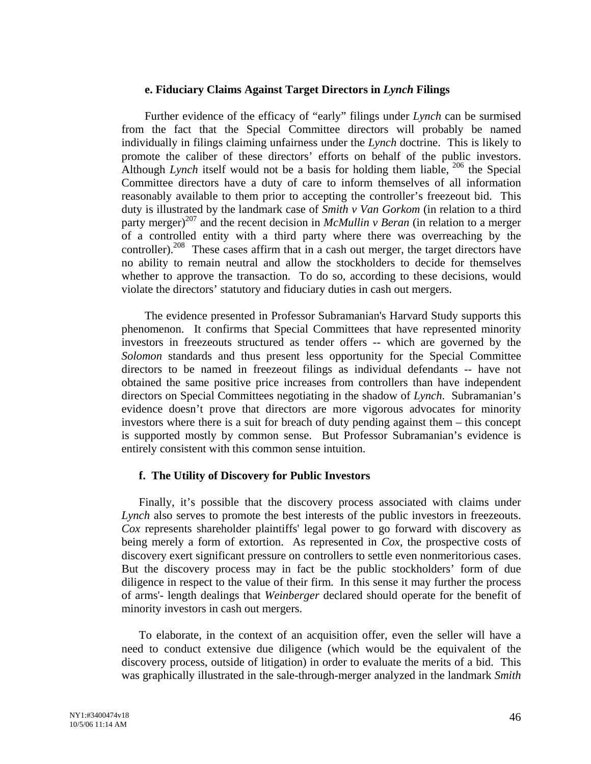## **e. Fiduciary Claims Against Target Directors in** *Lynch* **Filings**

Further evidence of the efficacy of "early" filings under *Lynch* can be surmised from the fact that the Special Committee directors will probably be named individually in filings claiming unfairness under the *Lynch* doctrine. This is likely to promote the caliber of these directors' efforts on behalf of the public investors. Although *Lynch* itself would not be a basis for holding them liable, <sup>206</sup> the Special Committee directors have a duty of care to inform themselves of all information reasonably available to them prior to accepting the controller's freezeout bid. This duty is illustrated by the landmark case of *Smith v Van Gorkom* (in relation to a third party merger)<sup>207</sup> and the recent decision in *McMullin v Beran* (in relation to a merger of a controlled entity with a third party where there was overreaching by the controller).<sup>208</sup> These cases affirm that in a cash out merger, the target directors have no ability to remain neutral and allow the stockholders to decide for themselves whether to approve the transaction. To do so, according to these decisions, would violate the directors' statutory and fiduciary duties in cash out mergers.

The evidence presented in Professor Subramanian's Harvard Study supports this phenomenon. It confirms that Special Committees that have represented minority investors in freezeouts structured as tender offers -- which are governed by the *Solomon* standards and thus present less opportunity for the Special Committee directors to be named in freezeout filings as individual defendants -- have not obtained the same positive price increases from controllers than have independent directors on Special Committees negotiating in the shadow of *Lynch*. Subramanian's evidence doesn't prove that directors are more vigorous advocates for minority investors where there is a suit for breach of duty pending against them – this concept is supported mostly by common sense. But Professor Subramanian's evidence is entirely consistent with this common sense intuition.

# **f. The Utility of Discovery for Public Investors**

Finally, it's possible that the discovery process associated with claims under *Lynch* also serves to promote the best interests of the public investors in freezeouts. *Cox* represents shareholder plaintiffs' legal power to go forward with discovery as being merely a form of extortion. As represented in *Cox*, the prospective costs of discovery exert significant pressure on controllers to settle even nonmeritorious cases. But the discovery process may in fact be the public stockholders' form of due diligence in respect to the value of their firm. In this sense it may further the process of arms'- length dealings that *Weinberger* declared should operate for the benefit of minority investors in cash out mergers.

To elaborate, in the context of an acquisition offer, even the seller will have a need to conduct extensive due diligence (which would be the equivalent of the discovery process, outside of litigation) in order to evaluate the merits of a bid. This was graphically illustrated in the sale-through-merger analyzed in the landmark *Smith*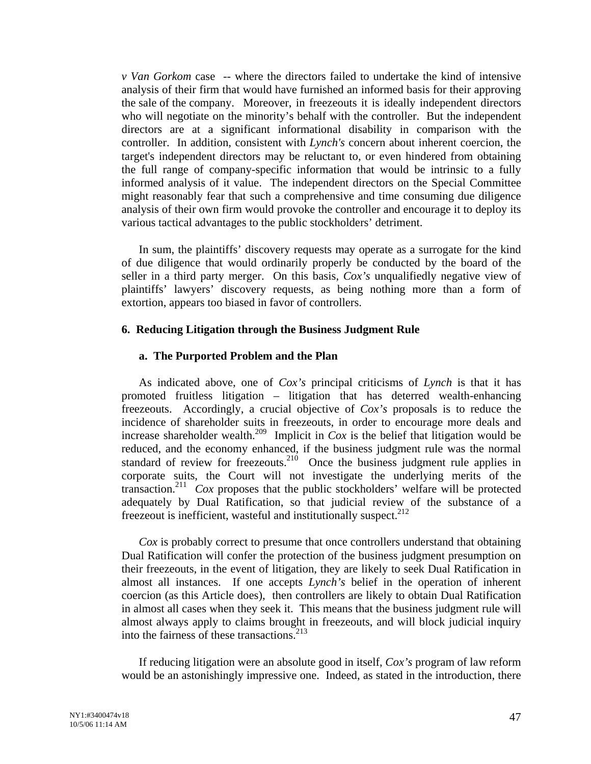*v Van Gorkom* case -- where the directors failed to undertake the kind of intensive analysis of their firm that would have furnished an informed basis for their approving the sale of the company. Moreover, in freezeouts it is ideally independent directors who will negotiate on the minority's behalf with the controller. But the independent directors are at a significant informational disability in comparison with the controller. In addition, consistent with *Lynch's* concern about inherent coercion, the target's independent directors may be reluctant to, or even hindered from obtaining the full range of company-specific information that would be intrinsic to a fully informed analysis of it value. The independent directors on the Special Committee might reasonably fear that such a comprehensive and time consuming due diligence analysis of their own firm would provoke the controller and encourage it to deploy its various tactical advantages to the public stockholders' detriment.

In sum, the plaintiffs' discovery requests may operate as a surrogate for the kind of due diligence that would ordinarily properly be conducted by the board of the seller in a third party merger. On this basis, *Cox's* unqualifiedly negative view of plaintiffs' lawyers' discovery requests, as being nothing more than a form of extortion, appears too biased in favor of controllers.

## **6. Reducing Litigation through the Business Judgment Rule**

### **a. The Purported Problem and the Plan**

As indicated above, one of *Cox's* principal criticisms of *Lynch* is that it has promoted fruitless litigation – litigation that has deterred wealth-enhancing freezeouts. Accordingly, a crucial objective of *Cox's* proposals is to reduce the incidence of shareholder suits in freezeouts, in order to encourage more deals and increase shareholder wealth.<sup>209</sup> Implicit in  $Cox$  is the belief that litigation would be reduced, and the economy enhanced, if the business judgment rule was the normal standard of review for freezeouts.<sup>210</sup> Once the business judgment rule applies in corporate suits, the Court will not investigate the underlying merits of the transaction.<sup>211</sup> *Cox* proposes that the public stockholders' welfare will be protected adequately by Dual Ratification, so that judicial review of the substance of a freezeout is inefficient, wasteful and institutionally suspect.<sup>212</sup>

*Cox* is probably correct to presume that once controllers understand that obtaining Dual Ratification will confer the protection of the business judgment presumption on their freezeouts, in the event of litigation, they are likely to seek Dual Ratification in almost all instances. If one accepts *Lynch's* belief in the operation of inherent coercion (as this Article does), then controllers are likely to obtain Dual Ratification in almost all cases when they seek it. This means that the business judgment rule will almost always apply to claims brought in freezeouts, and will block judicial inquiry into the fairness of these transactions. [213](#page-90-45) 

If reducing litigation were an absolute good in itself, *Cox's* program of law reform would be an astonishingly impressive one. Indeed, as stated in the introduction, there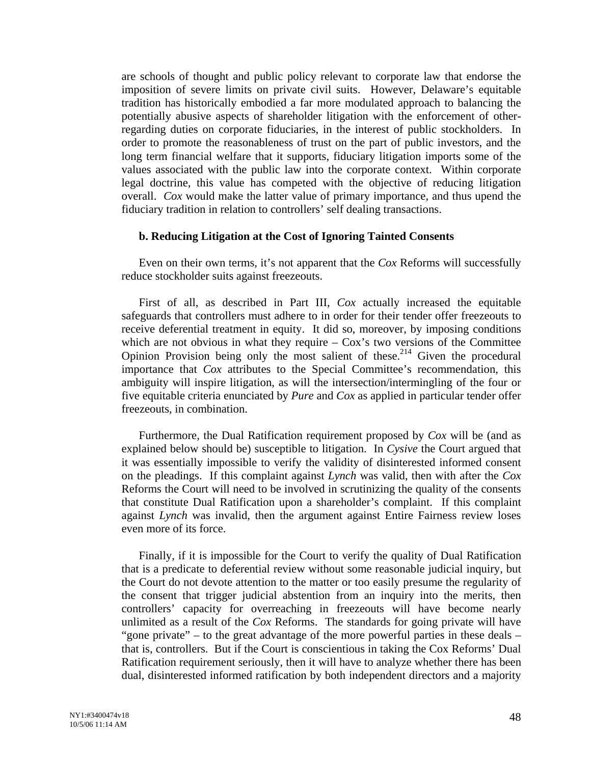are schools of thought and public policy relevant to corporate law that endorse the imposition of severe limits on private civil suits. However, Delaware's equitable tradition has historically embodied a far more modulated approach to balancing the potentially abusive aspects of shareholder litigation with the enforcement of otherregarding duties on corporate fiduciaries, in the interest of public stockholders. In order to promote the reasonableness of trust on the part of public investors, and the long term financial welfare that it supports, fiduciary litigation imports some of the values associated with the public law into the corporate context. Within corporate legal doctrine, this value has competed with the objective of reducing litigation overall. *Cox* would make the latter value of primary importance, and thus upend the fiduciary tradition in relation to controllers' self dealing transactions.

### **b. Reducing Litigation at the Cost of Ignoring Tainted Consents**

Even on their own terms, it's not apparent that the *Cox* Reforms will successfully reduce stockholder suits against freezeouts.

First of all, as described in Part III, *Cox* actually increased the equitable safeguards that controllers must adhere to in order for their tender offer freezeouts to receive deferential treatment in equity. It did so, moreover, by imposing conditions which are not obvious in what they require  $-\cos$ 's two versions of the Committee Opinion Provision being only the most salient of these.<sup>214</sup> Given the procedural importance that *Cox* attributes to the Special Committee's recommendation, this ambiguity will inspire litigation, as will the intersection/intermingling of the four or five equitable criteria enunciated by *Pure* and *Cox* as applied in particular tender offer freezeouts, in combination.

Furthermore, the Dual Ratification requirement proposed by *Cox* will be (and as explained below should be) susceptible to litigation. In *Cysive* the Court argued that it was essentially impossible to verify the validity of disinterested informed consent on the pleadings. If this complaint against *Lynch* was valid, then with after the *Cox*  Reforms the Court will need to be involved in scrutinizing the quality of the consents that constitute Dual Ratification upon a shareholder's complaint. If this complaint against *Lynch* was invalid, then the argument against Entire Fairness review loses even more of its force.

Finally, if it is impossible for the Court to verify the quality of Dual Ratification that is a predicate to deferential review without some reasonable judicial inquiry, but the Court do not devote attention to the matter or too easily presume the regularity of the consent that trigger judicial abstention from an inquiry into the merits, then controllers' capacity for overreaching in freezeouts will have become nearly unlimited as a result of the *Cox* Reforms. The standards for going private will have "gone private" – to the great advantage of the more powerful parties in these deals – that is, controllers. But if the Court is conscientious in taking the Cox Reforms' Dual Ratification requirement seriously, then it will have to analyze whether there has been dual, disinterested informed ratification by both independent directors and a majority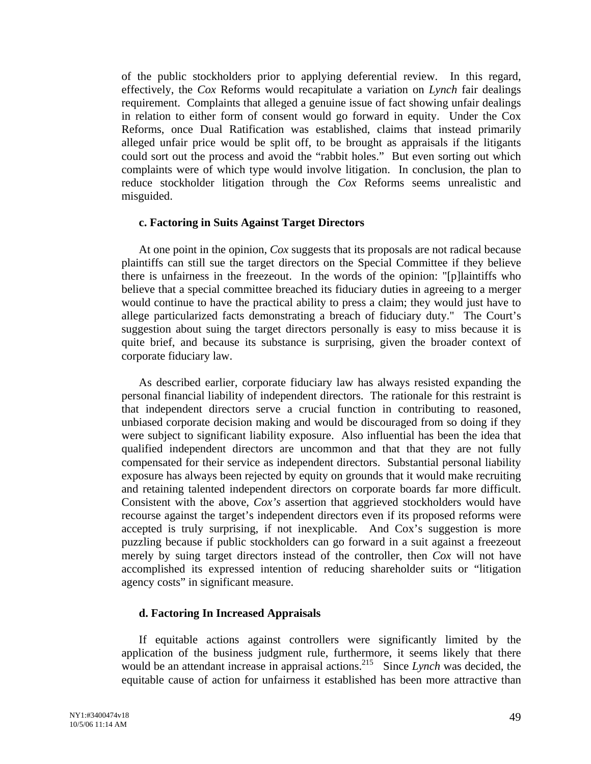of the public stockholders prior to applying deferential review. In this regard, effectively, the *Cox* Reforms would recapitulate a variation on *Lynch* fair dealings requirement. Complaints that alleged a genuine issue of fact showing unfair dealings in relation to either form of consent would go forward in equity. Under the Cox Reforms, once Dual Ratification was established, claims that instead primarily alleged unfair price would be split off, to be brought as appraisals if the litigants could sort out the process and avoid the "rabbit holes." But even sorting out which complaints were of which type would involve litigation. In conclusion, the plan to reduce stockholder litigation through the *Cox* Reforms seems unrealistic and misguided.

### **c. Factoring in Suits Against Target Directors**

At one point in the opinion, *Cox* suggests that its proposals are not radical because plaintiffs can still sue the target directors on the Special Committee if they believe there is unfairness in the freezeout. In the words of the opinion: "[p]laintiffs who believe that a special committee breached its fiduciary duties in agreeing to a merger would continue to have the practical ability to press a claim; they would just have to allege particularized facts demonstrating a breach of fiduciary duty." The Court's suggestion about suing the target directors personally is easy to miss because it is quite brief, and because its substance is surprising, given the broader context of corporate fiduciary law.

As described earlier, corporate fiduciary law has always resisted expanding the personal financial liability of independent directors. The rationale for this restraint is that independent directors serve a crucial function in contributing to reasoned, unbiased corporate decision making and would be discouraged from so doing if they were subject to significant liability exposure. Also influential has been the idea that qualified independent directors are uncommon and that that they are not fully compensated for their service as independent directors. Substantial personal liability exposure has always been rejected by equity on grounds that it would make recruiting and retaining talented independent directors on corporate boards far more difficult. Consistent with the above, *Cox's* assertion that aggrieved stockholders would have recourse against the target's independent directors even if its proposed reforms were accepted is truly surprising, if not inexplicable. And Cox's suggestion is more puzzling because if public stockholders can go forward in a suit against a freezeout merely by suing target directors instead of the controller, then *Cox* will not have accomplished its expressed intention of reducing shareholder suits or "litigation agency costs" in significant measure.

### **d. Factoring In Increased Appraisals**

If equitable actions against controllers were significantly limited by the application of the business judgment rule, furthermore, it seems likely that there would be an attendant increase in appraisal actions.<sup>215</sup> Since *Lynch* was decided, the equitable cause of action for unfairness it established has been more attractive than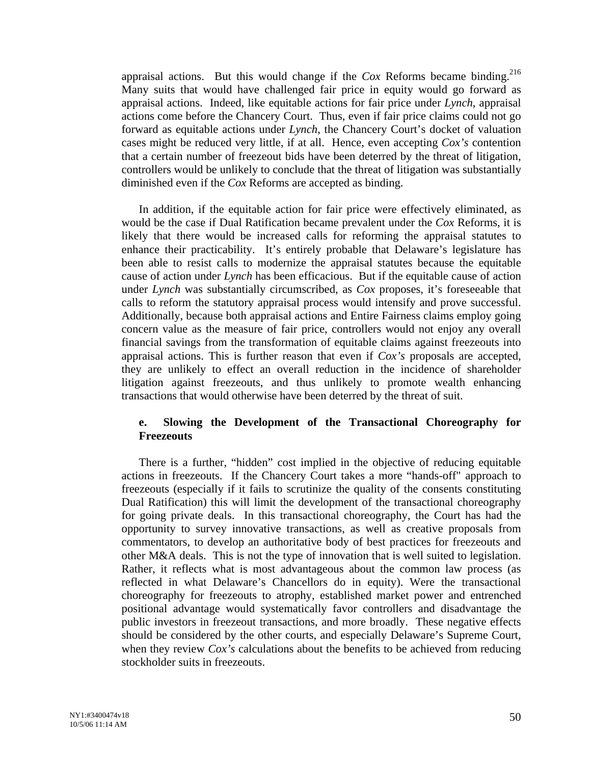appraisal actions. But this would change if the  $Cox$  Reforms became binding.<sup>216</sup> Many suits that would have challenged fair price in equity would go forward as appraisal actions. Indeed, like equitable actions for fair price under *Lynch*, appraisal actions come before the Chancery Court. Thus, even if fair price claims could not go forward as equitable actions under *Lynch*, the Chancery Court's docket of valuation cases might be reduced very little, if at all. Hence, even accepting *Cox's* contention that a certain number of freezeout bids have been deterred by the threat of litigation, controllers would be unlikely to conclude that the threat of litigation was substantially diminished even if the *Cox* Reforms are accepted as binding.

In addition, if the equitable action for fair price were effectively eliminated, as would be the case if Dual Ratification became prevalent under the *Cox* Reforms, it is likely that there would be increased calls for reforming the appraisal statutes to enhance their practicability. It's entirely probable that Delaware's legislature has been able to resist calls to modernize the appraisal statutes because the equitable cause of action under *Lynch* has been efficacious. But if the equitable cause of action under *Lynch* was substantially circumscribed, as *Cox* proposes, it's foreseeable that calls to reform the statutory appraisal process would intensify and prove successful. Additionally, because both appraisal actions and Entire Fairness claims employ going concern value as the measure of fair price, controllers would not enjoy any overall financial savings from the transformation of equitable claims against freezeouts into appraisal actions. This is further reason that even if *Cox's* proposals are accepted, they are unlikely to effect an overall reduction in the incidence of shareholder litigation against freezeouts, and thus unlikely to promote wealth enhancing transactions that would otherwise have been deterred by the threat of suit.

# **e. Slowing the Development of the Transactional Choreography for Freezeouts**

There is a further, "hidden" cost implied in the objective of reducing equitable actions in freezeouts. If the Chancery Court takes a more "hands-off" approach to freezeouts (especially if it fails to scrutinize the quality of the consents constituting Dual Ratification) this will limit the development of the transactional choreography for going private deals. In this transactional choreography, the Court has had the opportunity to survey innovative transactions, as well as creative proposals from commentators, to develop an authoritative body of best practices for freezeouts and other M&A deals. This is not the type of innovation that is well suited to legislation. Rather, it reflects what is most advantageous about the common law process (as reflected in what Delaware's Chancellors do in equity). Were the transactional choreography for freezeouts to atrophy, established market power and entrenched positional advantage would systematically favor controllers and disadvantage the public investors in freezeout transactions, and more broadly. These negative effects should be considered by the other courts, and especially Delaware's Supreme Court, when they review *Cox's* calculations about the benefits to be achieved from reducing stockholder suits in freezeouts.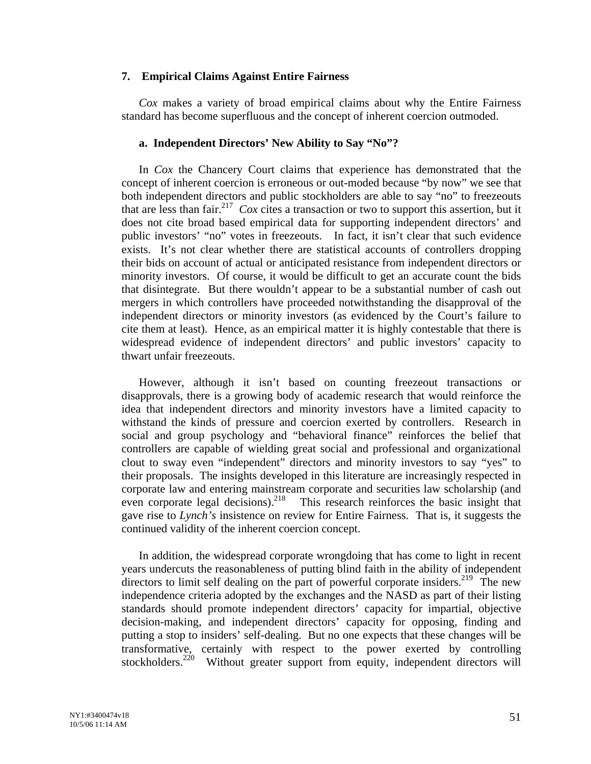### **7. Empirical Claims Against Entire Fairness**

*Cox* makes a variety of broad empirical claims about why the Entire Fairness standard has become superfluous and the concept of inherent coercion outmoded.

### **a. Independent Directors' New Ability to Say "No"?**

 In *Cox* the Chancery Court claims that experience has demonstrated that the concept of inherent coercion is erroneous or out-moded because "by now" we see that both independent directors and public stockholders are able to say "no" to freezeouts that are less than fair.<sup>217</sup> *Cox* cites a transaction or two to support this assertion, but it does not cite broad based empirical data for supporting independent directors' and public investors' "no" votes in freezeouts. In fact, it isn't clear that such evidence exists. It's not clear whether there are statistical accounts of controllers dropping their bids on account of actual or anticipated resistance from independent directors or minority investors. Of course, it would be difficult to get an accurate count the bids that disintegrate. But there wouldn't appear to be a substantial number of cash out mergers in which controllers have proceeded notwithstanding the disapproval of the independent directors or minority investors (as evidenced by the Court's failure to cite them at least). Hence, as an empirical matter it is highly contestable that there is widespread evidence of independent directors' and public investors' capacity to thwart unfair freezeouts.

However, although it isn't based on counting freezeout transactions or disapprovals, there is a growing body of academic research that would reinforce the idea that independent directors and minority investors have a limited capacity to withstand the kinds of pressure and coercion exerted by controllers. Research in social and group psychology and "behavioral finance" reinforces the belief that controllers are capable of wielding great social and professional and organizational clout to sway even "independent" directors and minority investors to say "yes" to their proposals. The insights developed in this literature are increasingly respected in corporate law and entering mainstream corporate and securities law scholarship (and even corporate legal decisions).<sup>218</sup> This research reinforces the basic insight that gave rise to *Lynch's* insistence on review for Entire Fairness. That is, it suggests the continued validity of the inherent coercion concept.

In addition, the widespread corporate wrongdoing that has come to light in recent years undercuts the reasonableness of putting blind faith in the ability of independent directors to limit self dealing on the part of powerful corporate insiders.<sup>219</sup> The new independence criteria adopted by the exchanges and the NASD as part of their listing standards should promote independent directors' capacity for impartial, objective decision-making, and independent directors' capacity for opposing, finding and putting a stop to insiders' self-dealing. But no one expects that these changes will be transformative, certainly with respect to the power exerted by controlling stockholders.<sup>220</sup> Without greater support from equity, independent directors will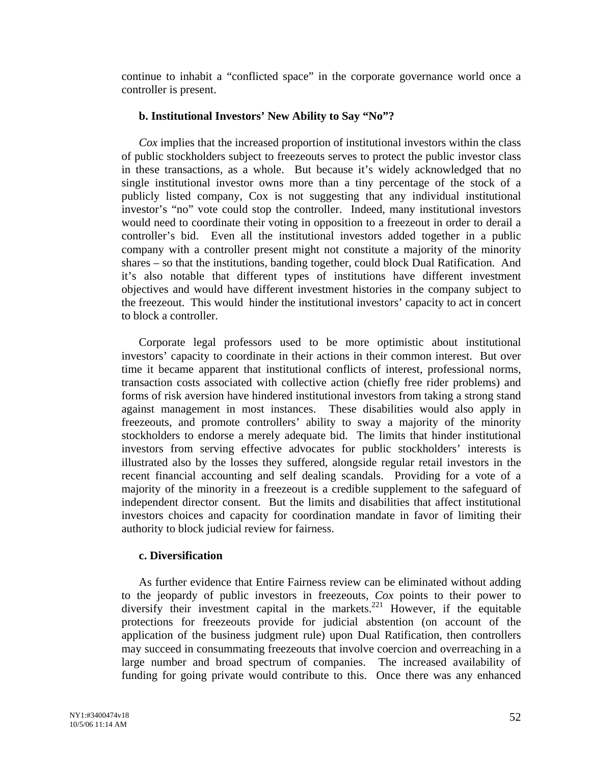continue to inhabit a "conflicted space" in the corporate governance world once a controller is present.

# **b. Institutional Investors' New Ability to Say "No"?**

*Cox* implies that the increased proportion of institutional investors within the class of public stockholders subject to freezeouts serves to protect the public investor class in these transactions, as a whole. But because it's widely acknowledged that no single institutional investor owns more than a tiny percentage of the stock of a publicly listed company, Cox is not suggesting that any individual institutional investor's "no" vote could stop the controller. Indeed, many institutional investors would need to coordinate their voting in opposition to a freezeout in order to derail a controller's bid. Even all the institutional investors added together in a public company with a controller present might not constitute a majority of the minority shares – so that the institutions, banding together, could block Dual Ratification. And it's also notable that different types of institutions have different investment objectives and would have different investment histories in the company subject to the freezeout. This would hinder the institutional investors' capacity to act in concert to block a controller.

Corporate legal professors used to be more optimistic about institutional investors' capacity to coordinate in their actions in their common interest. But over time it became apparent that institutional conflicts of interest, professional norms, transaction costs associated with collective action (chiefly free rider problems) and forms of risk aversion have hindered institutional investors from taking a strong stand against management in most instances. These disabilities would also apply in freezeouts, and promote controllers' ability to sway a majority of the minority stockholders to endorse a merely adequate bid. The limits that hinder institutional investors from serving effective advocates for public stockholders' interests is illustrated also by the losses they suffered, alongside regular retail investors in the recent financial accounting and self dealing scandals. Providing for a vote of a majority of the minority in a freezeout is a credible supplement to the safeguard of independent director consent. But the limits and disabilities that affect institutional investors choices and capacity for coordination mandate in favor of limiting their authority to block judicial review for fairness.

# **c. Diversification**

As further evidence that Entire Fairness review can be eliminated without adding to the jeopardy of public investors in freezeouts, *Cox* points to their power to diversify their investment capital in the markets.<sup>221</sup> However, if the equitable protections for freezeouts provide for judicial abstention (on account of the application of the business judgment rule) upon Dual Ratification, then controllers may succeed in consummating freezeouts that involve coercion and overreaching in a large number and broad spectrum of companies. The increased availability of funding for going private would contribute to this. Once there was any enhanced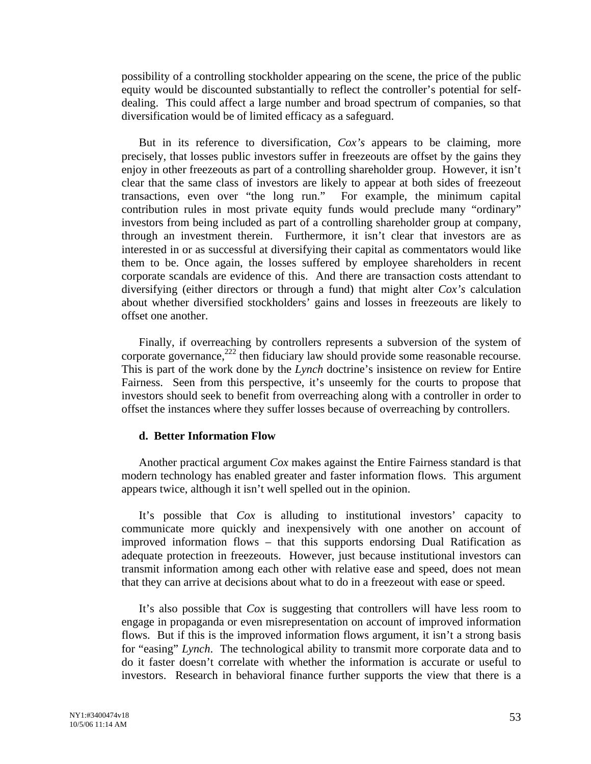possibility of a controlling stockholder appearing on the scene, the price of the public equity would be discounted substantially to reflect the controller's potential for selfdealing. This could affect a large number and broad spectrum of companies, so that diversification would be of limited efficacy as a safeguard.

But in its reference to diversification, *Cox's* appears to be claiming, more precisely, that losses public investors suffer in freezeouts are offset by the gains they enjoy in other freezeouts as part of a controlling shareholder group. However, it isn't clear that the same class of investors are likely to appear at both sides of freezeout transactions, even over "the long run." For example, the minimum capital contribution rules in most private equity funds would preclude many "ordinary" investors from being included as part of a controlling shareholder group at company, through an investment therein. Furthermore, it isn't clear that investors are as interested in or as successful at diversifying their capital as commentators would like them to be. Once again, the losses suffered by employee shareholders in recent corporate scandals are evidence of this. And there are transaction costs attendant to diversifying (either directors or through a fund) that might alter *Cox's* calculation about whether diversified stockholders' gains and losses in freezeouts are likely to offset one another.

Finally, if overreaching by controllers represents a subversion of the system of corporate governance,<sup>222</sup> then fiduciary law should provide some reasonable recourse. This is part of the work done by the *Lynch* doctrine's insistence on review for Entire Fairness. Seen from this perspective, it's unseemly for the courts to propose that investors should seek to benefit from overreaching along with a controller in order to offset the instances where they suffer losses because of overreaching by controllers.

### **d. Better Information Flow**

 Another practical argument *Cox* makes against the Entire Fairness standard is that modern technology has enabled greater and faster information flows. This argument appears twice, although it isn't well spelled out in the opinion.

It's possible that *Cox* is alluding to institutional investors' capacity to communicate more quickly and inexpensively with one another on account of improved information flows – that this supports endorsing Dual Ratification as adequate protection in freezeouts. However, just because institutional investors can transmit information among each other with relative ease and speed, does not mean that they can arrive at decisions about what to do in a freezeout with ease or speed.

It's also possible that *Cox* is suggesting that controllers will have less room to engage in propaganda or even misrepresentation on account of improved information flows. But if this is the improved information flows argument, it isn't a strong basis for "easing" *Lynch*. The technological ability to transmit more corporate data and to do it faster doesn't correlate with whether the information is accurate or useful to investors. Research in behavioral finance further supports the view that there is a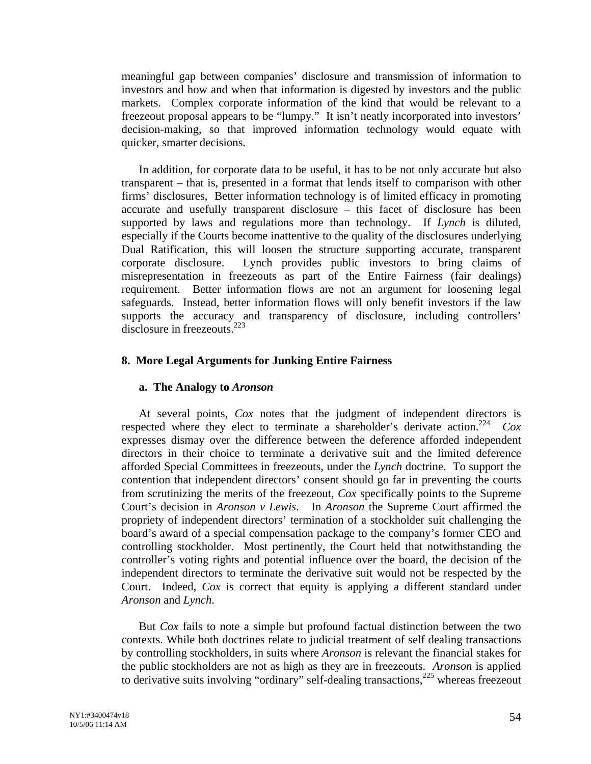meaningful gap between companies' disclosure and transmission of information to investors and how and when that information is digested by investors and the public markets. Complex corporate information of the kind that would be relevant to a freezeout proposal appears to be "lumpy." It isn't neatly incorporated into investors' decision-making, so that improved information technology would equate with quicker, smarter decisions.

In addition, for corporate data to be useful, it has to be not only accurate but also transparent – that is, presented in a format that lends itself to comparison with other firms' disclosures, Better information technology is of limited efficacy in promoting accurate and usefully transparent disclosure – this facet of disclosure has been supported by laws and regulations more than technology. If *Lynch* is diluted, especially if the Courts become inattentive to the quality of the disclosures underlying Dual Ratification, this will loosen the structure supporting accurate, transparent corporate disclosure. Lynch provides public investors to bring claims of misrepresentation in freezeouts as part of the Entire Fairness (fair dealings) requirement. Better information flows are not an argument for loosening legal safeguards. Instead, better information flows will only benefit investors if the law supports the accuracy and transparency of disclosure, including controllers' disclosure in freezeouts. $223$ 

### **8. More Legal Arguments for Junking Entire Fairness**

### **a. The Analogy to** *Aronson*

 At several points, *Cox* notes that the judgment of independent directors is respected where they elect to terminate a shareholder's derivate action.<sup>224</sup> *Cox* expresses dismay over the difference between the deference afforded independent directors in their choice to terminate a derivative suit and the limited deference afforded Special Committees in freezeouts, under the *Lynch* doctrine. To support the contention that independent directors' consent should go far in preventing the courts from scrutinizing the merits of the freezeout, *Cox* specifically points to the Supreme Court's decision in *Aronson v Lewis*. In *Aronson* the Supreme Court affirmed the propriety of independent directors' termination of a stockholder suit challenging the board's award of a special compensation package to the company's former CEO and controlling stockholder. Most pertinently, the Court held that notwithstanding the controller's voting rights and potential influence over the board, the decision of the independent directors to terminate the derivative suit would not be respected by the Court. Indeed, *Cox* is correct that equity is applying a different standard under *Aronson* and *Lynch*.

 But *Cox* fails to note a simple but profound factual distinction between the two contexts. While both doctrines relate to judicial treatment of self dealing transactions by controlling stockholders, in suits where *Aronson* is relevant the financial stakes for the public stockholders are not as high as they are in freezeouts. *Aronson* is applied to derivative suits involving "ordinary" self-dealing transactions,<sup>225</sup> whereas freezeout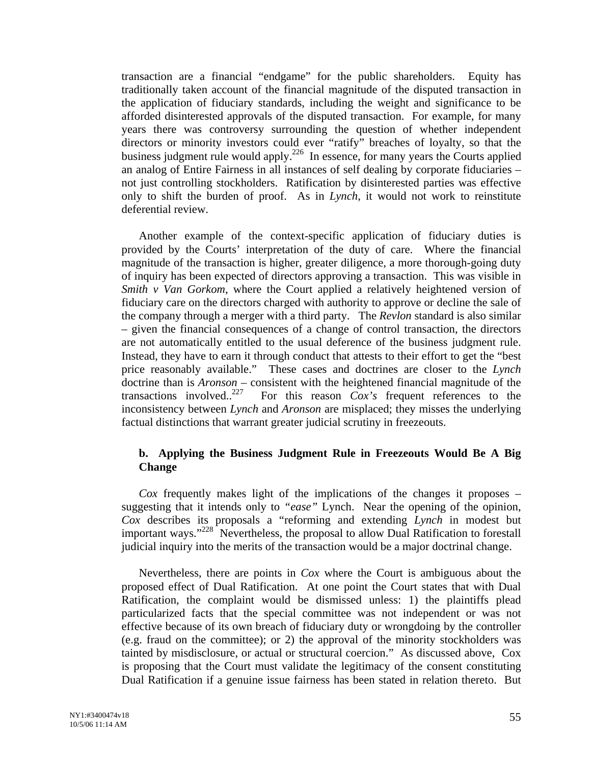transaction are a financial "endgame" for the public shareholders. Equity has traditionally taken account of the financial magnitude of the disputed transaction in the application of fiduciary standards, including the weight and significance to be afforded disinterested approvals of the disputed transaction. For example, for many years there was controversy surrounding the question of whether independent directors or minority investors could ever "ratify" breaches of loyalty, so that the business judgment rule would apply.<sup>226</sup> In essence, for many years the Courts applied an analog of Entire Fairness in all instances of self dealing by corporate fiduciaries – not just controlling stockholders. Ratification by disinterested parties was effective only to shift the burden of proof. As in *Lynch*, it would not work to reinstitute deferential review.

Another example of the context-specific application of fiduciary duties is provided by the Courts' interpretation of the duty of care. Where the financial magnitude of the transaction is higher, greater diligence, a more thorough-going duty of inquiry has been expected of directors approving a transaction. This was visible in *Smith v Van Gorkom*, where the Court applied a relatively heightened version of fiduciary care on the directors charged with authority to approve or decline the sale of the company through a merger with a third party. The *Revlon* standard is also similar – given the financial consequences of a change of control transaction, the directors are not automatically entitled to the usual deference of the business judgment rule. Instead, they have to earn it through conduct that attests to their effort to get the "best price reasonably available." These cases and doctrines are closer to the *Lynch* doctrine than is  $Aronson$  – consistent with the heightened financial magnitude of the transactions involved.<sup>227</sup> For this reason  $Cox's$  frequent references to the For this reason *Cox's* frequent references to the inconsistency between *Lynch* and *Aronson* are misplaced; they misses the underlying factual distinctions that warrant greater judicial scrutiny in freezeouts.

# **b. Applying the Business Judgment Rule in Freezeouts Would Be A Big Change**

*Cox* frequently makes light of the implications of the changes it proposes – suggesting that it intends only to *"ease"* Lynch. Near the opening of the opinion, *Cox* describes its proposals a "reforming and extending *Lynch* in modest but important ways." $228$ <sup>N</sup> Nevertheless, the proposal to allow Dual Ratification to forestall judicial inquiry into the merits of the transaction would be a major doctrinal change.

Nevertheless, there are points in *Cox* where the Court is ambiguous about the proposed effect of Dual Ratification. At one point the Court states that with Dual Ratification, the complaint would be dismissed unless: 1) the plaintiffs plead particularized facts that the special committee was not independent or was not effective because of its own breach of fiduciary duty or wrongdoing by the controller (e.g. fraud on the committee); or 2) the approval of the minority stockholders was tainted by misdisclosure, or actual or structural coercion." As discussed above, Cox is proposing that the Court must validate the legitimacy of the consent constituting Dual Ratification if a genuine issue fairness has been stated in relation thereto. But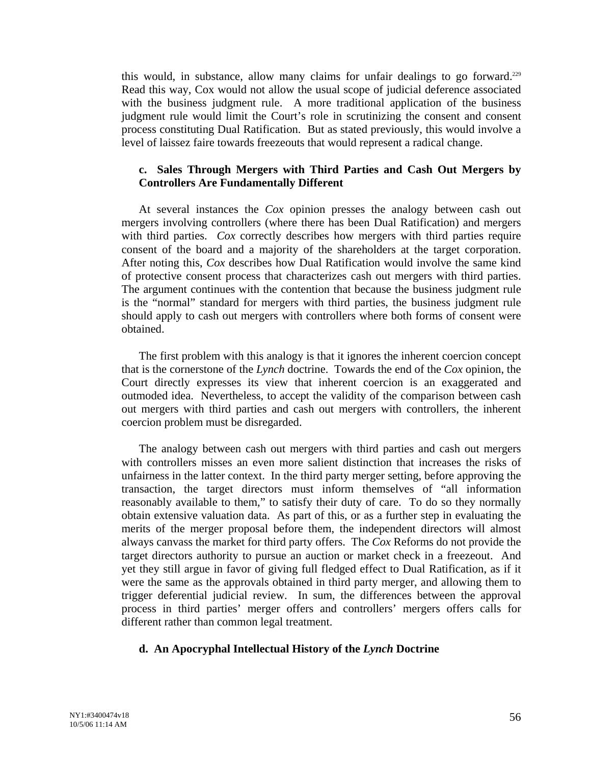this would, in substance, allow many claims for unfair dealings to go forward[.229](#page-90-39)  Read this way, Cox would not allow the usual scope of judicial deference associated with the business judgment rule. A more traditional application of the business judgment rule would limit the Court's role in scrutinizing the consent and consent process constituting Dual Ratification. But as stated previously, this would involve a level of laissez faire towards freezeouts that would represent a radical change.

# **c. Sales Through Mergers with Third Parties and Cash Out Mergers by Controllers Are Fundamentally Different**

At several instances the *Cox* opinion presses the analogy between cash out mergers involving controllers (where there has been Dual Ratification) and mergers with third parties. *Cox* correctly describes how mergers with third parties require consent of the board and a majority of the shareholders at the target corporation. After noting this, *Cox* describes how Dual Ratification would involve the same kind of protective consent process that characterizes cash out mergers with third parties. The argument continues with the contention that because the business judgment rule is the "normal" standard for mergers with third parties, the business judgment rule should apply to cash out mergers with controllers where both forms of consent were obtained.

The first problem with this analogy is that it ignores the inherent coercion concept that is the cornerstone of the *Lynch* doctrine. Towards the end of the *Cox* opinion, the Court directly expresses its view that inherent coercion is an exaggerated and outmoded idea. Nevertheless, to accept the validity of the comparison between cash out mergers with third parties and cash out mergers with controllers, the inherent coercion problem must be disregarded.

The analogy between cash out mergers with third parties and cash out mergers with controllers misses an even more salient distinction that increases the risks of unfairness in the latter context. In the third party merger setting, before approving the transaction, the target directors must inform themselves of "all information reasonably available to them," to satisfy their duty of care. To do so they normally obtain extensive valuation data. As part of this, or as a further step in evaluating the merits of the merger proposal before them, the independent directors will almost always canvass the market for third party offers. The *Cox* Reforms do not provide the target directors authority to pursue an auction or market check in a freezeout. And yet they still argue in favor of giving full fledged effect to Dual Ratification, as if it were the same as the approvals obtained in third party merger, and allowing them to trigger deferential judicial review. In sum, the differences between the approval process in third parties' merger offers and controllers' mergers offers calls for different rather than common legal treatment.

# **d. An Apocryphal Intellectual History of the** *Lynch* **Doctrine**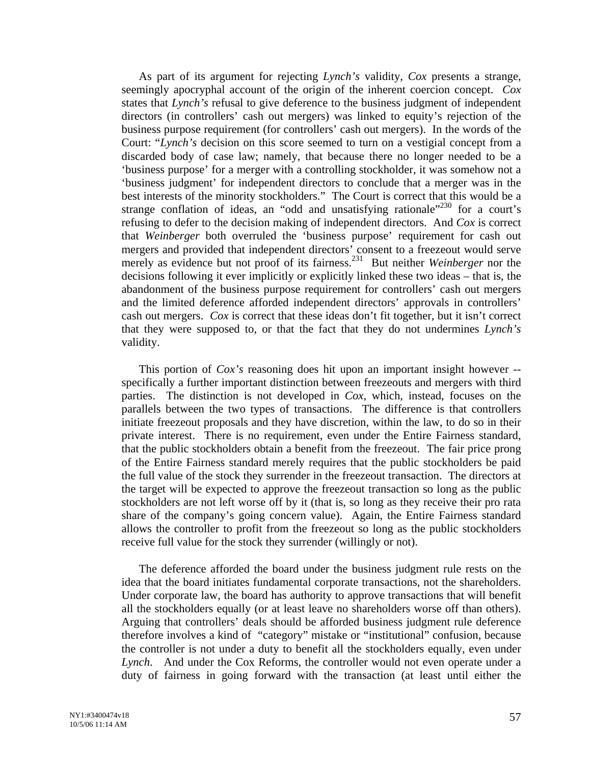As part of its argument for rejecting *Lynch's* validity, *Cox* presents a strange, seemingly apocryphal account of the origin of the inherent coercion concept. *Cox* states that *Lynch's* refusal to give deference to the business judgment of independent directors (in controllers' cash out mergers) was linked to equity's rejection of the business purpose requirement (for controllers' cash out mergers). In the words of the Court: "*Lynch's* decision on this score seemed to turn on a vestigial concept from a discarded body of case law; namely, that because there no longer needed to be a 'business purpose' for a merger with a controlling stockholder, it was somehow not a 'business judgment' for independent directors to conclude that a merger was in the best interests of the minority stockholders." The Court is correct that this would be a strange conflation of ideas, an "odd and unsatisfying rationale"<sup>230</sup> for a court's refusing to defer to the decision making of independent directors. And *Cox* is correct that *Weinberger* both overruled the 'business purpose' requirement for cash out mergers and provided that independent directors' consent to a freezeout would serve merely as evidence but not proof of its fairness.<sup>231</sup> But neither *Weinberger* nor the decisions following it ever implicitly or explicitly linked these two ideas – that is, the abandonment of the business purpose requirement for controllers' cash out mergers and the limited deference afforded independent directors' approvals in controllers' cash out mergers. *Cox* is correct that these ideas don't fit together, but it isn't correct that they were supposed to, or that the fact that they do not undermines *Lynch's*  validity.

This portion of *Cox's* reasoning does hit upon an important insight however - specifically a further important distinction between freezeouts and mergers with third parties. The distinction is not developed in *Cox*, which, instead, focuses on the parallels between the two types of transactions. The difference is that controllers initiate freezeout proposals and they have discretion, within the law, to do so in their private interest. There is no requirement, even under the Entire Fairness standard, that the public stockholders obtain a benefit from the freezeout. The fair price prong of the Entire Fairness standard merely requires that the public stockholders be paid the full value of the stock they surrender in the freezeout transaction. The directors at the target will be expected to approve the freezeout transaction so long as the public stockholders are not left worse off by it (that is, so long as they receive their pro rata share of the company's going concern value). Again, the Entire Fairness standard allows the controller to profit from the freezeout so long as the public stockholders receive full value for the stock they surrender (willingly or not).

The deference afforded the board under the business judgment rule rests on the idea that the board initiates fundamental corporate transactions, not the shareholders. Under corporate law, the board has authority to approve transactions that will benefit all the stockholders equally (or at least leave no shareholders worse off than others). Arguing that controllers' deals should be afforded business judgment rule deference therefore involves a kind of "category" mistake or "institutional" confusion, because the controller is not under a duty to benefit all the stockholders equally, even under *Lynch*. And under the Cox Reforms, the controller would not even operate under a duty of fairness in going forward with the transaction (at least until either the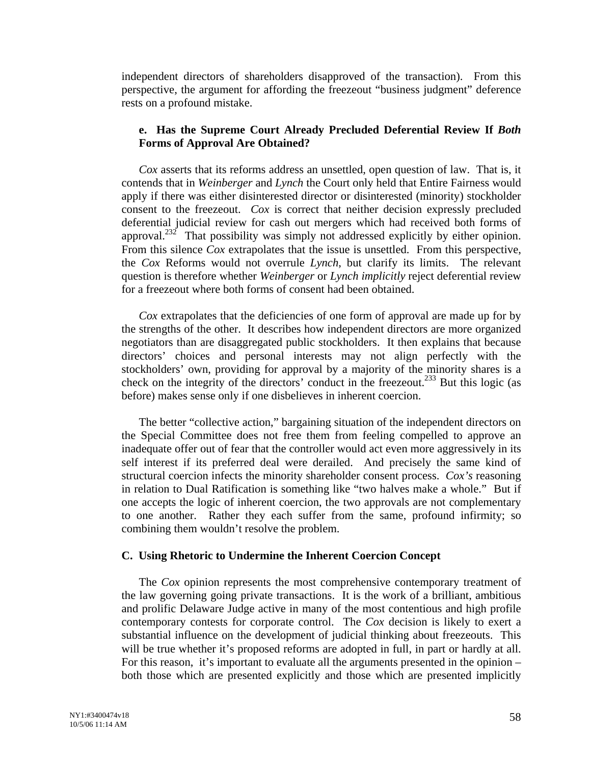independent directors of shareholders disapproved of the transaction). From this perspective, the argument for affording the freezeout "business judgment" deference rests on a profound mistake.

# **e. Has the Supreme Court Already Precluded Deferential Review If** *Both* **Forms of Approval Are Obtained?**

*Cox* asserts that its reforms address an unsettled, open question of law. That is, it contends that in *Weinberger* and *Lynch* the Court only held that Entire Fairness would apply if there was either disinterested director or disinterested (minority) stockholder consent to the freezeout. *Cox* is correct that neither decision expressly precluded deferential judicial review for cash out mergers which had received both forms of approval.<sup>232</sup> That possibility was simply not addressed explicitly by either opinion. From this silence *Cox* extrapolates that the issue is unsettled. From this perspective, the *Cox* Reforms would not overrule *Lynch*, but clarify its limits. The relevant question is therefore whether *Weinberger* or *Lynch implicitly* reject deferential review for a freezeout where both forms of consent had been obtained.

*Cox* extrapolates that the deficiencies of one form of approval are made up for by the strengths of the other. It describes how independent directors are more organized negotiators than are disaggregated public stockholders. It then explains that because directors' choices and personal interests may not align perfectly with the stockholders' own, providing for approval by a majority of the minority shares is a check on the integrity of the directors' conduct in the freezeout.<sup>233</sup> But this logic (as before) makes sense only if one disbelieves in inherent coercion.

The better "collective action," bargaining situation of the independent directors on the Special Committee does not free them from feeling compelled to approve an inadequate offer out of fear that the controller would act even more aggressively in its self interest if its preferred deal were derailed. And precisely the same kind of structural coercion infects the minority shareholder consent process. *Cox's* reasoning in relation to Dual Ratification is something like "two halves make a whole." But if one accepts the logic of inherent coercion, the two approvals are not complementary to one another. Rather they each suffer from the same, profound infirmity; so combining them wouldn't resolve the problem.

### **C. Using Rhetoric to Undermine the Inherent Coercion Concept**

The *Cox* opinion represents the most comprehensive contemporary treatment of the law governing going private transactions. It is the work of a brilliant, ambitious and prolific Delaware Judge active in many of the most contentious and high profile contemporary contests for corporate control. The *Cox* decision is likely to exert a substantial influence on the development of judicial thinking about freezeouts. This will be true whether it's proposed reforms are adopted in full, in part or hardly at all. For this reason, it's important to evaluate all the arguments presented in the opinion – both those which are presented explicitly and those which are presented implicitly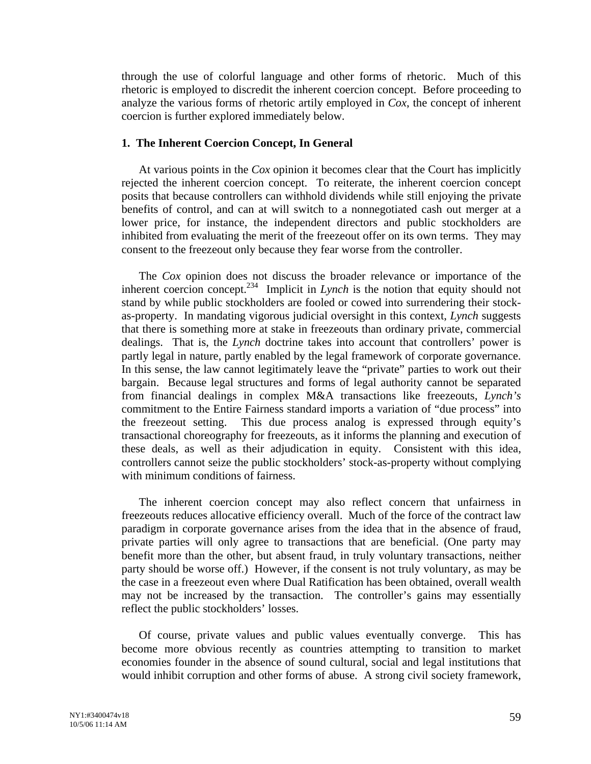through the use of colorful language and other forms of rhetoric. Much of this rhetoric is employed to discredit the inherent coercion concept. Before proceeding to analyze the various forms of rhetoric artily employed in *Cox*, the concept of inherent coercion is further explored immediately below.

## **1. The Inherent Coercion Concept, In General**

At various points in the *Cox* opinion it becomes clear that the Court has implicitly rejected the inherent coercion concept. To reiterate, the inherent coercion concept posits that because controllers can withhold dividends while still enjoying the private benefits of control, and can at will switch to a nonnegotiated cash out merger at a lower price, for instance, the independent directors and public stockholders are inhibited from evaluating the merit of the freezeout offer on its own terms. They may consent to the freezeout only because they fear worse from the controller.

 The *Cox* opinion does not discuss the broader relevance or importance of the inherent coercion concept.<sup>234</sup> Implicit in *Lynch* is the notion that equity should not stand by while public stockholders are fooled or cowed into surrendering their stockas-property. In mandating vigorous judicial oversight in this context, *Lynch* suggests that there is something more at stake in freezeouts than ordinary private, commercial dealings. That is, the *Lynch* doctrine takes into account that controllers' power is partly legal in nature, partly enabled by the legal framework of corporate governance. In this sense, the law cannot legitimately leave the "private" parties to work out their bargain. Because legal structures and forms of legal authority cannot be separated from financial dealings in complex M&A transactions like freezeouts, *Lynch's* commitment to the Entire Fairness standard imports a variation of "due process" into the freezeout setting. This due process analog is expressed through equity's transactional choreography for freezeouts, as it informs the planning and execution of these deals, as well as their adjudication in equity. Consistent with this idea, controllers cannot seize the public stockholders' stock-as-property without complying with minimum conditions of fairness.

The inherent coercion concept may also reflect concern that unfairness in freezeouts reduces allocative efficiency overall. Much of the force of the contract law paradigm in corporate governance arises from the idea that in the absence of fraud, private parties will only agree to transactions that are beneficial. (One party may benefit more than the other, but absent fraud, in truly voluntary transactions, neither party should be worse off.) However, if the consent is not truly voluntary, as may be the case in a freezeout even where Dual Ratification has been obtained, overall wealth may not be increased by the transaction. The controller's gains may essentially reflect the public stockholders' losses.

Of course, private values and public values eventually converge. This has become more obvious recently as countries attempting to transition to market economies founder in the absence of sound cultural, social and legal institutions that would inhibit corruption and other forms of abuse. A strong civil society framework,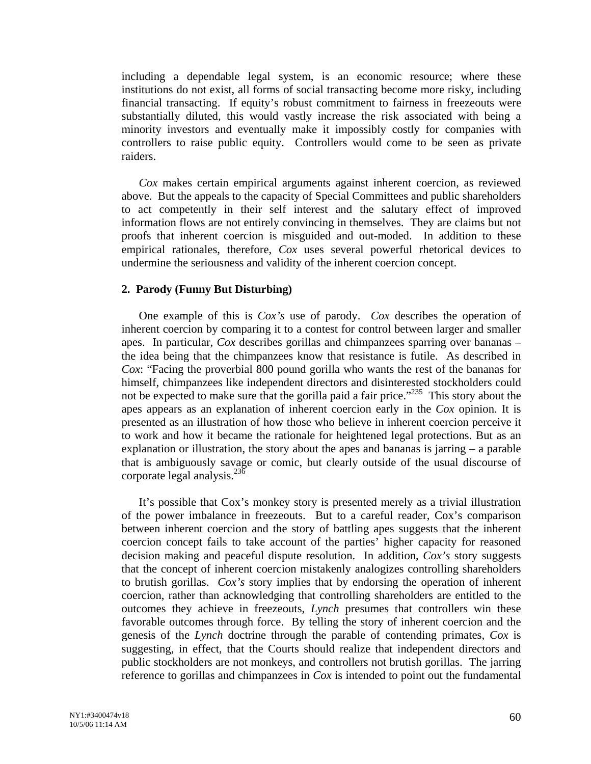including a dependable legal system, is an economic resource; where these institutions do not exist, all forms of social transacting become more risky, including financial transacting. If equity's robust commitment to fairness in freezeouts were substantially diluted, this would vastly increase the risk associated with being a minority investors and eventually make it impossibly costly for companies with controllers to raise public equity. Controllers would come to be seen as private raiders.

*Cox* makes certain empirical arguments against inherent coercion, as reviewed above. But the appeals to the capacity of Special Committees and public shareholders to act competently in their self interest and the salutary effect of improved information flows are not entirely convincing in themselves. They are claims but not proofs that inherent coercion is misguided and out-moded. In addition to these empirical rationales, therefore, *Cox* uses several powerful rhetorical devices to undermine the seriousness and validity of the inherent coercion concept.

### **2. Parody (Funny But Disturbing)**

One example of this is *Cox's* use of parody. *Cox* describes the operation of inherent coercion by comparing it to a contest for control between larger and smaller apes. In particular, *Cox* describes gorillas and chimpanzees sparring over bananas – the idea being that the chimpanzees know that resistance is futile. As described in *Cox*: "Facing the proverbial 800 pound gorilla who wants the rest of the bananas for himself, chimpanzees like independent directors and disinterested stockholders could not be expected to make sure that the gorilla paid a fair price.<sup>235</sup> This story about the apes appears as an explanation of inherent coercion early in the *Cox* opinion. It is presented as an illustration of how those who believe in inherent coercion perceive it to work and how it became the rationale for heightened legal protections. But as an explanation or illustration, the story about the apes and bananas is jarring  $-$  a parable that is ambiguously savage or comic, but clearly outside of the usual discourse of corporate legal analysis.<sup>236</sup>

It's possible that Cox's monkey story is presented merely as a trivial illustration of the power imbalance in freezeouts. But to a careful reader, Cox's comparison between inherent coercion and the story of battling apes suggests that the inherent coercion concept fails to take account of the parties' higher capacity for reasoned decision making and peaceful dispute resolution. In addition, *Cox's* story suggests that the concept of inherent coercion mistakenly analogizes controlling shareholders to brutish gorillas. *Cox's* story implies that by endorsing the operation of inherent coercion, rather than acknowledging that controlling shareholders are entitled to the outcomes they achieve in freezeouts, *Lynch* presumes that controllers win these favorable outcomes through force. By telling the story of inherent coercion and the genesis of the *Lynch* doctrine through the parable of contending primates, *Cox* is suggesting, in effect, that the Courts should realize that independent directors and public stockholders are not monkeys, and controllers not brutish gorillas. The jarring reference to gorillas and chimpanzees in *Cox* is intended to point out the fundamental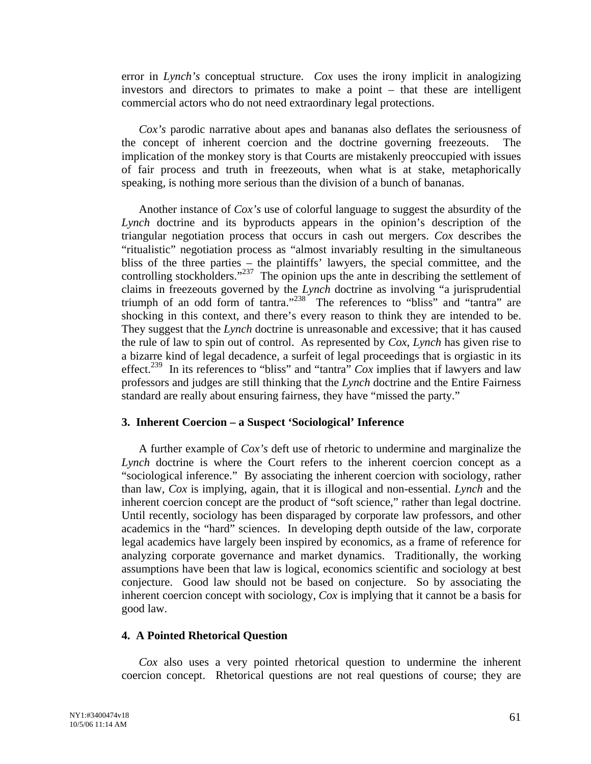error in *Lynch's* conceptual structure. *Cox* uses the irony implicit in analogizing investors and directors to primates to make a point – that these are intelligent commercial actors who do not need extraordinary legal protections.

*Cox's* parodic narrative about apes and bananas also deflates the seriousness of the concept of inherent coercion and the doctrine governing freezeouts. The implication of the monkey story is that Courts are mistakenly preoccupied with issues of fair process and truth in freezeouts, when what is at stake, metaphorically speaking, is nothing more serious than the division of a bunch of bananas.

Another instance of *Cox's* use of colorful language to suggest the absurdity of the *Lynch* doctrine and its byproducts appears in the opinion's description of the triangular negotiation process that occurs in cash out mergers. *Cox* describes the "ritualistic" negotiation process as "almost invariably resulting in the simultaneous bliss of the three parties – the plaintiffs' lawyers, the special committee, and the controlling stockholders."<sup>237</sup> The opinion ups the ante in describing the settlement of claims in freezeouts governed by the *Lynch* doctrine as involving "a jurisprudential triumph of an odd form of tantra."[238](#page-90-63) The references to "bliss" and "tantra" are shocking in this context, and there's every reason to think they are intended to be. They suggest that the *Lynch* doctrine is unreasonable and excessive; that it has caused the rule of law to spin out of control. As represented by *Cox*, *Lynch* has given rise to a bizarre kind of legal decadence, a surfeit of legal proceedings that is orgiastic in its effect[.239](#page-90-64) In its references to "bliss" and "tantra" *Cox* implies that if lawyers and law professors and judges are still thinking that the *Lynch* doctrine and the Entire Fairness standard are really about ensuring fairness, they have "missed the party."

# **3. Inherent Coercion – a Suspect 'Sociological' Inference**

A further example of *Cox's* deft use of rhetoric to undermine and marginalize the *Lynch* doctrine is where the Court refers to the inherent coercion concept as a "sociological inference." By associating the inherent coercion with sociology, rather than law, *Cox* is implying, again, that it is illogical and non-essential. *Lynch* and the inherent coercion concept are the product of "soft science," rather than legal doctrine. Until recently, sociology has been disparaged by corporate law professors, and other academics in the "hard" sciences. In developing depth outside of the law, corporate legal academics have largely been inspired by economics, as a frame of reference for analyzing corporate governance and market dynamics. Traditionally, the working assumptions have been that law is logical, economics scientific and sociology at best conjecture. Good law should not be based on conjecture. So by associating the inherent coercion concept with sociology, *Cox* is implying that it cannot be a basis for good law.

### **4. A Pointed Rhetorical Question**

*Cox* also uses a very pointed rhetorical question to undermine the inherent coercion concept. Rhetorical questions are not real questions of course; they are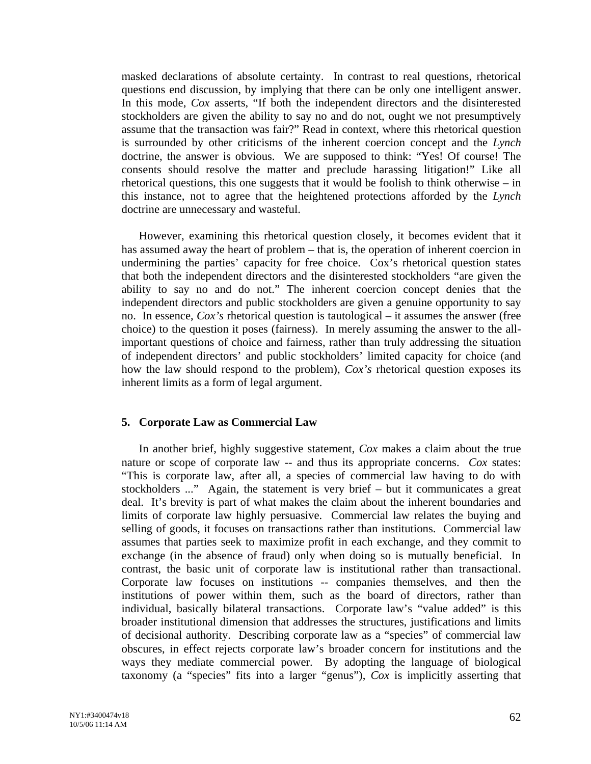masked declarations of absolute certainty. In contrast to real questions, rhetorical questions end discussion, by implying that there can be only one intelligent answer. In this mode, *Cox* asserts, "If both the independent directors and the disinterested stockholders are given the ability to say no and do not, ought we not presumptively assume that the transaction was fair?" Read in context, where this rhetorical question is surrounded by other criticisms of the inherent coercion concept and the *Lynch* doctrine, the answer is obvious. We are supposed to think: "Yes! Of course! The consents should resolve the matter and preclude harassing litigation!" Like all rhetorical questions, this one suggests that it would be foolish to think otherwise – in this instance, not to agree that the heightened protections afforded by the *Lynch*  doctrine are unnecessary and wasteful.

However, examining this rhetorical question closely, it becomes evident that it has assumed away the heart of problem – that is, the operation of inherent coercion in undermining the parties' capacity for free choice. Cox's rhetorical question states that both the independent directors and the disinterested stockholders "are given the ability to say no and do not." The inherent coercion concept denies that the independent directors and public stockholders are given a genuine opportunity to say no. In essence, *Cox's* rhetorical question is tautological – it assumes the answer (free choice) to the question it poses (fairness). In merely assuming the answer to the allimportant questions of choice and fairness, rather than truly addressing the situation of independent directors' and public stockholders' limited capacity for choice (and how the law should respond to the problem), *Cox's* rhetorical question exposes its inherent limits as a form of legal argument.

### **5. Corporate Law as Commercial Law**

In another brief, highly suggestive statement, *Cox* makes a claim about the true nature or scope of corporate law -- and thus its appropriate concerns. *Cox* states: "This is corporate law, after all, a species of commercial law having to do with stockholders ..." Again, the statement is very brief – but it communicates a great deal. It's brevity is part of what makes the claim about the inherent boundaries and limits of corporate law highly persuasive. Commercial law relates the buying and selling of goods, it focuses on transactions rather than institutions. Commercial law assumes that parties seek to maximize profit in each exchange, and they commit to exchange (in the absence of fraud) only when doing so is mutually beneficial. In contrast, the basic unit of corporate law is institutional rather than transactional. Corporate law focuses on institutions -- companies themselves, and then the institutions of power within them, such as the board of directors, rather than individual, basically bilateral transactions. Corporate law's "value added" is this broader institutional dimension that addresses the structures, justifications and limits of decisional authority. Describing corporate law as a "species" of commercial law obscures, in effect rejects corporate law's broader concern for institutions and the ways they mediate commercial power. By adopting the language of biological taxonomy (a "species" fits into a larger "genus"), *Cox* is implicitly asserting that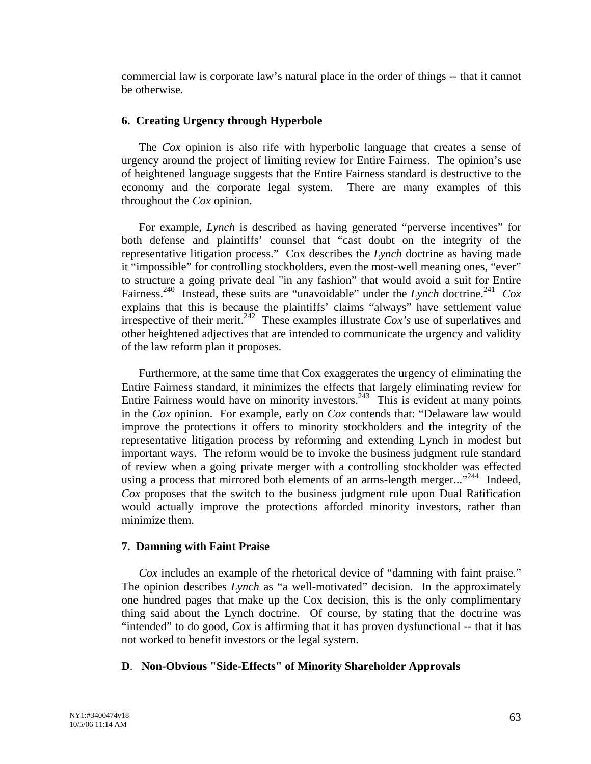commercial law is corporate law's natural place in the order of things -- that it cannot be otherwise.

## **6. Creating Urgency through Hyperbole**

 The *Cox* opinion is also rife with hyperbolic language that creates a sense of urgency around the project of limiting review for Entire Fairness. The opinion's use of heightened language suggests that the Entire Fairness standard is destructive to the economy and the corporate legal system. There are many examples of this throughout the *Cox* opinion.

For example, *Lynch* is described as having generated "perverse incentives" for both defense and plaintiffs' counsel that "cast doubt on the integrity of the representative litigation process." Cox describes the *Lynch* doctrine as having made it "impossible" for controlling stockholders, even the most-well meaning ones, "ever" to structure a going private deal "in any fashion" that would avoid a suit for Entire Fairness[.240](#page-90-65) Instead, these suits are "unavoidable" under the *Lynch* doctrine. [241](#page-90-66) *Cox* explains that this is because the plaintiffs' claims "always" have settlement value irrespective of their merit.<sup>242</sup> These examples illustrate  $Cox$ 's use of superlatives and other heightened adjectives that are intended to communicate the urgency and validity of the law reform plan it proposes.

Furthermore, at the same time that Cox exaggerates the urgency of eliminating the Entire Fairness standard, it minimizes the effects that largely eliminating review for Entire Fairness would have on minority investors.<sup>243</sup> This is evident at many points in the *Cox* opinion. For example, early on *Cox* contends that: "Delaware law would improve the protections it offers to minority stockholders and the integrity of the representative litigation process by reforming and extending Lynch in modest but important ways. The reform would be to invoke the business judgment rule standard of review when a going private merger with a controlling stockholder was effected using a process that mirrored both elements of an arms-length merger..."<sup>244</sup> Indeed, *Cox* proposes that the switch to the business judgment rule upon Dual Ratification would actually improve the protections afforded minority investors, rather than minimize them.

### **7. Damning with Faint Praise**

*Cox* includes an example of the rhetorical device of "damning with faint praise." The opinion describes *Lynch* as "a well-motivated" decision. In the approximately one hundred pages that make up the Cox decision, this is the only complimentary thing said about the Lynch doctrine. Of course, by stating that the doctrine was "intended" to do good, *Cox* is affirming that it has proven dysfunctional -- that it has not worked to benefit investors or the legal system.

# **D**. **Non-Obvious "Side-Effects" of Minority Shareholder Approvals**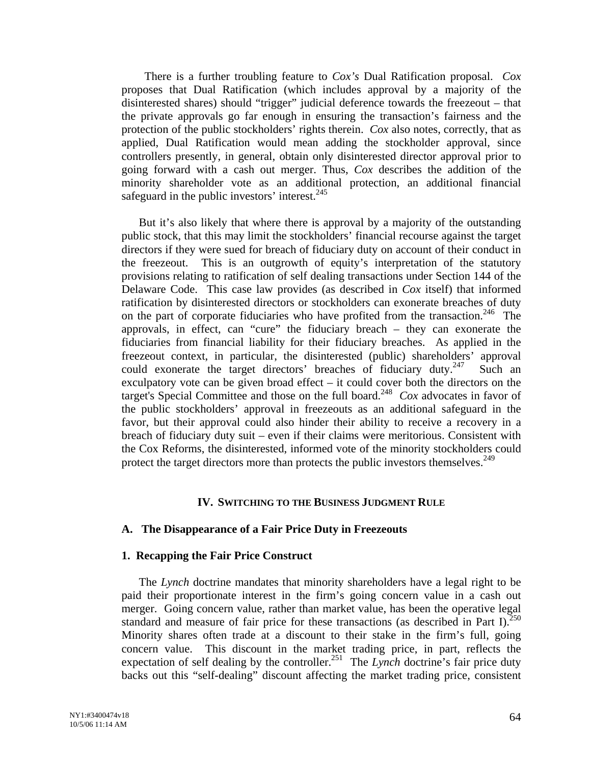There is a further troubling feature to *Cox's* Dual Ratification proposal. *Cox* proposes that Dual Ratification (which includes approval by a majority of the disinterested shares) should "trigger" judicial deference towards the freezeout – that the private approvals go far enough in ensuring the transaction's fairness and the protection of the public stockholders' rights therein. *Cox* also notes, correctly, that as applied, Dual Ratification would mean adding the stockholder approval, since controllers presently, in general, obtain only disinterested director approval prior to going forward with a cash out merger. Thus, *Cox* describes the addition of the minority shareholder vote as an additional protection, an additional financial safeguard in the public investors' interest. $245$ 

But it's also likely that where there is approval by a majority of the outstanding public stock, that this may limit the stockholders' financial recourse against the target directors if they were sued for breach of fiduciary duty on account of their conduct in the freezeout. This is an outgrowth of equity's interpretation of the statutory provisions relating to ratification of self dealing transactions under Section 144 of the Delaware Code. This case law provides (as described in *Cox* itself) that informed ratification by disinterested directors or stockholders can exonerate breaches of duty on the part of corporate fiduciaries who have profited from the transaction.<sup>246</sup> The approvals, in effect, can "cure" the fiduciary breach – they can exonerate the fiduciaries from financial liability for their fiduciary breaches. As applied in the freezeout context, in particular, the disinterested (public) shareholders' approval could exonerate the target directors' breaches of fiduciary duty.<sup>247</sup> Such an exculpatory vote can be given broad effect – it could cover both the directors on the target's Special Committee and those on the full board.<sup>248</sup> *Cox* advocates in favor of the public stockholders' approval in freezeouts as an additional safeguard in the favor, but their approval could also hinder their ability to receive a recovery in a breach of fiduciary duty suit – even if their claims were meritorious. Consistent with the Cox Reforms, the disinterested, informed vote of the minority stockholders could protect the target directors more than protects the public investors themselves.<sup>[249](#page-90-72)</sup>

### **IV. SWITCHING TO THE BUSINESS JUDGMENT RULE**

#### **A. The Disappearance of a Fair Price Duty in Freezeouts**

#### **1. Recapping the Fair Price Construct**

 The *Lynch* doctrine mandates that minority shareholders have a legal right to be paid their proportionate interest in the firm's going concern value in a cash out merger. Going concern value, rather than market value, has been the operative legal standard and measure of fair price for these transactions (as described in Part I).<sup>250</sup> Minority shares often trade at a discount to their stake in the firm's full, going concern value. This discount in the market trading price, in part, reflects the expectation of self dealing by the controller.<sup>251</sup> The *Lynch* doctrine's fair price duty backs out this "self-dealing" discount affecting the market trading price, consistent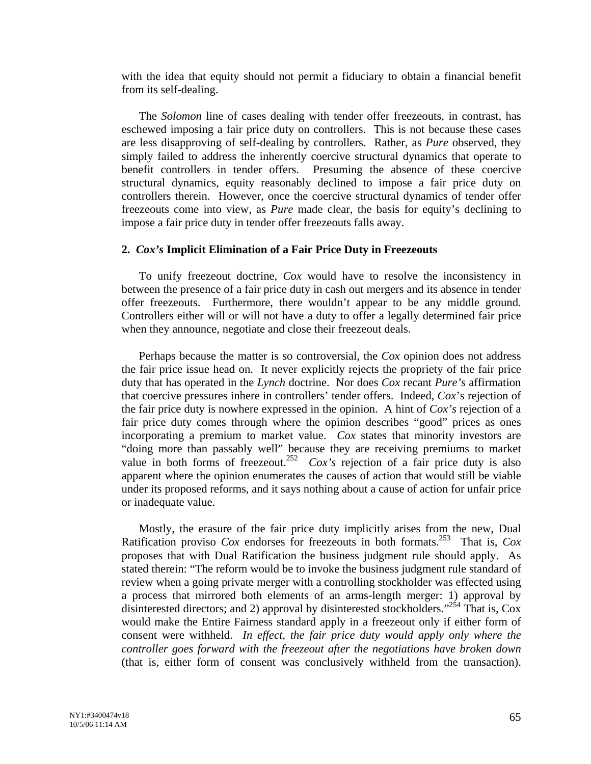with the idea that equity should not permit a fiduciary to obtain a financial benefit from its self-dealing.

 The *Solomon* line of cases dealing with tender offer freezeouts, in contrast, has eschewed imposing a fair price duty on controllers. This is not because these cases are less disapproving of self-dealing by controllers. Rather, as *Pure* observed, they simply failed to address the inherently coercive structural dynamics that operate to benefit controllers in tender offers. Presuming the absence of these coercive structural dynamics, equity reasonably declined to impose a fair price duty on controllers therein. However, once the coercive structural dynamics of tender offer freezeouts come into view, as *Pure* made clear, the basis for equity's declining to impose a fair price duty in tender offer freezeouts falls away.

### **2.** *Cox's* **Implicit Elimination of a Fair Price Duty in Freezeouts**

To unify freezeout doctrine, *Cox* would have to resolve the inconsistency in between the presence of a fair price duty in cash out mergers and its absence in tender offer freezeouts. Furthermore, there wouldn't appear to be any middle ground. Controllers either will or will not have a duty to offer a legally determined fair price when they announce, negotiate and close their freezeout deals.

Perhaps because the matter is so controversial, the *Cox* opinion does not address the fair price issue head on. It never explicitly rejects the propriety of the fair price duty that has operated in the *Lynch* doctrine. Nor does *Cox* recant *Pure's* affirmation that coercive pressures inhere in controllers' tender offers. Indeed, *Cox*'s rejection of the fair price duty is nowhere expressed in the opinion. A hint of *Cox's* rejection of a fair price duty comes through where the opinion describes "good" prices as ones incorporating a premium to market value. *Cox* states that minority investors are "doing more than passably well" because they are receiving premiums to market value in both forms of freezeout.<sup>252</sup> *Cox's* rejection of a fair price duty is also apparent where the opinion enumerates the causes of action that would still be viable under its proposed reforms, and it says nothing about a cause of action for unfair price or inadequate value.

Mostly, the erasure of the fair price duty implicitly arises from the new, Dual Ratification proviso *Cox* endorses for freezeouts in both formats[.253](#page-90-76) That is, *Cox* proposes that with Dual Ratification the business judgment rule should apply. As stated therein: "The reform would be to invoke the business judgment rule standard of review when a going private merger with a controlling stockholder was effected using a process that mirrored both elements of an arms-length merger: 1) approval by disinterested directors; and 2) approval by disinterested stockholders."<sup>254</sup> That is, Cox would make the Entire Fairness standard apply in a freezeout only if either form of consent were withheld. *In effect, the fair price duty would apply only where the controller goes forward with the freezeout after the negotiations have broken down* (that is, either form of consent was conclusively withheld from the transaction).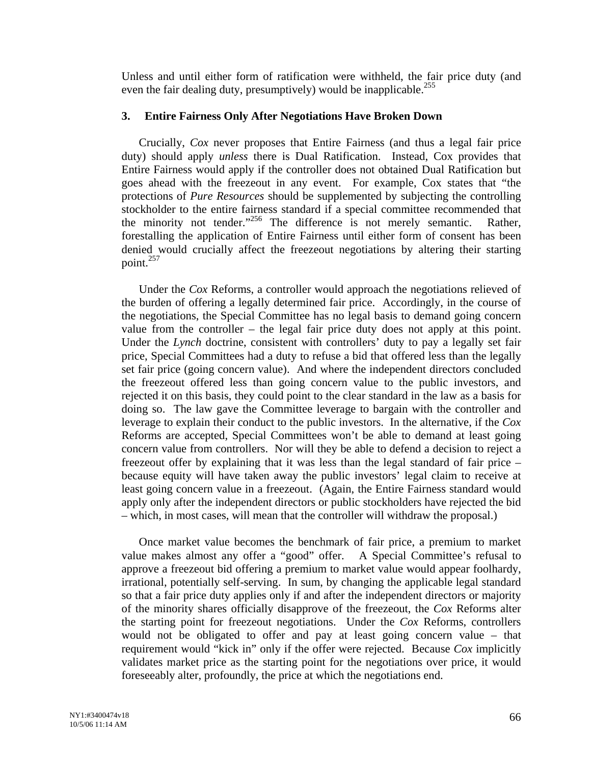Unless and until either form of ratification were withheld, the fair price duty (and even the fair dealing duty, presumptively) would be inapplicable.<sup>255</sup>

### **3. Entire Fairness Only After Negotiations Have Broken Down**

 Crucially, *Cox* never proposes that Entire Fairness (and thus a legal fair price duty) should apply *unless* there is Dual Ratification. Instead, Cox provides that Entire Fairness would apply if the controller does not obtained Dual Ratification but goes ahead with the freezeout in any event. For example, Cox states that "the protections of *Pure Resources* should be supplemented by subjecting the controlling stockholder to the entire fairness standard if a special committee recommended that the minority not tender."[256](#page-90-79) The difference is not merely semantic. Rather, forestalling the application of Entire Fairness until either form of consent has been denied would crucially affect the freezeout negotiations by altering their starting point. $^{257}$  $^{257}$  $^{257}$ 

 Under the *Cox* Reforms, a controller would approach the negotiations relieved of the burden of offering a legally determined fair price. Accordingly, in the course of the negotiations, the Special Committee has no legal basis to demand going concern value from the controller – the legal fair price duty does not apply at this point. Under the *Lynch* doctrine, consistent with controllers' duty to pay a legally set fair price, Special Committees had a duty to refuse a bid that offered less than the legally set fair price (going concern value). And where the independent directors concluded the freezeout offered less than going concern value to the public investors, and rejected it on this basis, they could point to the clear standard in the law as a basis for doing so. The law gave the Committee leverage to bargain with the controller and leverage to explain their conduct to the public investors. In the alternative, if the *Cox* Reforms are accepted, Special Committees won't be able to demand at least going concern value from controllers. Nor will they be able to defend a decision to reject a freezeout offer by explaining that it was less than the legal standard of fair price – because equity will have taken away the public investors' legal claim to receive at least going concern value in a freezeout. (Again, the Entire Fairness standard would apply only after the independent directors or public stockholders have rejected the bid – which, in most cases, will mean that the controller will withdraw the proposal.)

Once market value becomes the benchmark of fair price, a premium to market value makes almost any offer a "good" offer. A Special Committee's refusal to approve a freezeout bid offering a premium to market value would appear foolhardy, irrational, potentially self-serving. In sum, by changing the applicable legal standard so that a fair price duty applies only if and after the independent directors or majority of the minority shares officially disapprove of the freezeout, the *Cox* Reforms alter the starting point for freezeout negotiations. Under the *Cox* Reforms, controllers would not be obligated to offer and pay at least going concern value – that requirement would "kick in" only if the offer were rejected. Because *Cox* implicitly validates market price as the starting point for the negotiations over price, it would foreseeably alter, profoundly, the price at which the negotiations end.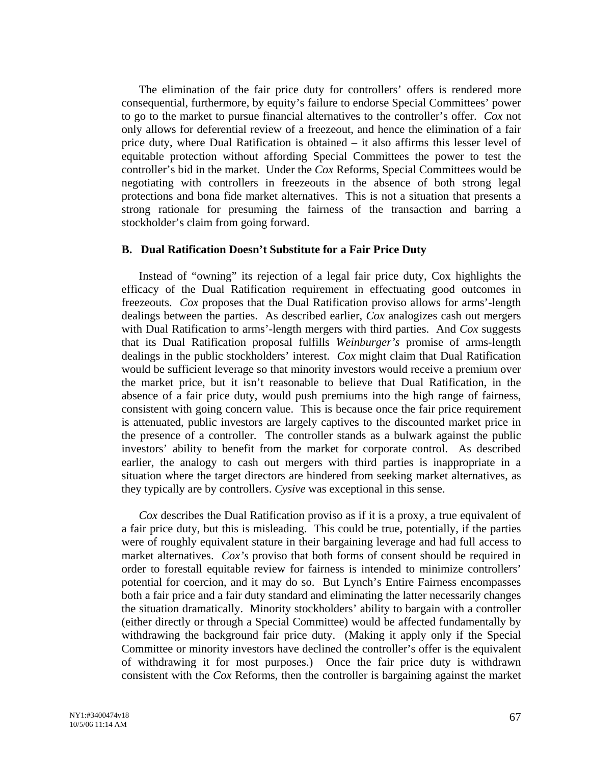The elimination of the fair price duty for controllers' offers is rendered more consequential, furthermore, by equity's failure to endorse Special Committees' power to go to the market to pursue financial alternatives to the controller's offer. *Cox* not only allows for deferential review of a freezeout, and hence the elimination of a fair price duty, where Dual Ratification is obtained – it also affirms this lesser level of equitable protection without affording Special Committees the power to test the controller's bid in the market. Under the *Cox* Reforms, Special Committees would be negotiating with controllers in freezeouts in the absence of both strong legal protections and bona fide market alternatives. This is not a situation that presents a strong rationale for presuming the fairness of the transaction and barring a stockholder's claim from going forward.

### **B. Dual Ratification Doesn't Substitute for a Fair Price Duty**

Instead of "owning" its rejection of a legal fair price duty, Cox highlights the efficacy of the Dual Ratification requirement in effectuating good outcomes in freezeouts. *Cox* proposes that the Dual Ratification proviso allows for arms'-length dealings between the parties. As described earlier, *Cox* analogizes cash out mergers with Dual Ratification to arms'-length mergers with third parties. And *Cox* suggests that its Dual Ratification proposal fulfills *Weinburger's* promise of arms-length dealings in the public stockholders' interest. *Cox* might claim that Dual Ratification would be sufficient leverage so that minority investors would receive a premium over the market price, but it isn't reasonable to believe that Dual Ratification, in the absence of a fair price duty, would push premiums into the high range of fairness, consistent with going concern value. This is because once the fair price requirement is attenuated, public investors are largely captives to the discounted market price in the presence of a controller. The controller stands as a bulwark against the public investors' ability to benefit from the market for corporate control. As described earlier, the analogy to cash out mergers with third parties is inappropriate in a situation where the target directors are hindered from seeking market alternatives, as they typically are by controllers. *Cysive* was exceptional in this sense.

*Cox* describes the Dual Ratification proviso as if it is a proxy, a true equivalent of a fair price duty, but this is misleading. This could be true, potentially, if the parties were of roughly equivalent stature in their bargaining leverage and had full access to market alternatives. *Cox's* proviso that both forms of consent should be required in order to forestall equitable review for fairness is intended to minimize controllers' potential for coercion, and it may do so. But Lynch's Entire Fairness encompasses both a fair price and a fair duty standard and eliminating the latter necessarily changes the situation dramatically. Minority stockholders' ability to bargain with a controller (either directly or through a Special Committee) would be affected fundamentally by withdrawing the background fair price duty. (Making it apply only if the Special Committee or minority investors have declined the controller's offer is the equivalent of withdrawing it for most purposes.) Once the fair price duty is withdrawn consistent with the *Cox* Reforms, then the controller is bargaining against the market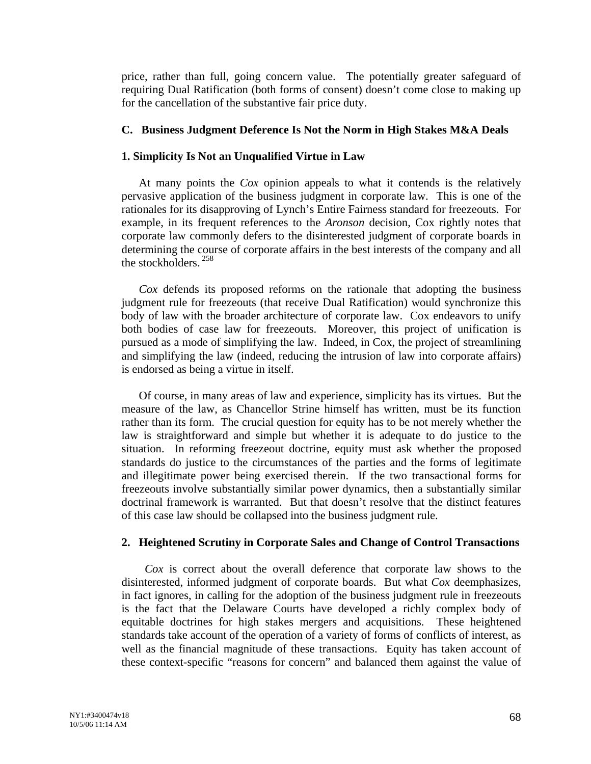price, rather than full, going concern value. The potentially greater safeguard of requiring Dual Ratification (both forms of consent) doesn't come close to making up for the cancellation of the substantive fair price duty.

# **C. Business Judgment Deference Is Not the Norm in High Stakes M&A Deals**

# **1. Simplicity Is Not an Unqualified Virtue in Law**

At many points the *Cox* opinion appeals to what it contends is the relatively pervasive application of the business judgment in corporate law. This is one of the rationales for its disapproving of Lynch's Entire Fairness standard for freezeouts. For example, in its frequent references to the *Aronson* decision, Cox rightly notes that corporate law commonly defers to the disinterested judgment of corporate boards in determining the course of corporate affairs in the best interests of the company and all the stockholders. [258](#page-90-80) 

*Cox* defends its proposed reforms on the rationale that adopting the business judgment rule for freezeouts (that receive Dual Ratification) would synchronize this body of law with the broader architecture of corporate law. Cox endeavors to unify both bodies of case law for freezeouts. Moreover, this project of unification is pursued as a mode of simplifying the law. Indeed, in Cox, the project of streamlining and simplifying the law (indeed, reducing the intrusion of law into corporate affairs) is endorsed as being a virtue in itself.

Of course, in many areas of law and experience, simplicity has its virtues. But the measure of the law, as Chancellor Strine himself has written, must be its function rather than its form. The crucial question for equity has to be not merely whether the law is straightforward and simple but whether it is adequate to do justice to the situation. In reforming freezeout doctrine, equity must ask whether the proposed standards do justice to the circumstances of the parties and the forms of legitimate and illegitimate power being exercised therein. If the two transactional forms for freezeouts involve substantially similar power dynamics, then a substantially similar doctrinal framework is warranted. But that doesn't resolve that the distinct features of this case law should be collapsed into the business judgment rule.

# **2. Heightened Scrutiny in Corporate Sales and Change of Control Transactions**

*Cox* is correct about the overall deference that corporate law shows to the disinterested, informed judgment of corporate boards. But what *Cox* deemphasizes, in fact ignores, in calling for the adoption of the business judgment rule in freezeouts is the fact that the Delaware Courts have developed a richly complex body of equitable doctrines for high stakes mergers and acquisitions. These heightened standards take account of the operation of a variety of forms of conflicts of interest, as well as the financial magnitude of these transactions. Equity has taken account of these context-specific "reasons for concern" and balanced them against the value of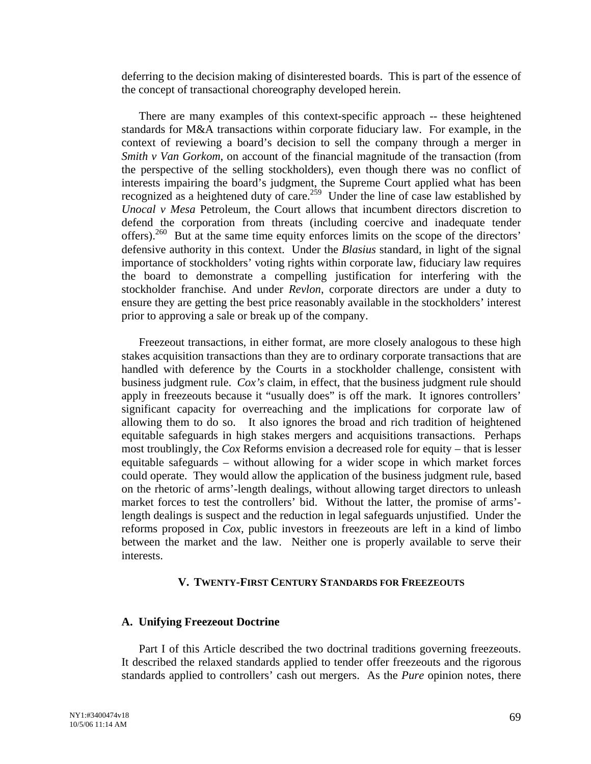deferring to the decision making of disinterested boards. This is part of the essence of the concept of transactional choreography developed herein.

There are many examples of this context-specific approach -- these heightened standards for M&A transactions within corporate fiduciary law. For example, in the context of reviewing a board's decision to sell the company through a merger in *Smith v Van Gorkom*, on account of the financial magnitude of the transaction (from the perspective of the selling stockholders), even though there was no conflict of interests impairing the board's judgment, the Supreme Court applied what has been recognized as a heightened duty of care.<sup>259</sup> Under the line of case law established by *Unocal v Mesa* Petroleum, the Court allows that incumbent directors discretion to defend the corporation from threats (including coercive and inadequate tender offers)[.260](#page-90-82) But at the same time equity enforces limits on the scope of the directors' defensive authority in this context. Under the *Blasius* standard, in light of the signal importance of stockholders' voting rights within corporate law, fiduciary law requires the board to demonstrate a compelling justification for interfering with the stockholder franchise. And under *Revlon*, corporate directors are under a duty to ensure they are getting the best price reasonably available in the stockholders' interest prior to approving a sale or break up of the company.

Freezeout transactions, in either format, are more closely analogous to these high stakes acquisition transactions than they are to ordinary corporate transactions that are handled with deference by the Courts in a stockholder challenge, consistent with business judgment rule. *Cox's* claim, in effect, that the business judgment rule should apply in freezeouts because it "usually does" is off the mark. It ignores controllers' significant capacity for overreaching and the implications for corporate law of allowing them to do so. It also ignores the broad and rich tradition of heightened equitable safeguards in high stakes mergers and acquisitions transactions. Perhaps most troublingly, the *Cox* Reforms envision a decreased role for equity – that is lesser equitable safeguards – without allowing for a wider scope in which market forces could operate. They would allow the application of the business judgment rule, based on the rhetoric of arms'-length dealings, without allowing target directors to unleash market forces to test the controllers' bid. Without the latter, the promise of arms' length dealings is suspect and the reduction in legal safeguards unjustified. Under the reforms proposed in *Cox*, public investors in freezeouts are left in a kind of limbo between the market and the law. Neither one is properly available to serve their interests.

### **V. TWENTY-FIRST CENTURY STANDARDS FOR FREEZEOUTS**

### **A. Unifying Freezeout Doctrine**

Part I of this Article described the two doctrinal traditions governing freezeouts. It described the relaxed standards applied to tender offer freezeouts and the rigorous standards applied to controllers' cash out mergers. As the *Pure* opinion notes, there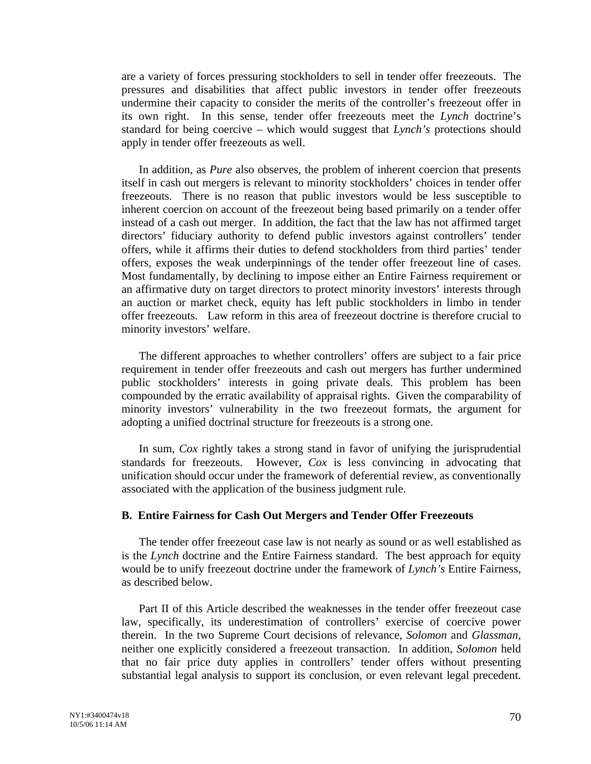are a variety of forces pressuring stockholders to sell in tender offer freezeouts. The pressures and disabilities that affect public investors in tender offer freezeouts undermine their capacity to consider the merits of the controller's freezeout offer in its own right. In this sense, tender offer freezeouts meet the *Lynch* doctrine's standard for being coercive – which would suggest that *Lynch's* protections should apply in tender offer freezeouts as well.

In addition, as *Pure* also observes, the problem of inherent coercion that presents itself in cash out mergers is relevant to minority stockholders' choices in tender offer freezeouts. There is no reason that public investors would be less susceptible to inherent coercion on account of the freezeout being based primarily on a tender offer instead of a cash out merger. In addition, the fact that the law has not affirmed target directors' fiduciary authority to defend public investors against controllers' tender offers, while it affirms their duties to defend stockholders from third parties' tender offers, exposes the weak underpinnings of the tender offer freezeout line of cases. Most fundamentally, by declining to impose either an Entire Fairness requirement or an affirmative duty on target directors to protect minority investors' interests through an auction or market check, equity has left public stockholders in limbo in tender offer freezeouts. Law reform in this area of freezeout doctrine is therefore crucial to minority investors' welfare.

The different approaches to whether controllers' offers are subject to a fair price requirement in tender offer freezeouts and cash out mergers has further undermined public stockholders' interests in going private deals. This problem has been compounded by the erratic availability of appraisal rights. Given the comparability of minority investors' vulnerability in the two freezeout formats, the argument for adopting a unified doctrinal structure for freezeouts is a strong one.

 In sum, *Cox* rightly takes a strong stand in favor of unifying the jurisprudential standards for freezeouts. However, *Cox* is less convincing in advocating that unification should occur under the framework of deferential review, as conventionally associated with the application of the business judgment rule.

#### **B. Entire Fairness for Cash Out Mergers and Tender Offer Freezeouts**

The tender offer freezeout case law is not nearly as sound or as well established as is the *Lynch* doctrine and the Entire Fairness standard. The best approach for equity would be to unify freezeout doctrine under the framework of *Lynch's* Entire Fairness, as described below.

Part II of this Article described the weaknesses in the tender offer freezeout case law, specifically, its underestimation of controllers' exercise of coercive power therein. In the two Supreme Court decisions of relevance, *Solomon* and *Glassman*, neither one explicitly considered a freezeout transaction. In addition, *Solomon* held that no fair price duty applies in controllers' tender offers without presenting substantial legal analysis to support its conclusion, or even relevant legal precedent.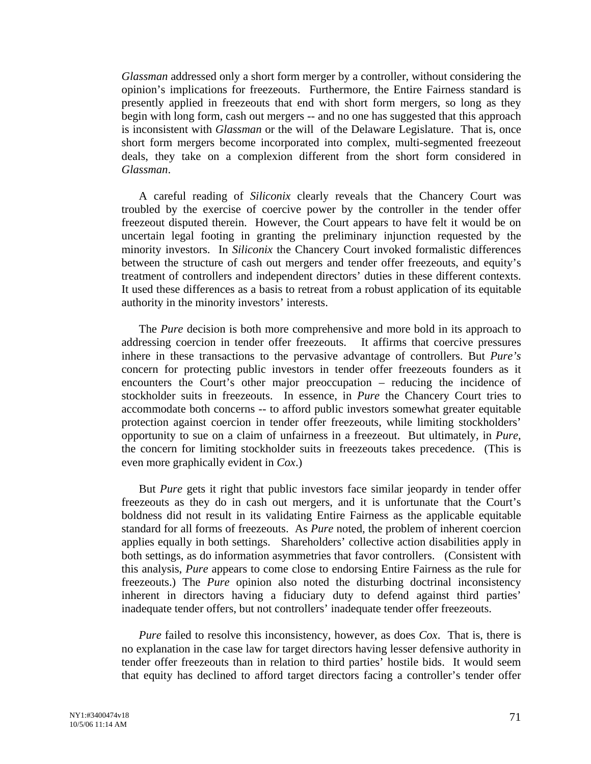*Glassman* addressed only a short form merger by a controller, without considering the opinion's implications for freezeouts. Furthermore, the Entire Fairness standard is presently applied in freezeouts that end with short form mergers, so long as they begin with long form, cash out mergers -- and no one has suggested that this approach is inconsistent with *Glassman* or the will of the Delaware Legislature. That is, once short form mergers become incorporated into complex, multi-segmented freezeout deals, they take on a complexion different from the short form considered in *Glassman*.

A careful reading of *Siliconix* clearly reveals that the Chancery Court was troubled by the exercise of coercive power by the controller in the tender offer freezeout disputed therein. However, the Court appears to have felt it would be on uncertain legal footing in granting the preliminary injunction requested by the minority investors. In *Siliconix* the Chancery Court invoked formalistic differences between the structure of cash out mergers and tender offer freezeouts, and equity's treatment of controllers and independent directors' duties in these different contexts. It used these differences as a basis to retreat from a robust application of its equitable authority in the minority investors' interests.

 The *Pure* decision is both more comprehensive and more bold in its approach to addressing coercion in tender offer freezeouts. It affirms that coercive pressures inhere in these transactions to the pervasive advantage of controllers. But *Pure's*  concern for protecting public investors in tender offer freezeouts founders as it encounters the Court's other major preoccupation – reducing the incidence of stockholder suits in freezeouts. In essence, in *Pure* the Chancery Court tries to accommodate both concerns -- to afford public investors somewhat greater equitable protection against coercion in tender offer freezeouts, while limiting stockholders' opportunity to sue on a claim of unfairness in a freezeout. But ultimately, in *Pure*, the concern for limiting stockholder suits in freezeouts takes precedence. (This is even more graphically evident in *Cox*.)

 But *Pure* gets it right that public investors face similar jeopardy in tender offer freezeouts as they do in cash out mergers, and it is unfortunate that the Court's boldness did not result in its validating Entire Fairness as the applicable equitable standard for all forms of freezeouts. As *Pure* noted, the problem of inherent coercion applies equally in both settings. Shareholders' collective action disabilities apply in both settings, as do information asymmetries that favor controllers. (Consistent with this analysis, *Pure* appears to come close to endorsing Entire Fairness as the rule for freezeouts.) The *Pure* opinion also noted the disturbing doctrinal inconsistency inherent in directors having a fiduciary duty to defend against third parties' inadequate tender offers, but not controllers' inadequate tender offer freezeouts.

*Pure* failed to resolve this inconsistency, however, as does *Cox*. That is, there is no explanation in the case law for target directors having lesser defensive authority in tender offer freezeouts than in relation to third parties' hostile bids. It would seem that equity has declined to afford target directors facing a controller's tender offer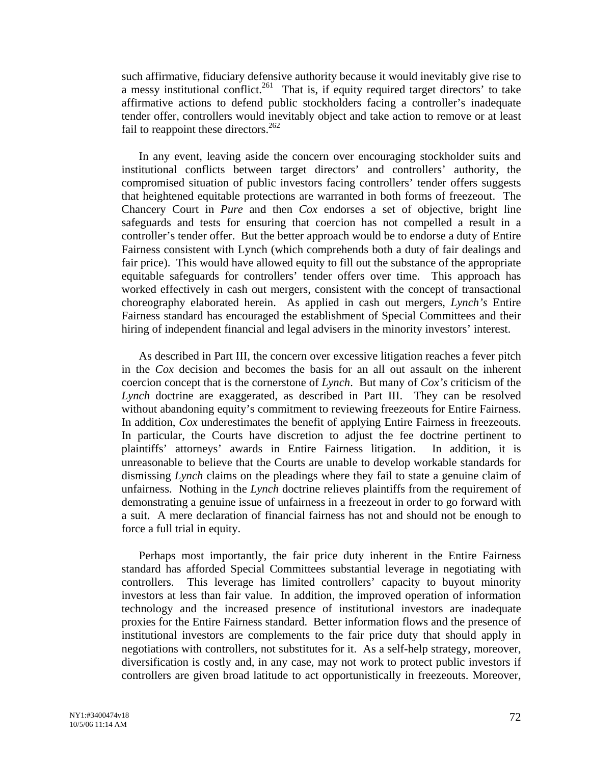such affirmative, fiduciary defensive authority because it would inevitably give rise to a messy institutional conflict.<sup>261</sup> That is, if equity required target directors' to take affirmative actions to defend public stockholders facing a controller's inadequate tender offer, controllers would inevitably object and take action to remove or at least fail to reappoint these directors.<sup>262</sup>

In any event, leaving aside the concern over encouraging stockholder suits and institutional conflicts between target directors' and controllers' authority, the compromised situation of public investors facing controllers' tender offers suggests that heightened equitable protections are warranted in both forms of freezeout. The Chancery Court in *Pure* and then *Cox* endorses a set of objective, bright line safeguards and tests for ensuring that coercion has not compelled a result in a controller's tender offer. But the better approach would be to endorse a duty of Entire Fairness consistent with Lynch (which comprehends both a duty of fair dealings and fair price). This would have allowed equity to fill out the substance of the appropriate equitable safeguards for controllers' tender offers over time. This approach has worked effectively in cash out mergers, consistent with the concept of transactional choreography elaborated herein. As applied in cash out mergers, *Lynch's* Entire Fairness standard has encouraged the establishment of Special Committees and their hiring of independent financial and legal advisers in the minority investors' interest.

As described in Part III, the concern over excessive litigation reaches a fever pitch in the *Cox* decision and becomes the basis for an all out assault on the inherent coercion concept that is the cornerstone of *Lynch*. But many of *Cox's* criticism of the *Lynch* doctrine are exaggerated, as described in Part III. They can be resolved without abandoning equity's commitment to reviewing freezeouts for Entire Fairness. In addition, *Cox* underestimates the benefit of applying Entire Fairness in freezeouts. In particular, the Courts have discretion to adjust the fee doctrine pertinent to plaintiffs' attorneys' awards in Entire Fairness litigation. In addition, it is unreasonable to believe that the Courts are unable to develop workable standards for dismissing *Lynch* claims on the pleadings where they fail to state a genuine claim of unfairness. Nothing in the *Lynch* doctrine relieves plaintiffs from the requirement of demonstrating a genuine issue of unfairness in a freezeout in order to go forward with a suit. A mere declaration of financial fairness has not and should not be enough to force a full trial in equity.

Perhaps most importantly, the fair price duty inherent in the Entire Fairness standard has afforded Special Committees substantial leverage in negotiating with controllers. This leverage has limited controllers' capacity to buyout minority investors at less than fair value. In addition, the improved operation of information technology and the increased presence of institutional investors are inadequate proxies for the Entire Fairness standard. Better information flows and the presence of institutional investors are complements to the fair price duty that should apply in negotiations with controllers, not substitutes for it. As a self-help strategy, moreover, diversification is costly and, in any case, may not work to protect public investors if controllers are given broad latitude to act opportunistically in freezeouts. Moreover,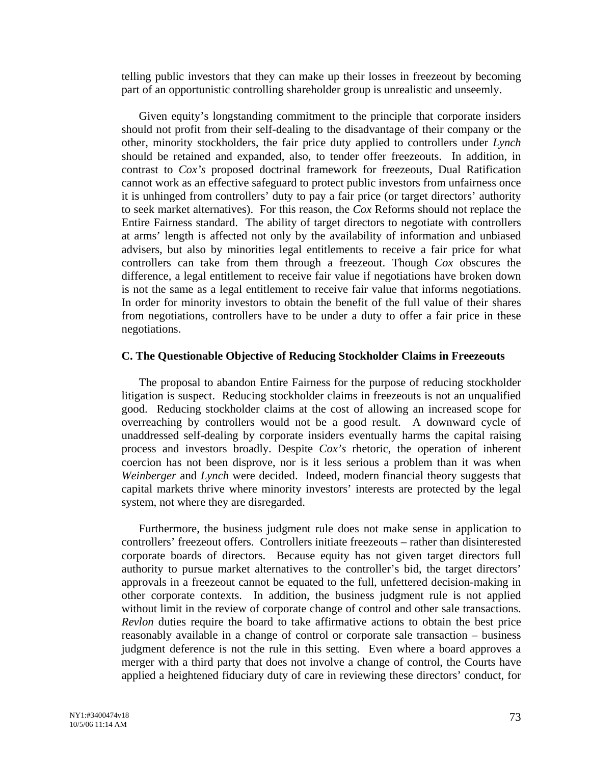telling public investors that they can make up their losses in freezeout by becoming part of an opportunistic controlling shareholder group is unrealistic and unseemly.

Given equity's longstanding commitment to the principle that corporate insiders should not profit from their self-dealing to the disadvantage of their company or the other, minority stockholders, the fair price duty applied to controllers under *Lynch* should be retained and expanded, also, to tender offer freezeouts. In addition, in contrast to *Cox's* proposed doctrinal framework for freezeouts, Dual Ratification cannot work as an effective safeguard to protect public investors from unfairness once it is unhinged from controllers' duty to pay a fair price (or target directors' authority to seek market alternatives). For this reason, the *Cox* Reforms should not replace the Entire Fairness standard. The ability of target directors to negotiate with controllers at arms' length is affected not only by the availability of information and unbiased advisers, but also by minorities legal entitlements to receive a fair price for what controllers can take from them through a freezeout. Though *Cox* obscures the difference, a legal entitlement to receive fair value if negotiations have broken down is not the same as a legal entitlement to receive fair value that informs negotiations. In order for minority investors to obtain the benefit of the full value of their shares from negotiations, controllers have to be under a duty to offer a fair price in these negotiations.

## **C. The Questionable Objective of Reducing Stockholder Claims in Freezeouts**

The proposal to abandon Entire Fairness for the purpose of reducing stockholder litigation is suspect. Reducing stockholder claims in freezeouts is not an unqualified good. Reducing stockholder claims at the cost of allowing an increased scope for overreaching by controllers would not be a good result. A downward cycle of unaddressed self-dealing by corporate insiders eventually harms the capital raising process and investors broadly. Despite *Cox's* rhetoric, the operation of inherent coercion has not been disprove, nor is it less serious a problem than it was when *Weinberger* and *Lynch* were decided. Indeed, modern financial theory suggests that capital markets thrive where minority investors' interests are protected by the legal system, not where they are disregarded.

Furthermore, the business judgment rule does not make sense in application to controllers' freezeout offers. Controllers initiate freezeouts – rather than disinterested corporate boards of directors. Because equity has not given target directors full authority to pursue market alternatives to the controller's bid, the target directors' approvals in a freezeout cannot be equated to the full, unfettered decision-making in other corporate contexts. In addition, the business judgment rule is not applied without limit in the review of corporate change of control and other sale transactions. *Revlon* duties require the board to take affirmative actions to obtain the best price reasonably available in a change of control or corporate sale transaction – business judgment deference is not the rule in this setting. Even where a board approves a merger with a third party that does not involve a change of control, the Courts have applied a heightened fiduciary duty of care in reviewing these directors' conduct, for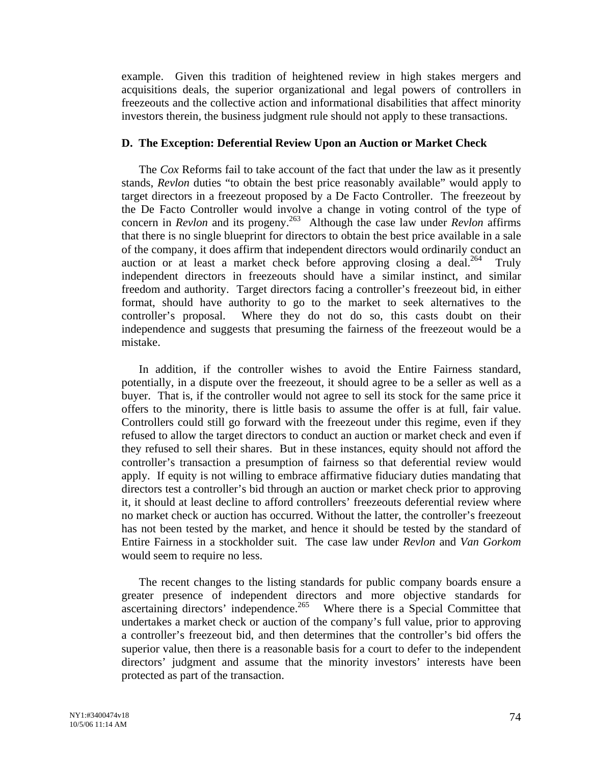example. Given this tradition of heightened review in high stakes mergers and acquisitions deals, the superior organizational and legal powers of controllers in freezeouts and the collective action and informational disabilities that affect minority investors therein, the business judgment rule should not apply to these transactions.

## **D. The Exception: Deferential Review Upon an Auction or Market Check**

 The *Cox* Reforms fail to take account of the fact that under the law as it presently stands, *Revlon* duties "to obtain the best price reasonably available" would apply to target directors in a freezeout proposed by a De Facto Controller. The freezeout by the De Facto Controller would involve a change in voting control of the type of concern in *Revlon* and its progeny.<sup>263</sup> Although the case law under *Revlon* affirms that there is no single blueprint for directors to obtain the best price available in a sale of the company, it does affirm that independent directors would ordinarily conduct an auction or at least a market check before approving closing a deal.<sup>264</sup> Truly independent directors in freezeouts should have a similar instinct, and similar freedom and authority. Target directors facing a controller's freezeout bid, in either format, should have authority to go to the market to seek alternatives to the controller's proposal. Where they do not do so, this casts doubt on their independence and suggests that presuming the fairness of the freezeout would be a mistake.

In addition, if the controller wishes to avoid the Entire Fairness standard, potentially, in a dispute over the freezeout, it should agree to be a seller as well as a buyer. That is, if the controller would not agree to sell its stock for the same price it offers to the minority, there is little basis to assume the offer is at full, fair value. Controllers could still go forward with the freezeout under this regime, even if they refused to allow the target directors to conduct an auction or market check and even if they refused to sell their shares. But in these instances, equity should not afford the controller's transaction a presumption of fairness so that deferential review would apply. If equity is not willing to embrace affirmative fiduciary duties mandating that directors test a controller's bid through an auction or market check prior to approving it, it should at least decline to afford controllers' freezeouts deferential review where no market check or auction has occurred. Without the latter, the controller's freezeout has not been tested by the market, and hence it should be tested by the standard of Entire Fairness in a stockholder suit. The case law under *Revlon* and *Van Gorkom* would seem to require no less.

The recent changes to the listing standards for public company boards ensure a greater presence of independent directors and more objective standards for ascertaining directors' independence.<sup>265</sup> Where there is a Special Committee that undertakes a market check or auction of the company's full value, prior to approving a controller's freezeout bid, and then determines that the controller's bid offers the superior value, then there is a reasonable basis for a court to defer to the independent directors' judgment and assume that the minority investors' interests have been protected as part of the transaction.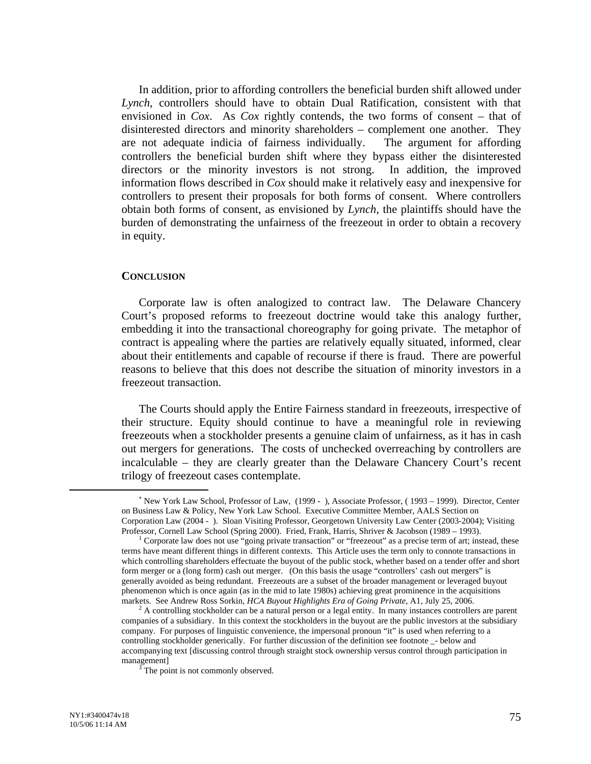In addition, prior to affording controllers the beneficial burden shift allowed under *Lynch*, controllers should have to obtain Dual Ratification, consistent with that envisioned in *Cox*. As *Cox* rightly contends, the two forms of consent – that of disinterested directors and minority shareholders – complement one another. They are not adequate indicia of fairness individually. The argument for affording controllers the beneficial burden shift where they bypass either the disinterested directors or the minority investors is not strong. In addition, the improved information flows described in *Cox* should make it relatively easy and inexpensive for controllers to present their proposals for both forms of consent. Where controllers obtain both forms of consent, as envisioned by *Lynch*, the plaintiffs should have the burden of demonstrating the unfairness of the freezeout in order to obtain a recovery in equity.

## **CONCLUSION**

Corporate law is often analogized to contract law. The Delaware Chancery Court's proposed reforms to freezeout doctrine would take this analogy further, embedding it into the transactional choreography for going private. The metaphor of contract is appealing where the parties are relatively equally situated, informed, clear about their entitlements and capable of recourse if there is fraud. There are powerful reasons to believe that this does not describe the situation of minority investors in a freezeout transaction.

The Courts should apply the Entire Fairness standard in freezeouts, irrespective of their structure. Equity should continue to have a meaningful role in reviewing freezeouts when a stockholder presents a genuine claim of unfairness, as it has in cash out mergers for generations. The costs of unchecked overreaching by controllers are incalculable – they are clearly greater than the Delaware Chancery Court's recent trilogy of freezeout cases contemplate.

1

<sup>∗</sup> New York Law School, Professor of Law, (1999 - ), Associate Professor, ( 1993 – 1999). Director, Center on Business Law & Policy, New York Law School. Executive Committee Member, AALS Section on Corporation Law (2004 - ). Sloan Visiting Professor, Georgetown University Law Center (2003-2004); Visiting Professor, Cornell Law School (Spring 2000). Fried, Frank, Harris, Shriver & Jacobson (1989 – 1993). 1

Corporate law does not use "going private transaction" or "freezeout" as a precise term of art; instead, these terms have meant different things in different contexts. This Article uses the term only to connote transactions in which controlling shareholders effectuate the buyout of the public stock, whether based on a tender offer and short form merger or a (long form) cash out merger. (On this basis the usage "controllers' cash out mergers" is generally avoided as being redundant. Freezeouts are a subset of the broader management or leveraged buyout phenomenon which is once again (as in the mid to late 1980s) achieving great prominence in the acquisitions markets. See Andrew Ross Sorkin, *HCA Buyout Highlights Era of Going Private*, A1, July 25, 2006. 2

 $^2$  A controlling stockholder can be a natural person or a legal entity. In many instances controllers are parent companies of a subsidiary. In this context the stockholders in the buyout are the public investors at the subsidiary company. For purposes of linguistic convenience, the impersonal pronoun "it" is used when referring to a controlling stockholder generically. For further discussion of the definition see footnote \_- below and accompanying text [discussing control through straight stock ownership versus control through participation in management] <sup>3</sup>

 $3<sup>3</sup>$  The point is not commonly observed.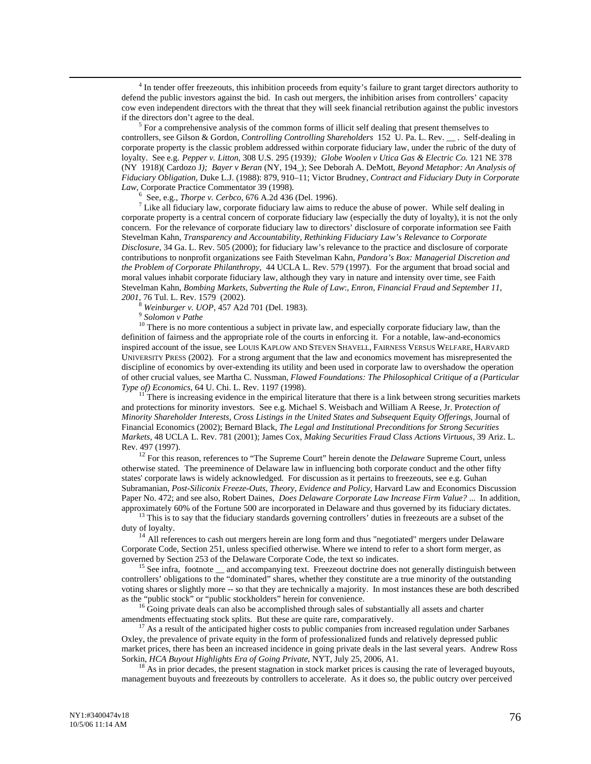4 <sup>4</sup> In tender offer freezeouts, this inhibition proceeds from equity's failure to grant target directors authority to defend the public investors against the bid. In cash out mergers, the inhibition arises from controllers' capacity cow even independent directors with the threat that they will seek financial retribution against the public investors if the directors don't agree to the deal.

 $^5$  For a comprehensive analysis of the common forms of illicit self dealing that present themselves to controllers, see Gilson & Gordon, *Controlling Controlling Shareholders* 152 U. Pa. L. Rev. \_\_ . Self-dealing in corporate property is the classic problem addressed within corporate fiduciary law, under the rubric of the duty of loyalty. See e.g. *Pepper v. Litton*, 308 U.S. 295 (1939*); Globe Woolen v Utica Gas & Electric Co.* 121 NE 378 (NY 1918)( Cardozo J*); Bayer v Beran* (NY, 194\_); See Deborah A. DeMott, *Beyond Metaphor: An Analysis of Fiduciary Obligation*, Duke L.J. (1988): 879, 910–11; Victor Brudney, *Contract and Fiduciary Duty in Corporate Law*, Corporate Practice Commentator 39 (1998).<br><sup>6</sup> See, e.g., *Thorpe v. Cerbco*, 676 A.2d 436 (Del. 1996).

 $\frac{7}{1}$  Like all fiduciary law, corporate fiduciary law aims to reduce the abuse of power. While self dealing in corporate property is a central concern of corporate fiduciary law (especially the duty of loyalty), it is not the only concern. For the relevance of corporate fiduciary law to directors' disclosure of corporate information see Faith Stevelman Kahn, *Transparency and Accountability, Rethinking Fiduciary Law's Relevance to Corporate Disclosure*, 34 Ga. L. Rev. 505 (2000); for fiduciary law's relevance to the practice and disclosure of corporate contributions to nonprofit organizations see Faith Stevelman Kahn, *Pandora's Box: Managerial Discretion and the Problem of Corporate Philanthropy*, 44 UCLA L. Rev. 579 (1997). For the argument that broad social and moral values inhabit corporate fiduciary law, although they vary in nature and intensity over time, see Faith Stevelman Kahn, *Bombing Markets, Subverting the Rule of Law*:*, Enron, Financial Fraud and September 11,*  2001, 76 Tul. L. Rev. 1579 (2002).<br>
<sup>8</sup> Weinburger v. UOP, 457 A2d 701 (Del. 1983).<br>
<sup>9</sup> Solomon v Pathe<br>
<sup>10</sup> There is no more contentious a subject in private law, and especially corporate fiduciary law, than the

definition of fairness and the appropriate role of the courts in enforcing it. For a notable, law-and-economics inspired account of the issue, see LOUIS KAPLOW AND STEVEN SHAVELL, FAIRNESS VERSUS WELFARE, HARVARD UNIVERSITY PRESS (2002). For a strong argument that the law and economics movement has misrepresented the discipline of economics by over-extending its utility and been used in corporate law to overshadow the operation of other crucial values, see Martha C. Nussman, *Flawed Foundations: The Philosophical Critique of a (Particular Type of) Economics*, 64 U. Chi. L. Rev. 1197 (1998). *11* Illustrian there is a link between strong securities markets <sup>11</sup> There is increasing evidence in the empirical literature that there is a link between strong secu

and protections for minority investors. See e.g. Michael S. Weisbach and William A Reese, Jr. P*rotection of Minority Shareholder Interests, Cross Listings in the United States and Subsequent Equity Offerings*, Journal of Financial Economics (2002); Bernard Black, *The Legal and Institutional Preconditions for Strong Securities Markets*, 48 UCLA L. Rev. 781 (2001); James Cox, *Making Securities Fraud Class Actions Virtuous*, 39 Ariz. L.

Rev. 497 (1997). 12 For this reason, references to "The Supreme Court" herein denote the *Delaware* Supreme Court, unless otherwise stated. The preeminence of Delaware law in influencing both corporate conduct and the other fifty states' corporate laws is widely acknowledged. For discussion as it pertains to freezeouts, see e.g. Guhan Subramanian, *Post-Siliconix Freeze-Outs, Theory, Evidence and Policy*, Harvard Law and Economics Discussion Paper No. 472; and see also, Robert Daines, *Does Delaware Corporate Law Increase Firm Value?* ... In addition, approximately 60% of the Fortune 500 are incorporated in Delaware and thus governed by its fiduciary dictates. 13 This is to say that the fiduciary standards governing controllers' duties in freezeouts are a subset of the

duty of loyalty.<br><sup>14</sup> All references to cash out mergers herein are long form and thus "negotiated" mergers under Delaware

Corporate Code, Section 251, unless specified otherwise. Where we intend to refer to a short form merger, as governed by Section 253 of the Delaware Corporate Code, the text so indicates.<br><sup>15</sup> See infra, footnote \_\_ and accompanying text. Freezeout doctrine does not generally distinguish between

controllers' obligations to the "dominated" shares, whether they constitute are a true minority of the outstanding voting shares or slightly more -- so that they are technically a majority. In most instances these are both described as the "public stock" or "public stockholders" herein for convenience.<br><sup>16</sup> Going private deals can also be accomplished through sales of substantially all assets and charter

amendments effectuating stock splits. But these are quite rare, comparatively.<br><sup>17</sup> As a result of the anticipated higher costs to public companies from increased regulation under Sarbanes

Oxley, the prevalence of private equity in the form of professionalized funds and relatively depressed public market prices, there has been an increased incidence in going private deals in the last several years. Andrew Ross Sorkin, *HCA Buyout Highlights Era of Going Private*, NYT, July 25, 2006, A1.<br><sup>18</sup> As in prior decades, the present stagnation in stock market prices is causing the rate of leveraged buyouts,

management buyouts and freezeouts by controllers to accelerate. As it does so, the public outcry over perceived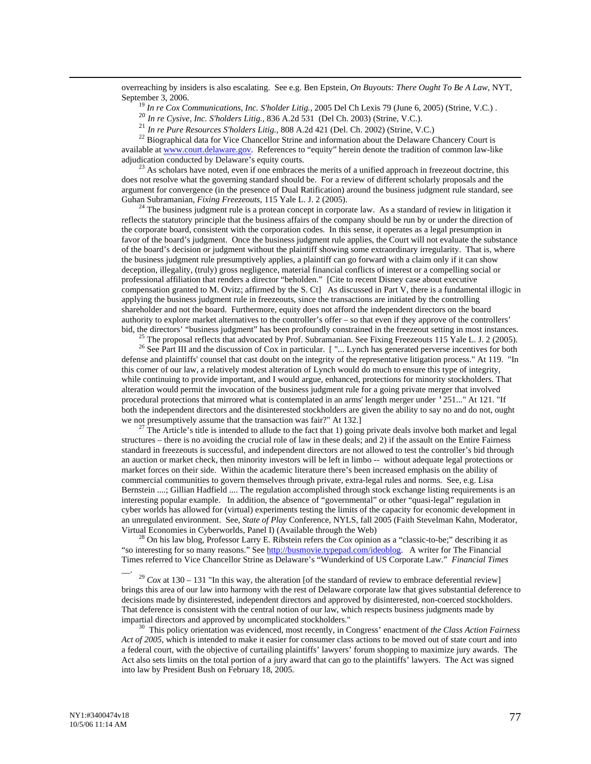overreaching by insiders is also escalating. See e.g. Ben Epstein, *On Buyouts: There Ought To Be A Law*, NYT, September 3, 2006.<br><sup>19</sup> *In re Cox Communications, Inc. S'holder Litig.*, 2005 Del Ch Lexis 79 (June 6, 2005) (Strine, V.C.) .<br><sup>20</sup> *In re Cysive, Inc. S'holders Litig.*, 836 A.2d 531 (Del Ch. 2003) (Strine, V.C.)<br><sup>21</sup> *In* 

<sup>22</sup> Biographical data for Vice Chancellor Strine and information about the Delaware Chancery Court is available at [www.court.delaware.gov](http://www.court.delaware.gov/). References to "equity" herein denote the tradition of common law-like adjudication conducted by Delaware's equity courts. 23 As scholars have noted, even if one embraces the merits of a unified approach in freezeout doctrine, this

does not resolve what the governing standard should be. For a review of different scholarly proposals and the argument for convergence (in the presence of Dual Ratification) around the business judgment rule standard, see<br>Guhan Subramanian, *Fixing Freezeouts*, 115 Yale L. J. 2 (2005).

<sup>24</sup> The business judgment rule is a protean concept in corporate law. As a standard of review in litigation it reflects the statutory principle that the business affairs of the company should be run by or under the direction of the corporate board, consistent with the corporation codes. In this sense, it operates as a legal presumption in favor of the board's judgment. Once the business judgment rule applies, the Court will not evaluate the substance of the board's decision or judgment without the plaintiff showing some extraordinary irregularity. That is, where the business judgment rule presumptively applies, a plaintiff can go forward with a claim only if it can show deception, illegality, (truly) gross negligence, material financial conflicts of interest or a compelling social or professional affiliation that renders a director "beholden." [Cite to recent Disney case about executive compensation granted to M. Ovitz; affirmed by the S. Ct] As discussed in Part V, there is a fundamental illogic in applying the business judgment rule in freezeouts, since the transactions are initiated by the controlling shareholder and not the board. Furthermore, equity does not afford the independent directors on the board authority to explore market alternatives to the controller's offer – so that even if they approve of the controllers' bid, the directors' "business judgment" has been profoundly constrained in the freezeout setting in most

<sup>25</sup> The proposal reflects that advocated by Prof. Subramanian. See Fixing Freezeouts 115 Yale L. J. 2 (2005).<br><sup>26</sup> See Part III and the discussion of Cox in particular. ["... Lynch has generated perverse incentives for b defense and plaintiffs' counsel that cast doubt on the integrity of the representative litigation process." At 119. "In this corner of our law, a relatively modest alteration of Lynch would do much to ensure this type of integrity, while continuing to provide important, and I would argue, enhanced, protections for minority stockholders. That alteration would permit the invocation of the business judgment rule for a going private merger that involved procedural protections that mirrored what is contemplated in an arms' length merger under '251..." At 121. "If both the independent directors and the disinterested stockholders are given the ability to say no and do not, ought we not presumptively assume that the transaction was fair?" At 132.]<br><sup>27</sup> The Article's title is intended to allude to the fact that 1) going private deals involve both market and legal

structures – there is no avoiding the crucial role of law in these deals; and 2) if the assault on the Entire Fairness standard in freezeouts is successful, and independent directors are not allowed to test the controller's bid through an auction or market check, then minority investors will be left in limbo -- without adequate legal protections or market forces on their side. Within the academic literature there's been increased emphasis on the ability of commercial communities to govern themselves through private, extra-legal rules and norms. See, e.g. Lisa Bernstein ....; Gillian Hadfield .... The regulation accomplished through stock exchange listing requirements is an interesting popular example. In addition, the absence of "governmental" or other "quasi-legal" regulation in cyber worlds has allowed for (virtual) experiments testing the limits of the capacity for economic development in an unregulated environment. See, *State of Play* Conference, NYLS, fall 2005 (Faith Stevelman Kahn, Moderator,

<sup>28</sup> On his law blog, Professor Larry E. Ribstein refers the *Cox* opinion as a "classic-to-be;" describing it as "so interesting for so many reasons." See <http://busmovie.typepad.com/ideoblog>. A writer for The Financial Times referred to Vice Chancellor Strine as Delaware's "Wunderkind of US Corporate Law." *Financial Times*

 $\frac{29}{2}$  *Cox* at 130 – 131 "In this way, the alteration [of the standard of review to embrace deferential review] brings this area of our law into harmony with the rest of Delaware corporate law that gives substantial deference to decisions made by disinterested, independent directors and approved by disinterested, non-coerced stockholders. That deference is consistent with the central notion of our law, which respects business judgments made by impartial directors and approved by uncomplicated stockholders."

This policy orientation was evidenced, most recently, in Congress' enactment of *the Class Action Fairness Act of 2005*, which is intended to make it easier for consumer class actions to be moved out of state court and into a federal court, with the objective of curtailing plaintiffs' lawyers' forum shopping to maximize jury awards. The Act also sets limits on the total portion of a jury award that can go to the plaintiffs' lawyers. The Act was signed into law by President Bush on February 18, 2005.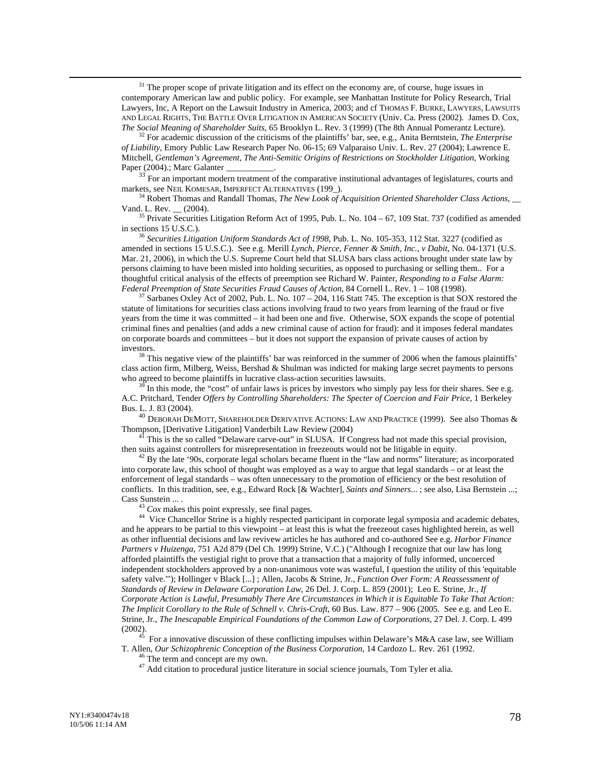$31$  The proper scope of private litigation and its effect on the economy are, of course, huge issues in contemporary American law and public policy. For example, see Manhattan Institute for Policy Research, Trial Lawyers, Inc, A Report on the Lawsuit Industry in America, 2003; and cf THOMAS F. BURKE, LAWYERS, LAWSUITS AND LEGAL RIGHTS, THE BATTLE OVER LITIGATION IN AMERICAN SOCIETY (Univ. Ca. Press (2002). James D. Cox, The Social Meaning of Shareholder Suits, 65 Brooklyn L. Rev. 3 (1999) (The 8th Annual Pomerantz Lecture).<br><sup>32</sup> For academic discussion of the criticisms of the plaintiffs' bar, see, e.g., Anita Berntstein, *The Enterprise* 

*of Liability*, Emory Public Law Research Paper No. 06-15; 69 Valparaiso Univ. L. Rev. 27 (2004); Lawrence E. Mitchell, *Gentleman's Agreement, The Anti-Semitic Origins of Restrictions on Stockholder Litigation*, Working

Paper (2004).; Marc Galanter \_\_\_\_\_\_\_\_\_\_\_.<br><sup>33</sup> For an important modern treatment of the comparative institutional advantages of legislatures, courts and markets, see NEIL KOMESAR, IMPERFECT ALTERNATIVES (199).

arkets, see NEIL Increases.<br><sup>34</sup> Robert Thomas and Randall Thomas, *The New Look of Acquisition Oriented Shareholder Class Actions*, \_\_ Vand. L. Rev.  $\frac{1}{2004}$ .<br><sup>35</sup> Private Securities Litigation Reform Act of 1995, Pub. L. No. 104 – 67, 109 Stat. 737 (codified as amended

in sections 15 U.S.C.). 36 *Securities Litigation Uniform Standards Act of 1998,* Pub. L. No. 105-353, 112 Stat. 3227 (codified as

amended in sections 15 U.S.C.). See e.g. Merill *Lynch, Pierce, Fenner & Smith, Inc., v Dabit*, No. 04-1371 (U.S. Mar. 21, 2006), in which the U.S. Supreme Court held that SLUSA bars class actions brought under state law by persons claiming to have been misled into holding securities, as opposed to purchasing or selling them.. For a thoughtful critical analysis of the effects of preemption see Richard W. Painter, *Responding to a False Alarm: Federal Preemption of State Securities Fraud Causes of Action*, 84 Cornell L. Rev. 1 – 108 (1998).<br><sup>37</sup> Sarbanes Oxley Act of 2002, Pub. L. No. 107 – 204, 116 Statt 745. The exception is that SOX restored the

statute of limitations for securities class actions involving fraud to two years from learning of the fraud or five years from the time it was committed – it had been one and five. Otherwise, SOX expands the scope of potential criminal fines and penalties (and adds a new criminal cause of action for fraud): and it imposes federal mandates on corporate boards and committees – but it does not support the expansion of private causes of action by investors.<br><sup>38</sup> This negative view of the plaintiffs' bar was reinforced in the summer of 2006 when the famous plaintiffs'

class action firm, Milberg, Weiss, Bershad & Shulman was indicted for making large secret payments to persons who agreed to become plaintiffs in lucrative class-action securities lawsuits.<br><sup>39</sup> In this mode, the "cost" of unfair laws is prices by investors who simply pay less for their shares. See e.g.

A.C. Pritchard, Tender *Offers by Controlling Shareholders: The Specter of Coercion and Fair Price*, 1 Berkeley Bus. L. J. 83 (2004). 40 DEBORAH DEMOTT, SHAREHOLDER DERIVATIVE ACTIONS: LAW AND PRACTICE (1999). See also Thomas &

Thompson, [Derivative Litigation] Vanderbilt Law Review (2004) <sup>41</sup> This is the so called "Delaware carve-out" in SLUSA. If Congress had not made this special provision,

then suits against controllers for misrepresentation in freezeouts would not be litigable in equity.<br><sup>42</sup> By the late '90s, corporate legal scholars became fluent in the "law and norms" literature; as incorporated

into corporate law, this school of thought was employed as a way to argue that legal standards – or at least the enforcement of legal standards – was often unnecessary to the promotion of efficiency or the best resolution of conflicts. In this tradition, see, e.g., Edward Rock [& Wachter], *Saints and Sinners*... ; see also, Lisa Bernstein ...; Cass Sunstein ... .<br><sup>43</sup> *Cox* makes this point expressly, see final pages.<br><sup>44</sup> Vice Chancellor Strine is a highly respected participant in corporate legal symposia and academic debates,

and he appears to be partial to this viewpoint – at least this is what the freezeout cases highlighted herein, as well as other influential decisions and law revivew articles he has authored and co-authored See e.g. *Harbor Finance Partners v Huizenga*, 751 A2d 879 (Del Ch. 1999) Strine, V.C.) ("Although I recognize that our law has long afforded plaintiffs the vestigial right to prove that a transaction that a majority of fully informed, uncoerced independent stockholders approved by a non-unanimous vote was wasteful, I question the utility of this 'equitable safety valve.'"); Hollinger v Black [...] ; Allen, Jacobs & Strine, Jr., *Function Over Form: A Reassessment of Standards of Review in Delaware Corporation Law*, 26 Del. J. Corp. L. 859 (2001); Leo E. Strine, Jr., *If Corporate Action is Lawful, Presumably There Are Circumstances in Which it is Equitable To Take That Action: The Implicit Corollary to the Rule of Schnell v. Chris-Craft*, 60 Bus. Law. 877 – 906 (2005. See e.g. and Leo E. Strine, Jr., *The Inescapable Empirical Foundations of the Common Law of Corporations*, 27 Del. J. Corp. L 499 (2002).<br><sup>45</sup> Ferritra distance of these conflicting impulses within Delewere's M&A case law, see William

<sup>45</sup> For a innovative discussion of these conflicting impulses within Delaware's M&A case law, see William T. Allen, *Our Schizophrenic Conception of the Business Corporation*, 14 Cardozo L. Rev. 261 (1992.

 $46$  The term and concept are my own.<br> $47$  Add citation to procedural justice literature in social science journals, Tom Tyler et alia.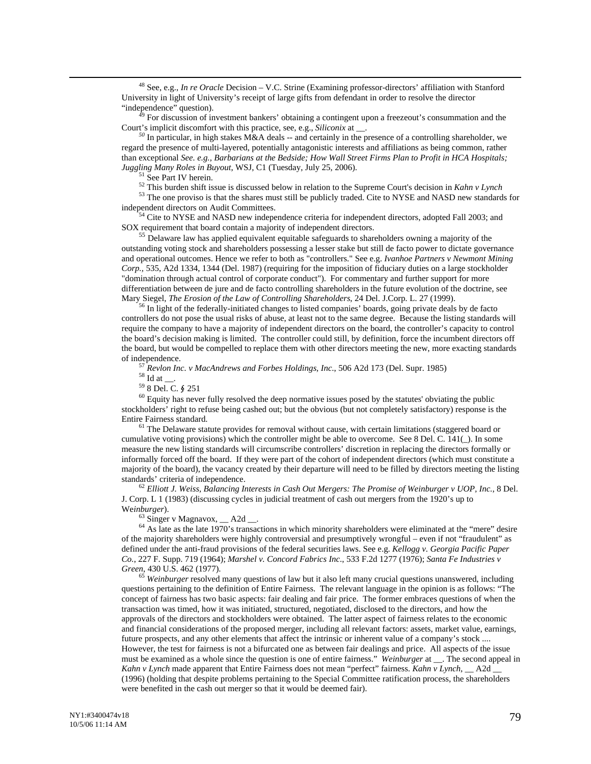48 See, e.g., *In re Oracle* Decision – V.C. Strine (Examining professor-directors' affiliation with Stanford University in light of University's receipt of large gifts from defendant in order to resolve the director

"independence" question).<br><sup>49</sup> For discussion of investment bankers' obtaining a contingent upon a freezeout's consummation and the Court's implicit discomfort with this practice, see, e.g., *Siliconix* at \_\_.

<sup>50</sup> In particular, in high stakes M&A deals -- and certainly in the presence of a controlling shareholder, we regard the presence of multi-layered, potentially antagonistic interests and affiliations as being common, rather than exceptional *See. e.g., Barbarians at the Bedside; How Wall Street Firms Plan to Profit in HCA Hospitals; Juggling Many Roles in Buyout*, WSJ, C1 (Tuesday, July 25, 2006).<br><sup>51</sup> See Part IV herein.<br><sup>52</sup> This burden shift issue is discussed below in relation to the Supreme Court's decision in *Kahn v Lynch*<br><sup>52</sup> This burden sh

independent directors on Audit Committees.<br><sup>54</sup> Cite to NYSE and NASD new independence criteria for independent directors, adopted Fall 2003; and

SOX requirement that board contain a majority of independent directors.<br><sup>55</sup> Delaware law has applied equivalent equitable safeguards to shareholders owning a majority of the

outstanding voting stock and shareholders possessing a lesser stake but still de facto power to dictate governance and operational outcomes. Hence we refer to both as "controllers." See e.g. *Ivanhoe Partners v Newmont Mining Corp.,* 535, A2d 1334, 1344 (Del. 1987) (requiring for the imposition of fiduciary duties on a large stockholder "domination through actual control of corporate conduct"). For commentary and further support for more differentiation between de jure and de facto controlling shareholders in the future evolution of the doctrine, see Mary Siegel, *The Erosion of the Law of Controlling Shareholders*, 24 Del. J.Corp. L. 27 (1999).<br><sup>56</sup> In light of the federally-initiated changes to listed companies' boards, going private deals by de facto

controllers do not pose the usual risks of abuse, at least not to the same degree. Because the listing standards will require the company to have a majority of independent directors on the board, the controller's capacity to control the board's decision making is limited. The controller could still, by definition, force the incumbent directors off the board, but would be compelled to replace them with other directors meeting the new, more exacting standards of independence.<br>
<sup>57</sup> *Revlon Inc. v MacAndrews and Forbes Holdings, Inc.*, 506 A2d 173 (Del. Supr. 1985)<br>
<sup>58</sup> Id at ...<br>
<sup>59</sup> 8 Del. C. § 251<br>
<sup>60</sup> Equity has never fully resolved the deep normative issues posed by the

stockholders' right to refuse being cashed out; but the obvious (but not completely satisfactory) response is the Entire Fairness standard.<br><sup>61</sup> The Delaware statute provides for removal without cause, with certain limitations (staggered board or

cumulative voting provisions) which the controller might be able to overcome. See 8 Del. C. 141(\_). In some measure the new listing standards will circumscribe controllers' discretion in replacing the directors formally or informally forced off the board. If they were part of the cohort of independent directors (which must constitute a majority of the board), the vacancy created by their departure will need to be filled by directors meeting the listing standards' criteria of independence.<br><sup>62</sup> *Elliott J. Weiss, Balancing Interests in Cash Out Mergers: The Promise of Weinburger v UOP, Inc.*, 8 Del.

J. Corp. L 1 (1983) (discussing cycles in judicial treatment of cash out mergers from the 1920's up to

Weinburger).<br><sup>63</sup> Singer v Magnavox, \_\_ A2d \_\_.<br><sup>64</sup> As late as the late 1970's transactions in which minority shareholders were eliminated at the "mere" desire of the majority shareholders were highly controversial and presumptively wrongful – even if not "fraudulent" as defined under the anti-fraud provisions of the federal securities laws. See e.g. *Kellogg v. Georgia Pacific Paper Co.*, 227 F. Supp. 719 (1964); *Marshel v. Concord Fabrics Inc*., 533 F.2d 1277 (1976); *Santa Fe Industries v Green*, 430 U.S. 462 (1977).<br><sup>65</sup> Weinburger resolved many questions of law but it also left many crucial questions unanswered, including

questions pertaining to the definition of Entire Fairness. The relevant language in the opinion is as follows: "The concept of fairness has two basic aspects: fair dealing and fair price. The former embraces questions of when the transaction was timed, how it was initiated, structured, negotiated, disclosed to the directors, and how the approvals of the directors and stockholders were obtained. The latter aspect of fairness relates to the economic and financial considerations of the proposed merger, including all relevant factors: assets, market value, earnings, future prospects, and any other elements that affect the intrinsic or inherent value of a company's stock .... However, the test for fairness is not a bifurcated one as between fair dealings and price. All aspects of the issue must be examined as a whole since the question is one of entire fairness." *Weinburger* at \_\_. The second appeal in *Kahn v Lynch* made apparent that Entire Fairness does not mean "perfect" fairness. *Kahn v Lynch*, \_\_ A2d \_\_ (1996) (holding that despite problems pertaining to the Special Committee ratification process, the shareholders were benefited in the cash out merger so that it would be deemed fair).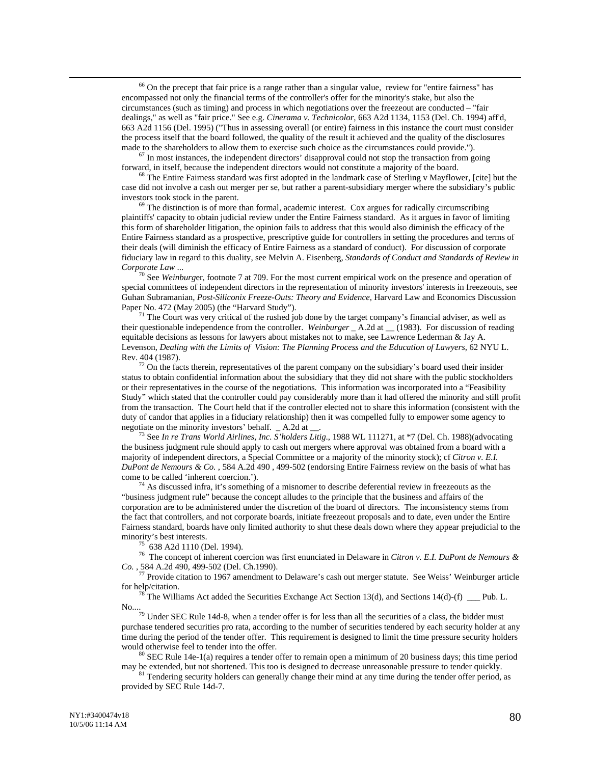<sup>66</sup> On the precept that fair price is a range rather than a singular value, review for "entire fairness" has encompassed not only the financial terms of the controller's offer for the minority's stake, but also the circumstances (such as timing) and process in which negotiations over the freezeout are conducted – "fair dealings," as well as "fair price." See e.g. *Cinerama v. Technicolor*, 663 A2d 1134, 1153 (Del. Ch. 1994) aff'd, 663 A2d 1156 (Del. 1995) ("Thus in assessing overall (or entire) fairness in this instance the court must consider the process itself that the board followed, the quality of the result it achieved and the quality of the disclosures made to the shareholders to allow them to exercise such choice as the circumstances could provide.").  $67$  In most instances, the independent directors' disapproval could not stop the transaction from going

forward, in itself, because the independent directors would not constitute a majority of the board.<br><sup>68</sup> The Entire Fairness standard was first adopted in the landmark case of Sterling v Mayflower, [cite] but the

case did not involve a cash out merger per se, but rather a parent-subsidiary merger where the subsidiary's public investors took stock in the parent.<br><sup>69</sup> The distinction is of more than formal, academic interest. Cox argues for radically circumscribing

plaintiffs' capacity to obtain judicial review under the Entire Fairness standard. As it argues in favor of limiting this form of shareholder litigation, the opinion fails to address that this would also diminish the efficacy of the Entire Fairness standard as a prospective, prescriptive guide for controllers in setting the procedures and terms of their deals (will diminish the efficacy of Entire Fairness as a standard of conduct). For discussion of corporate fiduciary law in regard to this duality, see Melvin A. Eisenberg, *Standards of Conduct and Standards of Review in Corporate Law* ...<br><sup>70</sup> See *Weinburger*, footnote 7 at 709. For the most current empirical work on the presence and operation of

special committees of independent directors in the representation of minority investors' interests in freezeouts, see Guhan Subramanian, *Post-Siliconix Freeze-Outs: Theory and Evidence*, Harvard Law and Economics Discussion Paper No. 472 (May 2005) (the "Harvard Study").

<sup>71</sup> The Court was very critical of the rushed job done by the target company's financial adviser, as well as their questionable independence from the controller. *Weinburger* \_ A.2d at \_\_ (1983). For discussion of reading equitable decisions as lessons for lawyers about mistakes not to make, see Lawrence Lederman & Jay A. Levenson, *Dealing with the Limits of Vision: The Planning Process and the Education of Lawyers*, 62 NYU L. Rev. 404 (1987).  $\frac{72}{2}$  On the facts therein, representatives of the parent company on the subsidiary's board used their insider

status to obtain confidential information about the subsidiary that they did not share with the public stockholders or their representatives in the course of the negotiations. This information was incorporated into a "Feasibility Study" which stated that the controller could pay considerably more than it had offered the minority and still profit from the transaction. The Court held that if the controller elected not to share this information (consistent with the duty of candor that applies in a fiduciary relationship) then it was compelled fully to empower some agency to negotiate on the minority investors' behalf. \_ A.2d at \_\_.<br><sup>73</sup> See *In re Trans World Airlines, Inc. S'holders Litig.*, 1988 WL 111271, at \*7 (Del. Ch. 1988)(advocating

the business judgment rule should apply to cash out mergers where approval was obtained from a board with a majority of independent directors, a Special Committee or a majority of the minority stock); cf *Citron v. E.I. DuPont de Nemours & Co.* , 584 A.2d 490 , 499-502 (endorsing Entire Fairness review on the basis of what has come to be called 'inherent coercion.').<br><sup>74</sup> As discussed infra, it's something of a misnomer to describe deferential review in freezeouts as the

"business judgment rule" because the concept alludes to the principle that the business and affairs of the corporation are to be administered under the discretion of the board of directors. The inconsistency stems from the fact that controllers, and not corporate boards, initiate freezeout proposals and to date, even under the Entire Fairness standard, boards have only limited authority to shut these deals down where they appear prejudicial to the

minority's best interests.<br><sup>75</sup> 638 A2d 1110 (Del. 1994).<br><sup>76</sup> The concept of inherent coercion was first enunciated in Delaware in *Citron v. E.I. DuPont de Nemours &*<br>*Co.*, 584 A.2d 490, 499-502 (Del. Ch.1990).

<sup>77</sup> Provide citation to 1967 amendment to Delaware's cash out merger statute. See Weiss' Weinburger article for help/citation.<br><sup>78</sup> The Williams Act added the Securities Exchange Act Section 13(d), and Sections 14(d)-(f) \_\_\_\_ Pub. L.

No....

 $79$  Under SEC Rule 14d-8, when a tender offer is for less than all the securities of a class, the bidder must purchase tendered securities pro rata, according to the number of securities tendered by each security holder at any time during the period of the tender offer. This requirement is designed to limit the time pressure security holders would otherwise feel to tender into the offer.<br><sup>80</sup> SEC Rule 14e-1(a) requires a tender offer to remain open a minimum of 20 business days; this time period

may be extended, but not shortened. This too is designed to decrease unreasonable pressure to tender quickly.<br><sup>81</sup> Tendering security holders can generally change their mind at any time during the tender offer period, as

provided by SEC Rule 14d-7.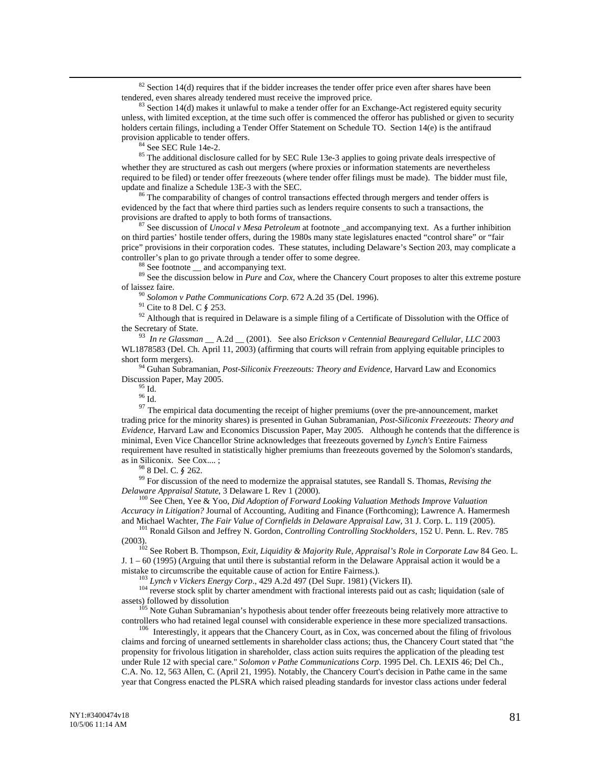$82$  Section 14(d) requires that if the bidder increases the tender offer price even after shares have been tendered, even shares already tendered must receive the improved price.

<sup>83</sup> Section 14(d) makes it unlawful to make a tender offer for an Exchange-Act registered equity security unless, with limited exception, at the time such offer is commenced the offeror has published or given to security holders certain filings, including a Tender Offer Statement on Schedule TO. Section 14(e) is the antifraud provision applicable to tender offers.<br><sup>84</sup> See SEC Rule 14e-2.<br><sup>85</sup> The additional disclosure called for by SEC Rule 13e-3 applies to going private deals irrespective of

whether they are structured as cash out mergers (where proxies or information statements are nevertheless required to be filed) or tender offer freezeouts (where tender offer filings must be made). The bidder must file, update and finalize a Schedule 13E-3 with the SEC.<br><sup>86</sup> The comparability of changes of control transactions effected through mergers and tender offers is

evidenced by the fact that where third parties such as lenders require consents to such a transactions, the provisions are drafted to apply to both forms of transactions.

<sup>87</sup> See discussion of *Unocal v Mesa Petroleum* at footnote and accompanying text. As a further inhibition on third parties' hostile tender offers, during the 1980s many state legislatures enacted "control share" or "fair price" provisions in their corporation codes. These statutes, including Delaware's Section 203, may complicate a controller's plan to go private through a tender offer to some degree.<br><sup>88</sup> See footnote \_\_ and accompanying text.<br><sup>89</sup> See the discussion below in *Pure* and *Cox*, where the Chancery Court proposes to alter this extreme

of laissez faire.<br><sup>90</sup> Solomon v Pathe Communications Corp. 672 A.2d 35 (Del. 1996).<br><sup>91</sup> Cite to 8 Del. C § 253.<br><sup>92</sup> Although that is required in Delaware is a simple filing of a Certificate of Dissolution with the Offi

the Secretary of State. 93 *In re Glassman* \_\_ A.2d \_\_ (2001). See also *Erickson v Centennial Beauregard Cellular, LLC* <sup>2003</sup>

WL1878583 (Del. Ch. April 11, 2003) (affirming that courts will refrain from applying equitable principles to short form mergers). 94 Guhan Subramanian, *Post-Siliconix Freezeouts: Theory and Evidence,* Harvard Law and Economics

Discussion Paper, May 2005.<br> $^{95}_{96}$  Id.<br> $^{96}$  Id.

 $97$  The empirical data documenting the receipt of higher premiums (over the pre-announcement, market trading price for the minority shares) is presented in Guhan Subramanian, *Post-Siliconix Freezeouts: Theory and Evidence,* Harvard Law and Economics Discussion Paper, May 2005. Although he contends that the difference is minimal, Even Vice Chancellor Strine acknowledges that freezeouts governed by *Lynch's* Entire Fairness requirement have resulted in statistically higher premiums than freezeouts governed by the Solomon's standards, as in Siliconix. See Cox....;<br> $^{98}$  8 Del. C. § 262.

<sup>99</sup> For discussion of the need to modernize the appraisal statutes, see Randall S. Thomas, *Revising the Delaware Appraisal Statute*, 3 Delaware L Rev 1 (2000).

<sup>100</sup> See Chen, Yee & Yoo, *Did Adoption of Forward Looking Valuation Methods Improve Valuation Accuracy in Litigation?* Journal of Accounting, Auditing and Finance (Forthcoming); Lawrence A. Hamermesh and Michael Wachter, *The Fair Value of Cornfields in Delaware Appraisal Law*, 31 J. Corp. L. 119 (2005).

<sup>101</sup> Ronald Gilson and Jeffrey N. Gordon, Controlling Controlling Stockholders, 152 U. Penn. L. Rev. 785

(2003). 102 See Robert B. Thompson, *Exit, Liquidity & Majority Rule, Appraisal's Role in Corporate Law* 84 Geo. L. J. 1 – 60 (1995) (Arguing that until there is substantial reform in the Delaware Appraisal action it would be a

mistake to circumscribe the equitable cause of action for Entire Fairness.).<br>
<sup>103</sup> *Lynch v Vickers Energy Corp.*, 429 A.2d 497 (Del Supr. 1981) (Vickers II).<br>
<sup>104</sup> reverse stock split by charter amendment with fraction

 $105$  Note Guhan Subramanian's hypothesis about tender offer freezeouts being relatively more attractive to controllers who had retained legal counsel with considerable experience in these more specialized transactions.<br><sup>106</sup> Interestingly, it appears that the Chancery Court, as in Cox, was concerned about the filing of frivolou

claims and forcing of unearned settlements in shareholder class actions; thus, the Chancery Court stated that "the propensity for frivolous litigation in shareholder, class action suits requires the application of the pleading test under Rule 12 with special care." *Solomon v Pathe Communications Corp*. 1995 Del. Ch. LEXIS 46; Del Ch., C.A. No. 12, 563 Allen, C. (April 21, 1995). Notably, the Chancery Court's decision in Pathe came in the same year that Congress enacted the PLSRA which raised pleading standards for investor class actions under federal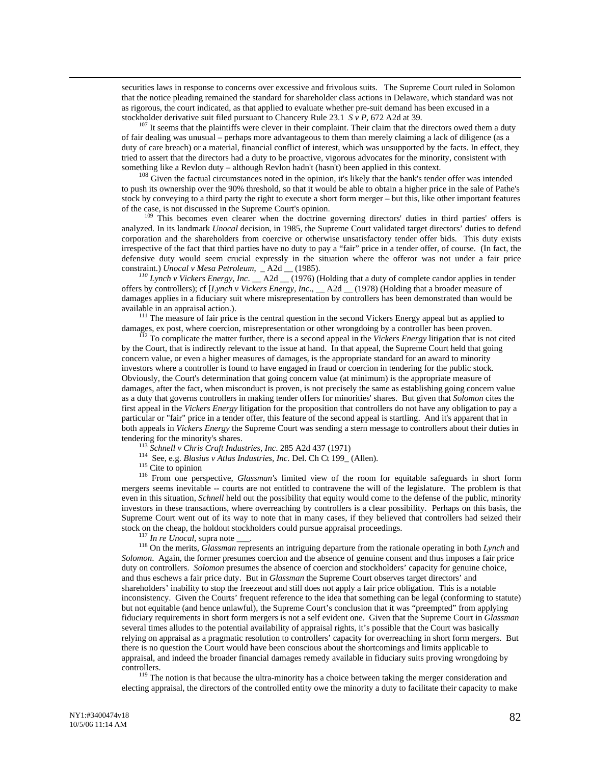securities laws in response to concerns over excessive and frivolous suits. The Supreme Court ruled in Solomon that the notice pleading remained the standard for shareholder class actions in Delaware, which standard was not as rigorous, the court indicated, as that applied to evaluate whether pre-suit demand has been excused in a stockholder derivative suit filed pursuant to Chancery Rule 23.1  $S \nu P$ , 672 A2d at 39.

<sup>107</sup> It seems that the plaintiffs were clever in their complaint. Their claim that the directors owed them a duty of fair dealing was unusual – perhaps more advantageous to them than merely claiming a lack of diligence (as a duty of care breach) or a material, financial conflict of interest, which was unsupported by the facts. In effect, they tried to assert that the directors had a duty to be proactive, vigorous advocates for the minority, consistent with something like a Revlon duty – although Revlon hadn't (hasn't) been applied in this context.  $108$  Given the factual circumstances noted in the opinion, it's likely that the bank's tender offer was intended

to push its ownership over the 90% threshold, so that it would be able to obtain a higher price in the sale of Pathe's stock by conveying to a third party the right to execute a short form merger – but this, like other important features of the case, is not discussed in the Supreme Court's opinion. 109 This becomes even clearer when the doctrine governing directors' duties in third parties' offers is

analyzed. In its landmark *Unocal* decision, in 1985, the Supreme Court validated target directors' duties to defend corporation and the shareholders from coercive or otherwise unsatisfactory tender offer bids. This duty exists irrespective of the fact that third parties have no duty to pay a "fair" price in a tender offer, of course. (In fact, the defensive duty would seem crucial expressly in the situation where the offeror was not under a fair price constraint.) Unocal v Mesa Petroleum,  $\Delta 2d$  (1985).

<sup>110</sup> Lynch v Vickers Energy, Inc. \_\_ A2d \_\_ (1976) (Holding that a duty of complete candor applies in tender offers by controllers); cf [*Lynch v Vickers Energy, Inc*., \_\_ A2d \_\_ (1978) (Holding that a broader measure of damages applies in a fiduciary suit where misrepresentation by controllers has been demonstrated than would be available in an appraisal action.).<br><sup>111</sup> The measure of fair price is the central question in the second Vickers Energy appeal but as applied to

damages, ex post, where coercion, misrepresentation or other wrongdoing by a controller has been proven.<br><sup>112</sup> To complicate the matter further, there is a second appeal in the *Vickers Energy* litigation that is not cited

by the Court, that is indirectly relevant to the issue at hand. In that appeal, the Supreme Court held that going concern value, or even a higher measures of damages, is the appropriate standard for an award to minority investors where a controller is found to have engaged in fraud or coercion in tendering for the public stock. Obviously, the Court's determination that going concern value (at minimum) is the appropriate measure of damages, after the fact, when misconduct is proven, is not precisely the same as establishing going concern value as a duty that governs controllers in making tender offers for minorities' shares. But given that *Solomon* cites the first appeal in the *Vickers Energy* litigation for the proposition that controllers do not have any obligation to pay a particular or "fair" price in a tender offer, this feature of the second appeal is startling. And it's apparent that in both appeals in *Vickers Energy* the Supreme Court was sending a stern message to controllers about their duties in tendering for the minority's shares.<br>
<sup>113</sup> Schnell v Chris Craft Industries, Inc. 285 A2d 437 (1971)<br>
<sup>114</sup> See, e.g. *Blasius v Atlas Industries, Inc*. Del. Ch Ct 199\_ (Allen).<br>
<sup>115</sup> Cite to opinion<br>
<sup>116</sup> From one per

mergers seems inevitable -- courts are not entitled to contravene the will of the legislature. The problem is that even in this situation, *Schnell* held out the possibility that equity would come to the defense of the public, minority investors in these transactions, where overreaching by controllers is a clear possibility. Perhaps on this basis, the Supreme Court went out of its way to note that in many cases, if they believed that controllers had seized their stock on the cheap, the holdout stockholders could pursue appraisal proceedings.

<sup>117</sup> In re Unocal, supra note \_\_\_\_.<br><sup>118</sup> On the merits, *Glassman* represents an intriguing departure from the rationale operating in both *Lynch* and *Solomon*. Again, the former presumes coercion and the absence of genuine consent and thus imposes a fair price duty on controllers. *Solomon* presumes the absence of coercion and stockholders' capacity for genuine choice, and thus eschews a fair price duty. But in *Glassman* the Supreme Court observes target directors' and shareholders' inability to stop the freezeout and still does not apply a fair price obligation. This is a notable inconsistency. Given the Courts' frequent reference to the idea that something can be legal (conforming to statute) but not equitable (and hence unlawful), the Supreme Court's conclusion that it was "preempted" from applying fiduciary requirements in short form mergers is not a self evident one. Given that the Supreme Court in *Glassman*  several times alludes to the potential availability of appraisal rights, it's possible that the Court was basically relying on appraisal as a pragmatic resolution to controllers' capacity for overreaching in short form mergers. But there is no question the Court would have been conscious about the shortcomings and limits applicable to appraisal, and indeed the broader financial damages remedy available in fiduciary suits proving wrongdoing by controllers.<br><sup>119</sup> The notion is that because the ultra-minority has a choice between taking the merger consideration and

electing appraisal, the directors of the controlled entity owe the minority a duty to facilitate their capacity to make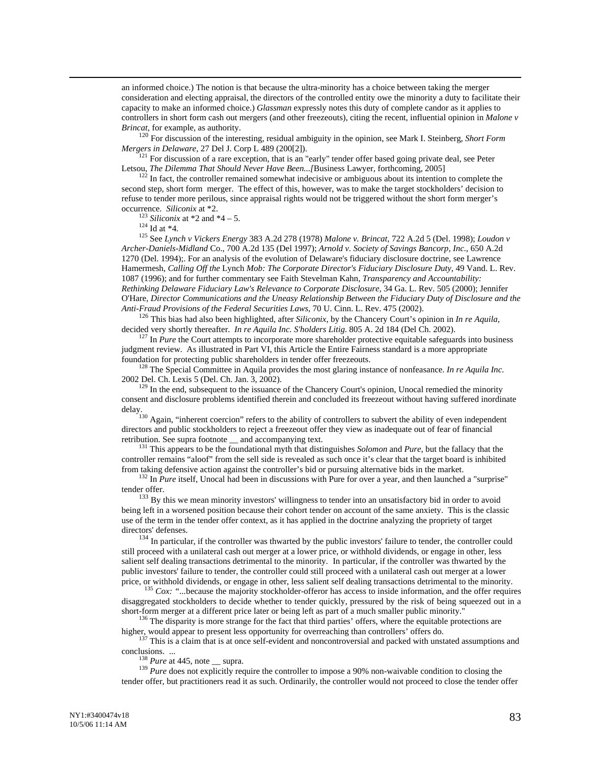an informed choice.) The notion is that because the ultra-minority has a choice between taking the merger consideration and electing appraisal, the directors of the controlled entity owe the minority a duty to facilitate their capacity to make an informed choice.) *Glassman* expressly notes this duty of complete candor as it applies to controllers in short form cash out mergers (and other freezeouts), citing the recent, influential opinion in *Malone v Brincat*, for example, as authority.<br><sup>120</sup> For discussion of the interesting, residual ambiguity in the opinion, see Mark I. Steinberg, *Short Form* 

*Mergers in Delaware*, 27 Del J. Corp L 489 (200[2]).<br><sup>121</sup> For discussion of a rare exception, that is an "early" tender offer based going private deal, see Peter

Letsou, *The Dilemma That Should Never Have Been...* [Business Lawyer, forthcoming, 2005]<br><sup>122</sup> In fact, the controller remained somewhat indecisive or ambiguous about its intention to complete the

second step, short form merger. The effect of this, however, was to make the target stockholders' decision to refuse to tender more perilous, since appraisal rights would not be triggered without the short form merger's

occurrence. Siliconix at \*2.<br>
<sup>123</sup> Siliconix at \*2 and \*4 – 5.<br>
<sup>124</sup> Id at \*4.<br>
<sup>125</sup> See Lynch v Vickers Energy 383 A.2d 278 (1978) Malone v. Brincat, 722 A.2d 5 (Del. 1998); Loudon v *Archer-Daniels-Midland* Co., 700 A.2d 135 (Del 1997); *Arnold v. Society of Savings Bancorp, Inc*., 650 A.2d 1270 (Del. 1994);. For an analysis of the evolution of Delaware's fiduciary disclosure doctrine, see Lawrence Hamermesh, *Calling Off the* Lynch *Mob: The Corporate Director's Fiduciary Disclosure Duty,* 49 Vand. L. Rev. 1087 (1996); and for further commentary see Faith Stevelman Kahn, *Transparency and Accountability: Rethinking Delaware Fiduciary Law's Relevance to Corporate Disclosure,* 34 Ga. L. Rev. 505 (2000); Jennifer O'Hare, *Director Communications and the Uneasy Relationship Between the Fiduciary Duty of Disclosure and the* 

*Anti-Fraud Provisions of the Federal Securities Laws*, 70 U. Cinn. L. Rev. 475 (2002).<br><sup>126</sup> This bias had also been highlighted, after *Siliconix*, by the Chancery Court's opinion in *In re Aquila,*<br>decided very shortly

 $127$  In *Pure* the Court attempts to incorporate more shareholder protective equitable safeguards into business judgment review. As illustrated in Part VI, this Article the Entire Fairness standard is a more appropriate foundation for protecting public shareholders in tender offer freezeouts.

 $\frac{128}{128}$  The Special Committee in Aquila provides the most glaring instance of nonfeasance. *In re Aquila Inc*. 2002 Del. Ch. Lexis 5 (Del. Ch. Jan. 3, 2002).<br><sup>129</sup> In the end, subsequent to the issuance of the Chancery Court's opinion, Unocal remedied the minority

consent and disclosure problems identified therein and concluded its freezeout without having suffered inordinate delay.

<sup>130</sup> Again, "inherent coercion" refers to the ability of controllers to subvert the ability of even independent directors and public stockholders to reject a freezeout offer they view as inadequate out of fear of financial retribution. See supra footnote \_\_ and accompanying text. 131 This appears to be the foundational myth that distinguishes *Solomon* and *Pure*, but the fallacy that the

controller remains "aloof" from the sell side is revealed as such once it's clear that the target board is inhibited from taking defensive action against the controller's bid or pursuing alternative bids in the market. 132 In *Pure* itself, Unocal had been in discussions with Pure for over a year, and then launched a "surprise"

tender offer.<br><sup>133</sup> By this we mean minority investors' willingness to tender into an unsatisfactory bid in order to avoid

being left in a worsened position because their cohort tender on account of the same anxiety. This is the classic use of the term in the tender offer context, as it has applied in the doctrine analyzing the propriety of target

directors' defenses.<br><sup>134</sup> In particular, if the controller was thwarted by the public investors' failure to tender, the controller could still proceed with a unilateral cash out merger at a lower price, or withhold dividends, or engage in other, less salient self dealing transactions detrimental to the minority. In particular, if the controller was thwarted by the public investors' failure to tender, the controller could still proceed with a unilateral cash out merger at a lower<br>price, or withhold dividends, or engage in other, less salient self dealing transactions detrimental to t

 $135$  Cox: "... because the majority stockholder-offeror has access to inside information, and the offer requires disaggregated stockholders to decide whether to tender quickly, pressured by the risk of being squeezed out in a<br>short-form merger at a different price later or being left as part of a much smaller public minority."

 $136$  The disparity is more strange for the fact that third parties' offers, where the equitable protections are higher, would appear to present less opportunity for overreaching than controllers' offers do.<br><sup>137</sup> This is a claim that is at once self-evident and noncontroversial and packed with unstated assumptions and

conclusions. ...<br><sup>138</sup> *Pure* at 445, note \_\_ supra.<br><sup>139</sup> *Pure* does not explicitly require the controller to impose a 90% non-waivable condition to closing the tender offer, but practitioners read it as such. Ordinarily, the controller would not proceed to close the tender offer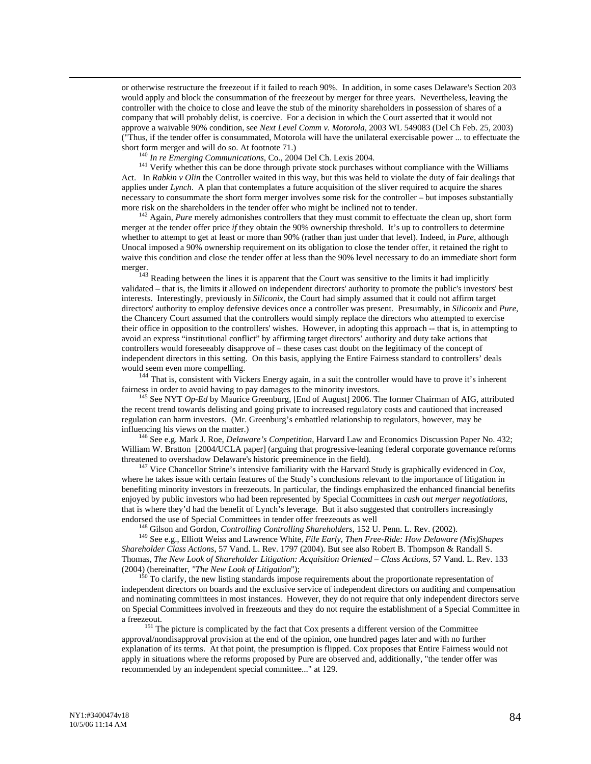or otherwise restructure the freezeout if it failed to reach 90%. In addition, in some cases Delaware's Section 203 would apply and block the consummation of the freezeout by merger for three years. Nevertheless, leaving the controller with the choice to close and leave the stub of the minority shareholders in possession of shares of a company that will probably delist, is coercive. For a decision in which the Court asserted that it would not approve a waivable 90% condition, see *Next Level Comm v. Motorola*, 2003 WL 549083 (Del Ch Feb. 25, 2003) ("Thus, if the tender offer is consummated, Motorola will have the unilateral exercisable power ... to effectuate the

short form merger and will do so. At footnote 71.)<br><sup>140</sup> *In re Emerging Communications*, Co., 2004 Del Ch. Lexis 2004.<br><sup>141</sup> Verify whether this can be done through private stock purchases without compliance with the Wil Act. In *Rabkin v Olin* the Controller waited in this way, but this was held to violate the duty of fair dealings that applies under *Lynch*. A plan that contemplates a future acquisition of the sliver required to acquire the shares necessary to consummate the short form merger involves some risk for the controller – but imposes substantially more risk on the shareholders in the tender offer who might be inclined not to tender.<br><sup>142</sup> Again, *Pure* merely admonishes controllers that they must commit to effectuate the clean up, short form

merger at the tender offer price *if* they obtain the 90% ownership threshold. It's up to controllers to determine whether to attempt to get at least or more than 90% (rather than just under that level). Indeed, in *Pure*, although Unocal imposed a 90% ownership requirement on its obligation to close the tender offer, it retained the right to waive this condition and close the tender offer at less than the 90% level necessary to do an immediate short form merger.<br><sup>143</sup> Reading between the lines it is apparent that the Court was sensitive to the limits it had implicitly

validated – that is, the limits it allowed on independent directors' authority to promote the public's investors' best interests. Interestingly, previously in *Siliconix*, the Court had simply assumed that it could not affirm target directors' authority to employ defensive devices once a controller was present. Presumably, in *Siliconix* and *Pure*, the Chancery Court assumed that the controllers would simply replace the directors who attempted to exercise their office in opposition to the controllers' wishes. However, in adopting this approach -- that is, in attempting to avoid an express "institutional conflict" by affirming target directors' authority and duty take actions that controllers would foreseeably disapprove of – these cases cast doubt on the legitimacy of the concept of independent directors in this setting. On this basis, applying the Entire Fairness standard to controllers' deals would seem even more compelling.<br><sup>144</sup> That is, consistent with Vickers Energy again, in a suit the controller would have to prove it's inherent

fairness in order to avoid having to pay damages to the minority investors.<br><sup>145</sup> See NYT *Op-Ed* by Maurice Greenburg, [End of August] 2006. The former Chairman of AIG, attributed

the recent trend towards delisting and going private to increased regulatory costs and cautioned that increased regulation can harm investors. (Mr. Greenburg's embattled relationship to regulators, however, may be influencing his views on the matter.) 146 See e.g. Mark J. Roe, *Delaware's Competition*, Harvard Law and Economics Discussion Paper No. 432;

William W. Bratton [2004/UCLA paper] (arguing that progressive-leaning federal corporate governance reforms threatened to overshadow Delaware's historic preeminence in the field). 147 Vice Chancellor Strine's intensive familiarity with the Harvard Study is graphically evidenced in *Cox*,

where he takes issue with certain features of the Study's conclusions relevant to the importance of litigation in benefiting minority investors in freezeouts. In particular, the findings emphasized the enhanced financial benefits enjoyed by public investors who had been represented by Special Committees in *cash out merger negotiations*, that is where they'd had the benefit of Lynch's leverage. But it also suggested that controllers increasingly endorsed the use of Special Committees in tender offer freezeouts as well<br><sup>148</sup> Gilson and Gordon, *Controlling Controlling Shareholders*, 152 U. Penn. L. Rev. (2002).<br><sup>149</sup> See e.g., Elliott Weiss and Lawrence White, *Fil* 

*Shareholder Class Actions*, 57 Vand. L. Rev. 1797 (2004). But see also Robert B. Thompson & Randall S. Thomas, *The New Look of Shareholder Litigation: Acquisition Oriented – Class Actions*, 57 Vand. L. Rev. 133 (2004) (hereinafter, *"The New Look of Litigation*");<br><sup>150</sup> To clarify, the new listing standards impose requirements about the proportionate representation of

independent directors on boards and the exclusive service of independent directors on auditing and compensation and nominating committees in most instances. However, they do not require that only independent directors serve on Special Committees involved in freezeouts and they do not require the establishment of a Special Committee in a freezeout.<br><sup>151</sup> The picture is complicated by the fact that Cox presents a different version of the Committee

approval/nondisapproval provision at the end of the opinion, one hundred pages later and with no further explanation of its terms. At that point, the presumption is flipped. Cox proposes that Entire Fairness would not apply in situations where the reforms proposed by Pure are observed and, additionally, "the tender offer was recommended by an independent special committee..." at 129.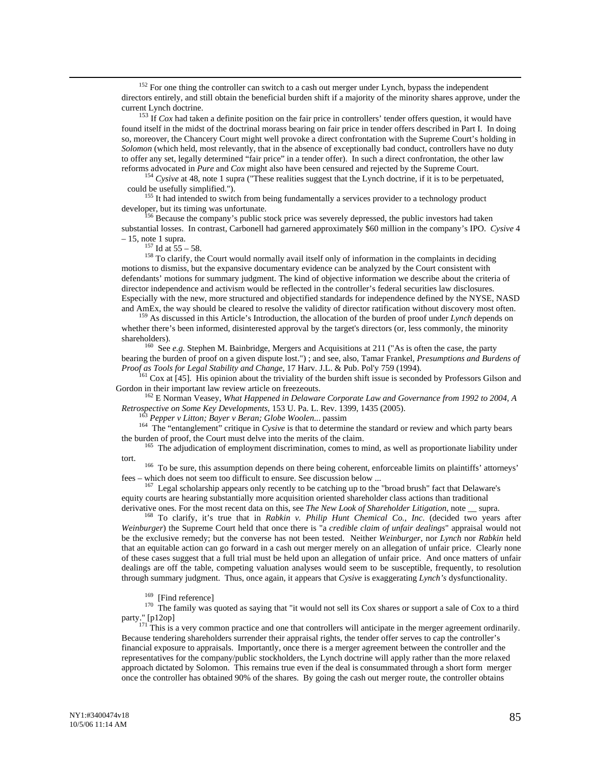$152$  For one thing the controller can switch to a cash out merger under Lynch, bypass the independent directors entirely, and still obtain the beneficial burden shift if a majority of the minority shares approve, under the current Lynch doctrine. 153 If *Cox* had taken a definite position on the fair price in controllers' tender offers question, it would have

found itself in the midst of the doctrinal morass bearing on fair price in tender offers described in Part I. In doing so, moreover, the Chancery Court might well provoke a direct confrontation with the Supreme Court's holding in *Solomon* (which held, most relevantly, that in the absence of exceptionally bad conduct, controllers have no duty to offer any set, legally determined "fair price" in a tender offer). In such a direct confrontation, the other law reforms advocated in *Pure* and *Cox* might also have been censured and rejected by the Supreme Court.<br><sup>154</sup> Cysive at 48, note 1 supra ("These realities suggest that the Lynch doctrine, if it is to be perpetuated,

could be usefully simplified.").<br><sup>155</sup> It had intended to switch from being fundamentally a services provider to a technology product

developer, but its timing was unfortunate.<br><sup>156</sup> Because the company's public stock price was severely depressed, the public investors had taken

substantial losses. In contrast, Carbonell had garnered approximately \$60 million in the company's IPO. *Cysive* 4

– 15, note 1 supra.<br><sup>157</sup> Id at 55 – 58.<br><sup>158</sup> To clarify, the Court would normally avail itself only of information in the complaints in deciding motions to dismiss, but the expansive documentary evidence can be analyzed by the Court consistent with defendants' motions for summary judgment. The kind of objective information we describe about the criteria of director independence and activism would be reflected in the controller's federal securities law disclosures. Especially with the new, more structured and objectified standards for independence defined by the NYSE, NASD and AmEx, the way should be cleared to resolve the validity of director ratification without discovery most often.<br><sup>159</sup> As discussed in this Article's Introduction, the allocation of the burden of proof under *Lynch* dep

whether there's been informed, disinterested approval by the target's directors (or, less commonly, the minority shareholders).<br><sup>160</sup> See *e.g.* Stephen M. Bainbridge, Mergers and Acquisitions at 211 ("As is often the case, the party

bearing the burden of proof on a given dispute lost.") ; and see, also, Tamar Frankel, *Presumptions and Burdens of* 

<sup>161</sup> Cox at [45]. His opinion about the triviality of the burden shift issue is seconded by Professors Gilson and Gordon in their important law review article on freezeouts.

<sup>162</sup> E Norman Veasey, *What Happened in Delaware Corporate Law and Governance from 1992 to 2004, A Retrospective on Some Key Developments, 153 U. Pa. L. Rev. 1399, 1435 (2005).* 

<sup>163</sup> Pepper v Litton; Bayer v Beran; Globe Woolen... passim<br><sup>164</sup> The "entanglement" critique in Cysive is that to determine the standard or review and which party bears the burden of proof, the Court must delve into the merits of the claim.<br><sup>165</sup> The adjudication of employment discrimination, comes to mind, as well as proportionate liability under

tort.<br><sup>166</sup> To be sure, this assumption depends on there being coherent, enforceable limits on plaintiffs' attorneys'<br>fees – which does not seem too difficult to ensure. See discussion below ...

<sup>167</sup> Legal scholarship appears only recently to be catching up to the "broad brush" fact that Delaware's equity courts are hearing substantially more acquisition oriented shareholder class actions than traditional

derivative ones. For the most recent data on this, see *The New Look of Shareholder Litigation*, note \_\_ supra. 168 To clarify, it's true that in *Rabkin v. Philip Hunt Chemical Co., Inc.* (decided two years after *Weinburger*) the Supreme Court held that once there is "a *credible claim of unfair dealings*" appraisal would not be the exclusive remedy; but the converse has not been tested. Neither *Weinburger*, nor *Lynch* nor *Rabkin* held that an equitable action can go forward in a cash out merger merely on an allegation of unfair price. Clearly none of these cases suggest that a full trial must be held upon an allegation of unfair price. And once matters of unfair dealings are off the table, competing valuation analyses would seem to be susceptible, frequently, to resolution through summary judgment. Thus, once again, it appears that *Cysive* is exaggerating *Lynch's* dysfunctionality.

<sup>169</sup> [Find reference]<br><sup>170</sup> The family was quoted as saying that "it would not sell its Cox shares or support a sale of Cox to a third party." [p12op]<br><sup>171</sup> This is a very common practice and one that controllers will anticipate in the merger agreement ordinarily.

Because tendering shareholders surrender their appraisal rights, the tender offer serves to cap the controller's financial exposure to appraisals. Importantly, once there is a merger agreement between the controller and the representatives for the company/public stockholders, the Lynch doctrine will apply rather than the more relaxed approach dictated by Solomon. This remains true even if the deal is consummated through a short form merger once the controller has obtained 90% of the shares. By going the cash out merger route, the controller obtains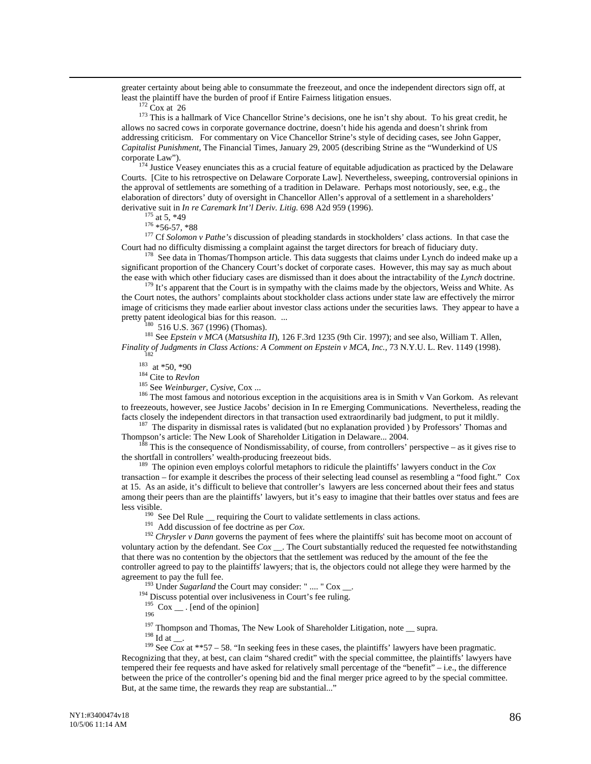greater certainty about being able to consummate the freezeout, and once the independent directors sign off, at

least the plaintiff have the burden of proof if Entire Fairness litigation ensues.<br><sup>172</sup> Cox at 26 <sup>173</sup> This is a hallmark of Vice Chancellor Strine's decisions, one he isn't shy about. To his great credit, he allows no sacred cows in corporate governance doctrine, doesn't hide his agenda and doesn't shrink from addressing criticism. For commentary on Vice Chancellor Strine's style of deciding cases, see John Gapper, *Capitalist Punishment*, The Financial Times, January 29, 2005 (describing Strine as the "Wunderkind of US corporate Law").<br> $174$  Justice Veasey enunciates this as a crucial feature of equitable adjudication as practiced by the Delaware

Courts. [Cite to his retrospective on Delaware Corporate Law]. Nevertheless, sweeping, controversial opinions in the approval of settlements are something of a tradition in Delaware. Perhaps most notoriously, see, e.g., the elaboration of directors' duty of oversight in Chancellor Allen's approval of a settlement in a shareholders'

derivative suit in *In re Caremark Int'l Deriv. Litig.* 698 A2d 959 (1996).<br><sup>175</sup> at 5, \*49<br><sup>176</sup> \*56-57, \*88<br><sup>177</sup> Cf *Solomon v Pathe's* discussion of pleading standards in stockholders' class actions. In that case the<br>C

<sup>178</sup> See data in Thomas/Thompson article. This data suggests that claims under Lynch do indeed make up a significant proportion of the Chancery Court's docket of corporate cases. However, this may say as much about the ease with which other fiduciary cases are dismissed than it does about the intractability of the *Lynch* doc

<sup>179</sup> It's apparent that the Court is in sympathy with the claims made by the objectors, Weiss and White. As the Court notes, the authors' complaints about stockholder class actions under state law are effectively the mirror image of criticisms they made earlier about investor class actions under the securities laws. They appear to have a pretty patent ideological bias for this reason. ...

<sup>180</sup> 516 U.S. 367 (1996) (Thomas).<br><sup>181</sup> See *Epstein v MCA (Matsushita II*), 126 F.3rd 1235 (9th Cir. 1997); and see also, William T. Allen, Finality of Judgments in Class Actions: A Comment on Epstein v MCA, Inc., 73 N.Y.U. L. Rev. 1149 (1998).<br>
<sup>183</sup> at \*50, \*90<br>
<sup>184</sup> Cite to *Revlon*<br>
<sup>185</sup> See *Weinburger*, *Cysive*, Cox ...<br>
<sup>186</sup> The most famous and not

to freezeouts, however, see Justice Jacobs' decision in In re Emerging Communications. Nevertheless, reading the

facts closely the independent directors in that transaction used extraordinarily bad judgment, to put it mildly.<br><sup>187</sup> The disparity in dismissal rates is validated (but no explanation provided ) by Professors' Thomas and

Thompson's article: The New Look of Shareholder Litigation in Delaware... 2004.<br><sup>188</sup> This is the consequence of Nondismissability, of course, from controllers' perspective – as it gives rise to the shortfall in controlle

The opinion even employs colorful metaphors to ridicule the plaintiffs' lawyers conduct in the *Cox* transaction – for example it describes the process of their selecting lead counsel as resembling a "food fight." Cox at 15. As an aside, it's difficult to believe that controller's lawyers are less concerned about their fees and status among their peers than are the plaintiffs' lawyers, but it's easy to imagine that their battles over status and fees are less visible.<br><sup>190</sup> See Del Rule — requiring the Court to validate settlements in class actions.<br><sup>191</sup> Add discussion of fee doctrine as per *Cox*.<br><sup>192</sup> Chrysler v Dann governs the payment of fees where the plaintiffs' s

voluntary action by the defendant. See *Cox* \_\_. The Court substantially reduced the requested fee notwithstanding that there was no contention by the objectors that the settlement was reduced by the amount of the fee the controller agreed to pay to the plaintiffs' lawyers; that is, the objectors could not allege they were harmed by the agreement to pay the full fee.<br>
<sup>193</sup> Under *Sugarland* the Court may consider: " .... " Cox \_\_.<br>
<sup>194</sup> Discuss potential over inclusiveness in Court's fee ruling.<br>
<sup>195</sup> Cox \_\_ . [end of the opinion]

<sup>198</sup> Id at \_\_.<br><sup>198</sup> Id at \_\_.<br><sup>198</sup> See *Cox* at \*\*57 – 58. "In seeking fees in these cases, the plaintiffs' lawyers have been pragmatic. Recognizing that they, at best, can claim "shared credit" with the special committee, the plaintiffs' lawyers have tempered their fee requests and have asked for relatively small percentage of the "benefit" – i.e., the difference between the price of the controller's opening bid and the final merger price agreed to by the special committee. But, at the same time, the rewards they reap are substantial..."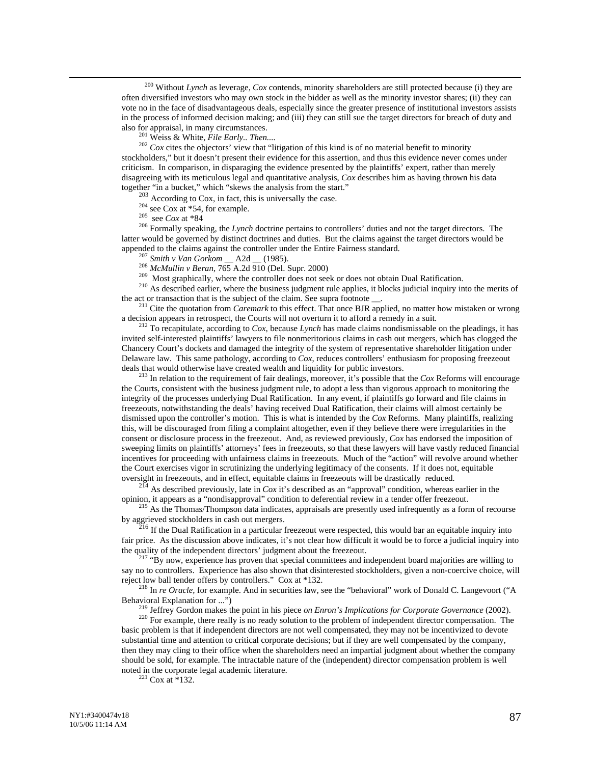200 Without *Lynch* as leverage, *Cox* contends, minority shareholders are still protected because (i) they are often diversified investors who may own stock in the bidder as well as the minority investor shares; (ii) they can vote no in the face of disadvantageous deals, especially since the greater presence of institutional investors assists in the process of informed decision making; and (iii) they can still sue the target directors for breach of duty and also for appraisal, in many circumstances.<br><sup>201</sup> Weiss & White, *File Early.. Then....*<br><sup>202</sup> *Cox* cites the objectors' view that "litigation of this kind is of no material benefit to minority

stockholders," but it doesn't present their evidence for this assertion, and thus this evidence never comes under criticism. In comparison, in disparaging the evidence presented by the plaintiffs' expert, rather than merely disagreeing with its meticulous legal and quantitative analysis, *Cox* describes him as having thrown his data together "in a bucket," which "skews the analysis from the start."

<sup>203</sup> According to Cox, in fact, this is universally the case.<br><sup>204</sup> see Cox at \*54, for example.<br><sup>205</sup> see Cox at \*84<br><sup>205</sup> Formally speaking, the *Lynch* doctrine pertains to controllers' duties and not the target direc latter would be governed by distinct doctrines and duties. But the claims against the target directors would be appended to the claims against the controller under the Entire Fairness standard.

<sup>207</sup> Smith v Van Gorkom \_\_ A2d \_\_ (1985).<br><sup>208</sup> McMullin v Beran, 765 A.2d 910 (Del. Supr. 2000)<br><sup>209</sup> Most graphically, where the controller does not seek or does not obtain Dual Ratification.<br><sup>209</sup> As described earlier the act or transaction that is the subject of the claim. See supra footnote \_\_. <sup>211</sup> Cite the quotation from *Caremark* to this effect. That once BJR applied, no matter how mistaken or wrong

a decision appears in retrospect, the Courts will not overturn it to afford a remedy in a suit. 212 To recapitulate, according to *Cox*, because *Lynch* has made claims nondismissable on the pleadings, it has

invited self-interested plaintiffs' lawyers to file nonmeritorious claims in cash out mergers, which has clogged the Chancery Court's dockets and damaged the integrity of the system of representative shareholder litigation under Delaware law. This same pathology, according to *Cox*, reduces controllers' enthusiasm for proposing freezeout deals that would otherwise have created wealth and liquidity for public investors. 213 In relation to the requirement of fair dealings, moreover, it's possible that the *Cox* Reforms will encourage

the Courts, consistent with the business judgment rule, to adopt a less than vigorous approach to monitoring the integrity of the processes underlying Dual Ratification. In any event, if plaintiffs go forward and file claims in freezeouts, notwithstanding the deals' having received Dual Ratification, their claims will almost certainly be dismissed upon the controller's motion. This is what is intended by the *Cox* Reforms. Many plaintiffs, realizing this, will be discouraged from filing a complaint altogether, even if they believe there were irregularities in the consent or disclosure process in the freezeout. And, as reviewed previously, *Cox* has endorsed the imposition of sweeping limits on plaintiffs' attorneys' fees in freezeouts, so that these lawyers will have vastly reduced financial incentives for proceeding with unfairness claims in freezeouts. Much of the "action" will revolve around whether the Court exercises vigor in scrutinizing the underlying legitimacy of the consents. If it does not, equitable

oversight in freezeouts, and in effect, equitable claims in freezeouts will be drastically reduced.<br><sup>214</sup> As described previously, late in *Cox* it's described as an "approval" condition, whereas earlier in the opinion, it

<sup>215</sup> As the Thomas/Thompson data indicates, appraisals are presently used infrequently as a form of recourse by aggrieved stockholders in cash out mergers.<br><sup>216</sup> If the Dual Ratification in a particular freezeout were respected, this would bar an equitable inquiry into

fair price. As the discussion above indicates, it's not clear how difficult it would be to force a judicial inquiry into the quality of the independent directors' judgment about the freezeout.

 $t^{217}$  "By now, experience has proven that special committees and independent board majorities are willing to say no to controllers. Experience has also shown that disinterested stockholders, given a non-coercive choice, will reject low ball tender offers by controllers." Cox at \*132.

<sup>218</sup> In *re Oracle*, for example. And in securities law, see the "behavioral" work of Donald C. Langevoort ("A Behavioral Explanation for ...")

<sup>219</sup> Jeffrey Gordon makes the point in his piece *on Enron's Implications for Corporate Governance* (2002).<br><sup>220</sup> For example, there really is no ready solution to the problem of independent director compensation. The

basic problem is that if independent directors are not well compensated, they may not be incentivized to devote substantial time and attention to critical corporate decisions; but if they are well compensated by the company, then they may cling to their office when the shareholders need an impartial judgment about whether the company should be sold, for example. The intractable nature of the (independent) director compensation problem is well noted in the corporate legal academic literature. 221 Cox at \*132.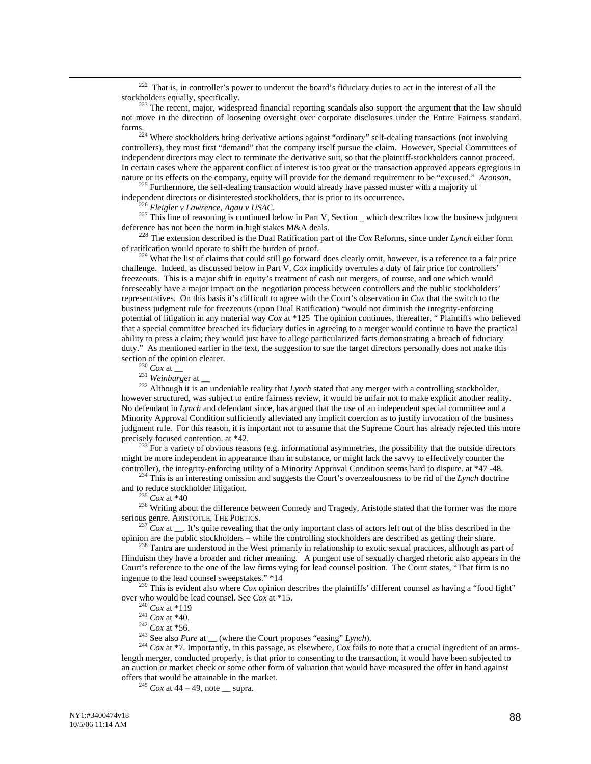<sup>222</sup> That is, in controller's power to undercut the board's fiduciary duties to act in the interest of all the stockholders equally, specifically.<br><sup>223</sup> The recent, major, widespread financial reporting scandals also support the argument that the law should

not move in the direction of loosening oversight over corporate disclosures under the Entire Fairness standard. forms. 224 Where stockholders bring derivative actions against "ordinary" self-dealing transactions (not involving

controllers), they must first "demand" that the company itself pursue the claim. However, Special Committees of independent directors may elect to terminate the derivative suit, so that the plaintiff-stockholders cannot proceed. In certain cases where the apparent conflict of interest is too great or the transaction approved appears egregious in nature or its effects on the company, equity will provide for the demand requirement to be "excused." A

<sup>225</sup> Furthermore, the self-dealing transaction would already have passed muster with a majority of independent directors or disinterested stockholders, that is prior to its occurrence.

<sup>226</sup> Fleigler v Lawrence, Agau v USAC.<br><sup>227</sup> This line of reasoning is continued below in Part V, Section \_ which describes how the business judgment deference has not been the norm in high stakes M&A deals.

 $\frac{228}{228}$  The extension described is the Dual Ratification part of the *Cox* Reforms, since under *Lynch* either form of ratification would operate to shift the burden of proof.<br><sup>229</sup> What the list of claims that could still go forward does clearly omit, however, is a reference to a fair price

challenge. Indeed, as discussed below in Part V, *Cox* implicitly overrules a duty of fair price for controllers' freezeouts. This is a major shift in equity's treatment of cash out mergers, of course, and one which would foreseeably have a major impact on the negotiation process between controllers and the public stockholders' representatives. On this basis it's difficult to agree with the Court's observation in *Cox* that the switch to the business judgment rule for freezeouts (upon Dual Ratification) "would not diminish the integrity-enforcing potential of litigation in any material way *Cox* at \*125 The opinion continues, thereafter, " Plaintiffs who believed that a special committee breached its fiduciary duties in agreeing to a merger would continue to have the practical ability to press a claim; they would just have to allege particularized facts demonstrating a breach of fiduciary duty." As mentioned earlier in the text, the suggestion to sue the target directors personally does not make this section of the opinion clearer.<br><sup>230</sup> *Cox* at \_\_<br><sup>231</sup> *Weinburger* at \_\_<br><sup>232</sup> Although it is an undeniable reality that *Lynch* stated that any merger with a controlling stockholder,

however structured, was subject to entire fairness review, it would be unfair not to make explicit another reality. No defendant in *Lynch* and defendant since, has argued that the use of an independent special committee and a Minority Approval Condition sufficiently alleviated any implicit coercion as to justify invocation of the business judgment rule. For this reason, it is important not to assume that the Supreme Court has already rejected this more precisely focused contention. at \*42.

 $\frac{233}{2}$  For a variety of obvious reasons (e.g. informational asymmetries, the possibility that the outside directors might be more independent in appearance than in substance, or might lack the savvy to effectively counter the controller), the integrity-enforcing utility of a Minority Approval Condition seems hard to dispute. at \*47-48.

 $^{234}$  This is an interesting omission and suggests the Court's overzealousness to be rid of the Lynch doctrine and to reduce stockholder litigation.

<sup>235</sup> *Cox* at \*40  $^{236}$  Writing about the difference between Comedy and Tragedy, Aristotle stated that the former was the more serious genre. ARISTOTLE, THE POETICS.

 $^{237}$ *Cox* at  $_{\sim}$ . It's quite revealing that the only important class of actors left out of the bliss described in the opinion are the public stockholders – while the controlling stockholders are described as getting

<sup>238</sup> Tantra are understood in the West primarily in relationship to exotic sexual practices, although as part of Hinduism they have a broader and richer meaning. A pungent use of sexually charged rhetoric also appears in the Court's reference to the one of the law firms vying for lead counsel position. The Court states, "That firm is no

ingenue to the lead counsel sweepstakes." \*14<br>
<sup>239</sup> This is evident also where *Cox* opinion describes the plaintiffs' different counsel as having a "food fight"<br>
over who would be lead counsel. See *Cox* at \*15.<br>
<sup>240</sup>

<sup>241</sup> Cox at \*40.<br><sup>242</sup> Cox at \*56.<br><sup>242</sup> Cox at \*56.<br><sup>243</sup> See also *Pure* at <sub>—</sub> (where the Court proposes "easing" *Lynch*).<br><sup>244</sup> Cox at \*7. Importantly, in this passage, as elsewhere, Cox fails to note that a crucial length merger, conducted properly, is that prior to consenting to the transaction, it would have been subjected to an auction or market check or some other form of valuation that would have measured the offer in hand against offers that would be attainable in the market.<br><sup>245</sup> *Cox* at 44 – 49, note \_\_ supra.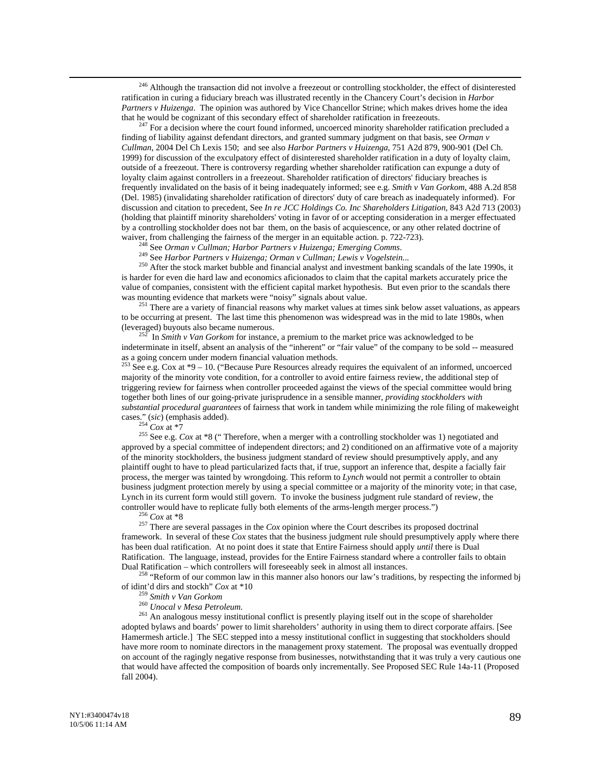<sup>246</sup> Although the transaction did not involve a freezeout or controlling stockholder, the effect of disinterested ratification in curing a fiduciary breach was illustrated recently in the Chancery Court's decision in *Harbor Partners v Huizenga*. The opinion was authored by Vice Chancellor Strine; which makes drives home the idea that he would be cognizant of this secondary effect of shareholder ratification in freezeouts.

 $t^{247}$  For a decision where the court found informed, uncoerced minority shareholder ratification precluded a finding of liability against defendant directors, and granted summary judgment on that basis, see *Orman v Cullman*, 2004 Del Ch Lexis 150; and see also *Harbor Partners v Huizenga*, 751 A2d 879, 900-901 (Del Ch. 1999) for discussion of the exculpatory effect of disinterested shareholder ratification in a duty of loyalty claim, outside of a freezeout. There is controversy regarding whether shareholder ratification can expunge a duty of loyalty claim against controllers in a freezeout. Shareholder ratification of directors' fiduciary breaches is frequently invalidated on the basis of it being inadequately informed; see e.g. *Smith v Van Gorkom*, 488 A.2d 858 (Del. 1985) (invalidating shareholder ratification of directors' duty of care breach as inadequately informed).For discussion and citation to precedent, See *In re JCC Holdings Co. Inc Shareholders Litigation*, 843 A2d 713 (2003) (holding that plaintiff minority shareholders' voting in favor of or accepting consideration in a merger effectuated by a controlling stockholder does not bar them, on the basis of acquiescence, or any other related doctrine of

waiver, from challenging the fairness of the merger in an equitable action. p. 722-723).<br><sup>248</sup> See *Orman v Cullman; Harbor Partners v Huizenga; Emerging Comms.*<br><sup>249</sup> See *Harbor Partners v Huizenga; Orman v Cullman; Lew* is harder for even die hard law and economics aficionados to claim that the capital markets accurately price the value of companies, consistent with the efficient capital market hypothesis. But even prior to the scandals there was mounting evidence that markets were "noisy" signals about value.<br><sup>251</sup> There are a variety of financial reasons why market values at times sink below asset valuations, as appears

to be occurring at present. The last time this phenomenon was widespread was in the mid to late 1980s, when (leveraged) buyouts also became numerous.

<sup>252</sup> In *Smith v Van Gorkom* for instance, a premium to the market price was acknowledged to be indeterminate in itself, absent an analysis of the "inherent" or "fair value" of the company to be sold -- measured as a going concern under modern financial valuation methods.<br>
<sup>253</sup> See e.g. Cox at \*9 – 10. ("Because Pure Resources already requires the equivalent of an informed, uncoerced

majority of the minority vote condition, for a controller to avoid entire fairness review, the additional step of triggering review for fairness when controller proceeded against the views of the special committee would bring together both lines of our going-private jurisprudence in a sensible manner, *providing stockholders with substantial procedural guarantees* of fairness that work in tandem while minimizing the role filing of makeweight cases." (sic) (emphasis added).<br><sup>254</sup> Cox at \*7

<sup>255</sup> See e.g. *Cox* at \*8 (" Therefore, when a merger with a controlling stockholder was 1) negotiated and approved by a special committee of independent directors; and 2) conditioned on an affirmative vote of a majority of the minority stockholders, the business judgment standard of review should presumptively apply, and any plaintiff ought to have to plead particularized facts that, if true, support an inference that, despite a facially fair process, the merger was tainted by wrongdoing. This reform to *Lynch* would not permit a controller to obtain business judgment protection merely by using a special committee or a majority of the minority vote; in that case, Lynch in its current form would still govern. To invoke the business judgment rule standard of review, the

controller would have to replicate fully both elements of the arms-length merger process.") 256 *Cox* at \*8 257 There are several passages in the *Cox* opinion where the Court describes its proposed doctrinal framework. In several of these *Cox* states that the business judgment rule should presumptively apply where there has been dual ratification. At no point does it state that Entire Fairness should apply *until* there is Dual Ratification. The language, instead, provides for the Entire Fairness standard where a controller fails to obtain

Dual Ratification – which controllers will foreseeably seek in almost all instances.<br><sup>258</sup> "Reform of our common law in this manner also honors our law's traditions, by respecting the informed bj of idint'd dirs and stock

<sup>259</sup> *Smith v Van Gorkom Corkom* 259 *Smith v Van Gorkom* 260 *Unocal v Mesa Petroleum.* <sup>261</sup> An analogous messy institutional conflict is presently playing itself out in the scope of shareholder adopted bylaws and boards' power to limit shareholders' authority in using them to direct corporate affairs. [See Hamermesh article.] The SEC stepped into a messy institutional conflict in suggesting that stockholders should have more room to nominate directors in the management proxy statement. The proposal was eventually dropped on account of the ragingly negative response from businesses, notwithstanding that it was truly a very cautious one that would have affected the composition of boards only incrementally. See Proposed SEC Rule 14a-11 (Proposed fall 2004).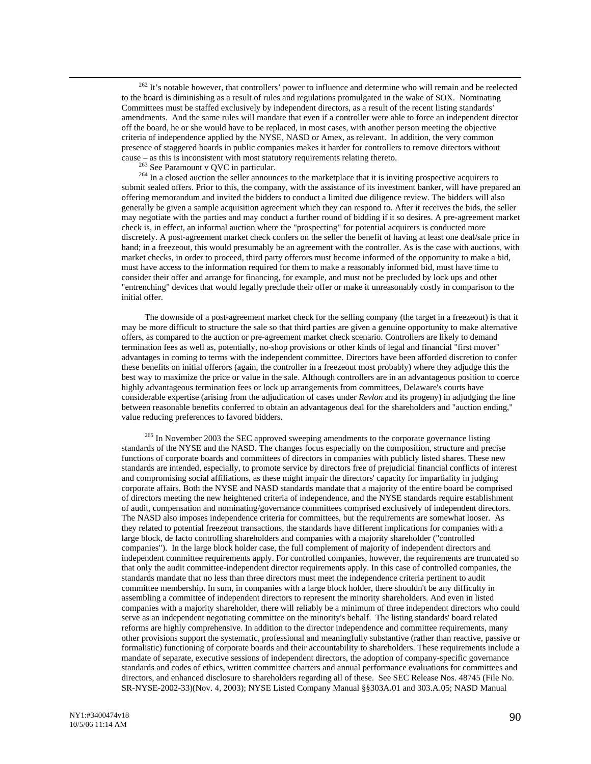$262$  It's notable however, that controllers' power to influence and determine who will remain and be reelected to the board is diminishing as a result of rules and regulations promulgated in the wake of SOX. Nominating Committees must be staffed exclusively by independent directors, as a result of the recent listing standards' amendments. And the same rules will mandate that even if a controller were able to force an independent director off the board, he or she would have to be replaced, in most cases, with another person meeting the objective criteria of independence applied by the NYSE, NASD or Amex, as relevant. In addition, the very common presence of staggered boards in public companies makes it harder for controllers to remove directors without cause – as this is inconsistent with most statutory requirements relating thereto.<br>
<sup>263</sup> See Paramount v QVC in particular.<br>
<sup>264</sup> In a closed auction the seller announces to the marketplace that it is inviting prospecti

submit sealed offers. Prior to this, the company, with the assistance of its investment banker, will have prepared an offering memorandum and invited the bidders to conduct a limited due diligence review. The bidders will also generally be given a sample acquisition agreement which they can respond to. After it receives the bids, the seller may negotiate with the parties and may conduct a further round of bidding if it so desires. A pre-agreement market check is, in effect, an informal auction where the "prospecting" for potential acquirers is conducted more discretely. A post-agreement market check confers on the seller the benefit of having at least one deal/sale price in hand; in a freezeout, this would presumably be an agreement with the controller. As is the case with auctions, with market checks, in order to proceed, third party offerors must become informed of the opportunity to make a bid, must have access to the information required for them to make a reasonably informed bid, must have time to consider their offer and arrange for financing, for example, and must not be precluded by lock ups and other "entrenching" devices that would legally preclude their offer or make it unreasonably costly in comparison to the initial offer.

The downside of a post-agreement market check for the selling company (the target in a freezeout) is that it may be more difficult to structure the sale so that third parties are given a genuine opportunity to make alternative offers, as compared to the auction or pre-agreement market check scenario. Controllers are likely to demand termination fees as well as, potentially, no-shop provisions or other kinds of legal and financial "first mover" advantages in coming to terms with the independent committee. Directors have been afforded discretion to confer these benefits on initial offerors (again, the controller in a freezeout most probably) where they adjudge this the best way to maximize the price or value in the sale. Although controllers are in an advantageous position to coerce highly advantageous termination fees or lock up arrangements from committees, Delaware's courts have considerable expertise (arising from the adjudication of cases under *Revlon* and its progeny) in adjudging the line between reasonable benefits conferred to obtain an advantageous deal for the shareholders and "auction ending," value reducing preferences to favored bidders.

<sup>265</sup> In November 2003 the SEC approved sweeping amendments to the corporate governance listing standards of the NYSE and the NASD. The changes focus especially on the composition, structure and precise functions of corporate boards and committees of directors in companies with publicly listed shares. These new standards are intended, especially, to promote service by directors free of prejudicial financial conflicts of interest and compromising social affiliations, as these might impair the directors' capacity for impartiality in judging corporate affairs. Both the NYSE and NASD standards mandate that a majority of the entire board be comprised of directors meeting the new heightened criteria of independence, and the NYSE standards require establishment of audit, compensation and nominating/governance committees comprised exclusively of independent directors. The NASD also imposes independence criteria for committees, but the requirements are somewhat looser. As they related to potential freezeout transactions, the standards have different implications for companies with a large block, de facto controlling shareholders and companies with a majority shareholder ("controlled companies"). In the large block holder case, the full complement of majority of independent directors and independent committee requirements apply. For controlled companies, however, the requirements are truncated so that only the audit committee-independent director requirements apply. In this case of controlled companies, the standards mandate that no less than three directors must meet the independence criteria pertinent to audit committee membership. In sum, in companies with a large block holder, there shouldn't be any difficulty in assembling a committee of independent directors to represent the minority shareholders. And even in listed companies with a majority shareholder, there will reliably be a minimum of three independent directors who could serve as an independent negotiating committee on the minority's behalf. The listing standards' board related reforms are highly comprehensive. In addition to the director independence and committee requirements, many other provisions support the systematic, professional and meaningfully substantive (rather than reactive, passive or formalistic) functioning of corporate boards and their accountability to shareholders. These requirements include a mandate of separate, executive sessions of independent directors, the adoption of company-specific governance standards and codes of ethics, written committee charters and annual performance evaluations for committees and directors, and enhanced disclosure to shareholders regarding all of these. See SEC Release Nos. 48745 (File No. SR-NYSE-2002-33)(Nov. 4, 2003); NYSE Listed Company Manual §§303A.01 and 303.A.05; NASD Manual